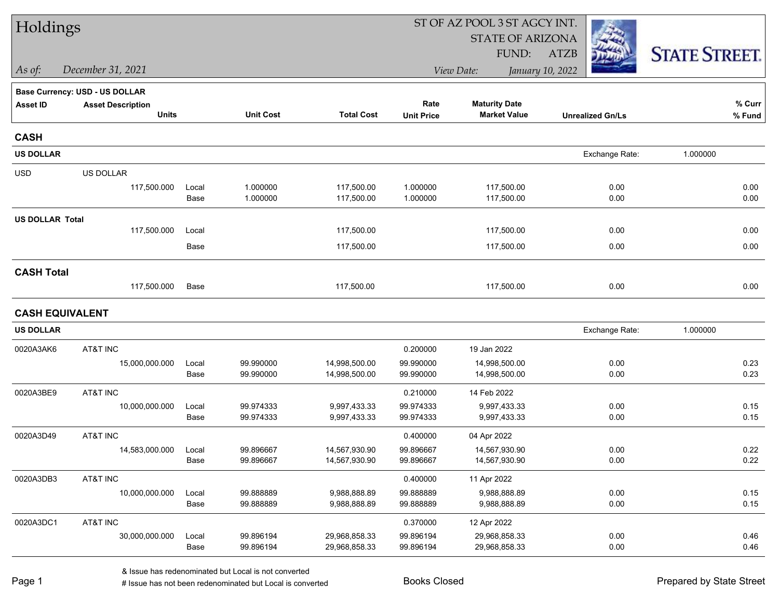| Holdings               |                                |       |                  |                   |                   | ST OF AZ POOL 3 ST AGCY INT. |                         |                      |  |
|------------------------|--------------------------------|-------|------------------|-------------------|-------------------|------------------------------|-------------------------|----------------------|--|
|                        |                                |       |                  |                   |                   | <b>STATE OF ARIZONA</b>      |                         |                      |  |
|                        |                                |       |                  |                   |                   | FUND:                        | <b>ATZB</b>             | <b>STATE STREET.</b> |  |
| As of:                 | December 31, 2021              |       |                  |                   |                   | View Date:                   | January 10, 2022        |                      |  |
|                        | Base Currency: USD - US DOLLAR |       |                  |                   |                   |                              |                         |                      |  |
| <b>Asset ID</b>        | <b>Asset Description</b>       |       |                  |                   | Rate              | <b>Maturity Date</b>         |                         | % Curr               |  |
|                        | <b>Units</b>                   |       | <b>Unit Cost</b> | <b>Total Cost</b> | <b>Unit Price</b> | <b>Market Value</b>          | <b>Unrealized Gn/Ls</b> | % Fund               |  |
| <b>CASH</b>            |                                |       |                  |                   |                   |                              |                         |                      |  |
| <b>US DOLLAR</b>       |                                |       |                  |                   |                   |                              | Exchange Rate:          | 1.000000             |  |
| <b>USD</b>             | US DOLLAR                      |       |                  |                   |                   |                              |                         |                      |  |
|                        | 117,500.000                    | Local | 1.000000         | 117,500.00        | 1.000000          | 117,500.00                   | 0.00                    | 0.00                 |  |
|                        |                                | Base  | 1.000000         | 117,500.00        | 1.000000          | 117,500.00                   | 0.00                    | 0.00                 |  |
| <b>US DOLLAR Total</b> |                                |       |                  |                   |                   |                              |                         |                      |  |
|                        | 117,500.000                    | Local |                  | 117,500.00        |                   | 117,500.00                   | 0.00                    | 0.00                 |  |
|                        |                                | Base  |                  | 117,500.00        |                   | 117,500.00                   | 0.00                    | 0.00                 |  |
| <b>CASH Total</b>      |                                |       |                  |                   |                   |                              |                         |                      |  |
|                        | 117,500.000                    | Base  |                  | 117,500.00        |                   | 117,500.00                   | 0.00                    | 0.00                 |  |
|                        | <b>CASH EQUIVALENT</b>         |       |                  |                   |                   |                              |                         |                      |  |
| <b>US DOLLAR</b>       |                                |       |                  |                   |                   |                              | Exchange Rate:          | 1.000000             |  |
| 0020A3AK6              | AT&T INC                       |       |                  |                   | 0.200000          | 19 Jan 2022                  |                         |                      |  |
|                        | 15,000,000.000                 | Local | 99.990000        | 14,998,500.00     | 99.990000         | 14,998,500.00                | 0.00                    | 0.23                 |  |
|                        |                                | Base  | 99.990000        | 14,998,500.00     | 99.990000         | 14,998,500.00                | 0.00                    | 0.23                 |  |
| 0020A3BE9              | AT&T INC                       |       |                  |                   | 0.210000          | 14 Feb 2022                  |                         |                      |  |
|                        | 10,000,000.000                 | Local | 99.974333        | 9,997,433.33      | 99.974333         | 9,997,433.33                 | 0.00                    | 0.15                 |  |
|                        |                                | Base  | 99.974333        | 9,997,433.33      | 99.974333         | 9,997,433.33                 | 0.00                    | 0.15                 |  |
| 0020A3D49              | AT&T INC                       |       |                  |                   | 0.400000          | 04 Apr 2022                  |                         |                      |  |
|                        | 14,583,000.000                 | Local | 99.896667        | 14,567,930.90     | 99.896667         | 14,567,930.90                | 0.00                    | 0.22                 |  |
|                        |                                | Base  | 99.896667        | 14,567,930.90     | 99.896667         | 14,567,930.90                | 0.00                    | 0.22                 |  |
| 0020A3DB3              | AT&T INC                       |       |                  |                   | 0.400000          | 11 Apr 2022                  |                         |                      |  |
|                        | 10,000,000.000                 | Local | 99.888889        | 9,988,888.89      | 99.888889         | 9,988,888.89                 | 0.00                    | 0.15                 |  |
|                        |                                | Base  | 99.888889        | 9,988,888.89      | 99.888889         | 9,988,888.89                 | 0.00                    | 0.15                 |  |
| 0020A3DC1              | AT&T INC                       |       |                  |                   | 0.370000          | 12 Apr 2022                  |                         |                      |  |
|                        | 30,000,000.000                 | Local | 99.896194        | 29,968,858.33     | 99.896194         | 29,968,858.33                | 0.00                    | 0.46                 |  |
|                        |                                | Base  | 99.896194        | 29,968,858.33     | 99.896194         | 29,968,858.33                | 0.00                    | 0.46                 |  |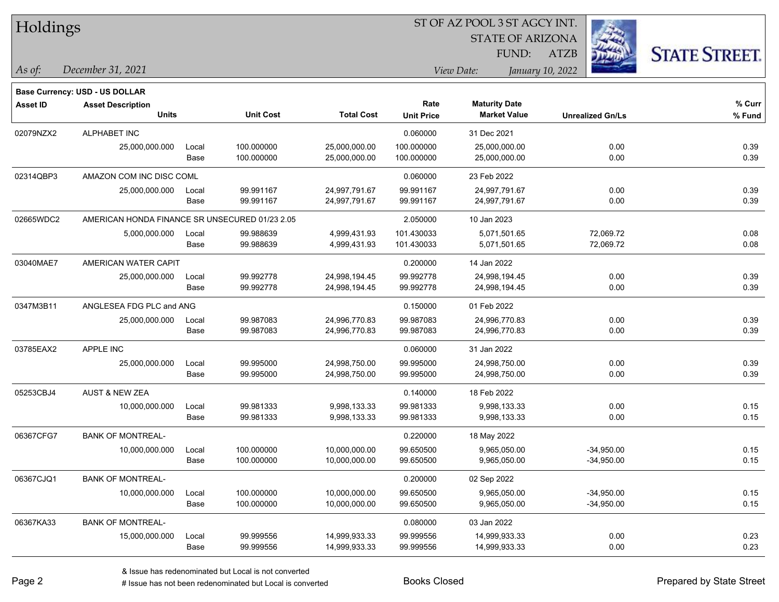|  |  | Holdings |
|--|--|----------|
|--|--|----------|

STATE OF ARIZONA

ATZB



*December 31, 2021 As of: View Date: January 10, 2022*

**Base Currency: USD - US DOLLAR**

FUND:

| <b>Asset ID</b> | <b>Asset Description</b><br><b>Units</b>       |       | <b>Unit Cost</b> | <b>Total Cost</b> | Rate<br><b>Unit Price</b> | <b>Maturity Date</b><br><b>Market Value</b> | <b>Unrealized Gn/Ls</b> | % Curr<br>% Fund |
|-----------------|------------------------------------------------|-------|------------------|-------------------|---------------------------|---------------------------------------------|-------------------------|------------------|
| 02079NZX2       | ALPHABET INC                                   |       |                  |                   | 0.060000                  | 31 Dec 2021                                 |                         |                  |
|                 | 25,000,000.000                                 | Local | 100.000000       | 25,000,000.00     | 100.000000                | 25,000,000.00                               | 0.00                    | 0.39             |
|                 |                                                | Base  | 100.000000       | 25,000,000.00     | 100.000000                | 25,000,000.00                               | 0.00                    | 0.39             |
| 02314QBP3       | AMAZON COM INC DISC COML                       |       |                  |                   | 0.060000                  | 23 Feb 2022                                 |                         |                  |
|                 | 25,000,000.000                                 | Local | 99.991167        | 24,997,791.67     | 99.991167                 | 24,997,791.67                               | 0.00                    | 0.39             |
|                 |                                                | Base  | 99.991167        | 24,997,791.67     | 99.991167                 | 24,997,791.67                               | 0.00                    | 0.39             |
| 02665WDC2       | AMERICAN HONDA FINANCE SR UNSECURED 01/23 2.05 |       |                  |                   | 2.050000                  | 10 Jan 2023                                 |                         |                  |
|                 | 5,000,000.000                                  | Local | 99.988639        | 4,999,431.93      | 101.430033                | 5,071,501.65                                | 72,069.72               | 0.08             |
|                 |                                                | Base  | 99.988639        | 4,999,431.93      | 101.430033                | 5,071,501.65                                | 72,069.72               | 0.08             |
| 03040MAE7       | AMERICAN WATER CAPIT                           |       |                  |                   | 0.200000                  | 14 Jan 2022                                 |                         |                  |
|                 | 25,000,000.000                                 | Local | 99.992778        | 24,998,194.45     | 99.992778                 | 24,998,194.45                               | 0.00                    | 0.39             |
|                 |                                                | Base  | 99.992778        | 24,998,194.45     | 99.992778                 | 24,998,194.45                               | 0.00                    | 0.39             |
| 0347M3B11       | ANGLESEA FDG PLC and ANG                       |       |                  |                   | 0.150000                  | 01 Feb 2022                                 |                         |                  |
|                 | 25,000,000.000                                 | Local | 99.987083        | 24,996,770.83     | 99.987083                 | 24.996.770.83                               | 0.00                    | 0.39             |
|                 |                                                | Base  | 99.987083        | 24,996,770.83     | 99.987083                 | 24,996,770.83                               | 0.00                    | 0.39             |
| 03785EAX2       | APPLE INC                                      |       |                  |                   | 0.060000                  | 31 Jan 2022                                 |                         |                  |
|                 | 25,000,000.000                                 | Local | 99.995000        | 24,998,750.00     | 99.995000                 | 24,998,750.00                               | 0.00                    | 0.39             |
|                 |                                                | Base  | 99.995000        | 24,998,750.00     | 99.995000                 | 24,998,750.00                               | 0.00                    | 0.39             |
| 05253CBJ4       | <b>AUST &amp; NEW ZEA</b>                      |       |                  |                   | 0.140000                  | 18 Feb 2022                                 |                         |                  |
|                 | 10,000,000.000                                 | Local | 99.981333        | 9,998,133.33      | 99.981333                 | 9,998,133.33                                | 0.00                    | 0.15             |
|                 |                                                | Base  | 99.981333        | 9,998,133.33      | 99.981333                 | 9,998,133.33                                | 0.00                    | 0.15             |
| 06367CFG7       | <b>BANK OF MONTREAL-</b>                       |       |                  |                   | 0.220000                  | 18 May 2022                                 |                         |                  |
|                 | 10,000,000.000                                 | Local | 100.000000       | 10,000,000.00     | 99.650500                 | 9,965,050.00                                | $-34,950.00$            | 0.15             |
|                 |                                                | Base  | 100.000000       | 10,000,000.00     | 99.650500                 | 9,965,050.00                                | $-34,950.00$            | 0.15             |
| 06367CJQ1       | <b>BANK OF MONTREAL-</b>                       |       |                  |                   | 0.200000                  | 02 Sep 2022                                 |                         |                  |
|                 | 10,000,000.000                                 | Local | 100.000000       | 10,000,000.00     | 99.650500                 | 9,965,050.00                                | $-34,950.00$            | 0.15             |
|                 |                                                | Base  | 100.000000       | 10,000,000.00     | 99.650500                 | 9,965,050.00                                | $-34,950.00$            | 0.15             |
| 06367KA33       | <b>BANK OF MONTREAL-</b>                       |       |                  |                   | 0.080000                  | 03 Jan 2022                                 |                         |                  |
|                 | 15,000,000.000                                 | Local | 99.999556        | 14,999,933.33     | 99.999556                 | 14,999,933.33                               | 0.00                    | 0.23             |
|                 |                                                | Base  | 99.999556        | 14,999,933.33     | 99.999556                 | 14,999,933.33                               | 0.00                    | 0.23             |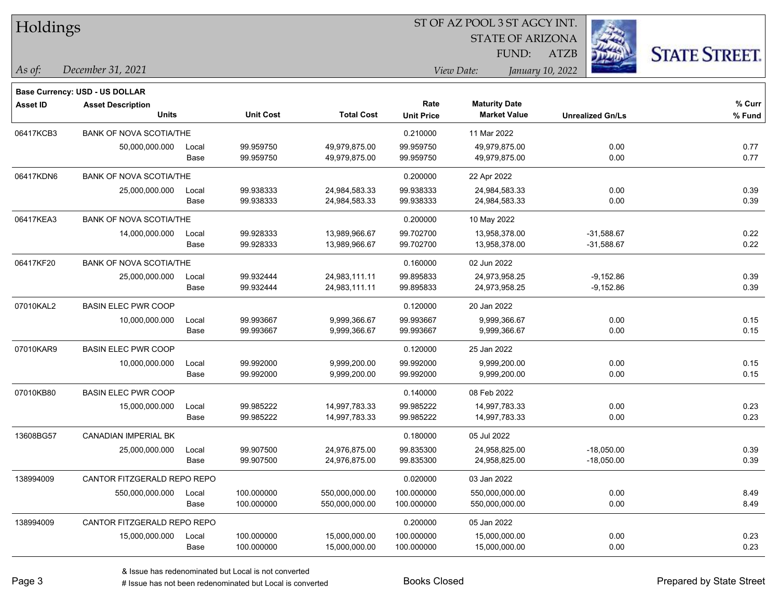| Holdings        |                                |       |                  |                   |                   | ST OF AZ POOL 3 ST AGCY INT. |                         |                      |  |
|-----------------|--------------------------------|-------|------------------|-------------------|-------------------|------------------------------|-------------------------|----------------------|--|
|                 |                                |       |                  |                   |                   | <b>STATE OF ARIZONA</b>      |                         |                      |  |
|                 |                                |       |                  |                   |                   | FUND:                        | ATZB                    | <b>STATE STREET.</b> |  |
| As of:          | December 31, 2021              |       |                  |                   |                   | View Date:                   | January 10, 2022        |                      |  |
|                 | Base Currency: USD - US DOLLAR |       |                  |                   |                   |                              |                         |                      |  |
| <b>Asset ID</b> | <b>Asset Description</b>       |       |                  |                   | Rate              | <b>Maturity Date</b>         |                         | % Curr               |  |
|                 | <b>Units</b>                   |       | <b>Unit Cost</b> | <b>Total Cost</b> | <b>Unit Price</b> | <b>Market Value</b>          | <b>Unrealized Gn/Ls</b> | % Fund               |  |
| 06417KCB3       | <b>BANK OF NOVA SCOTIA/THE</b> |       |                  |                   | 0.210000          | 11 Mar 2022                  |                         |                      |  |
|                 | 50,000,000.000                 | Local | 99.959750        | 49,979,875.00     | 99.959750         | 49,979,875.00                | 0.00                    | 0.77                 |  |
|                 |                                | Base  | 99.959750        | 49,979,875.00     | 99.959750         | 49,979,875.00                | 0.00                    | 0.77                 |  |
| 06417KDN6       | <b>BANK OF NOVA SCOTIA/THE</b> |       |                  |                   | 0.200000          | 22 Apr 2022                  |                         |                      |  |
|                 | 25,000,000.000                 | Local | 99.938333        | 24,984,583.33     | 99.938333         | 24,984,583.33                | 0.00                    | 0.39                 |  |
|                 |                                | Base  | 99.938333        | 24,984,583.33     | 99.938333         | 24,984,583.33                | 0.00                    | 0.39                 |  |
| 06417KEA3       | <b>BANK OF NOVA SCOTIA/THE</b> |       |                  |                   | 0.200000          | 10 May 2022                  |                         |                      |  |
|                 | 14,000,000.000                 | Local | 99.928333        | 13,989,966.67     | 99.702700         | 13,958,378.00                | $-31,588.67$            | 0.22                 |  |
|                 |                                | Base  | 99.928333        | 13,989,966.67     | 99.702700         | 13,958,378.00                | $-31,588.67$            | 0.22                 |  |
| 06417KF20       | <b>BANK OF NOVA SCOTIA/THE</b> |       |                  |                   | 0.160000          | 02 Jun 2022                  |                         |                      |  |
|                 | 25,000,000.000                 | Local | 99.932444        | 24,983,111.11     | 99.895833         | 24,973,958.25                | $-9,152.86$             | 0.39                 |  |
|                 |                                | Base  | 99.932444        | 24,983,111.11     | 99.895833         | 24,973,958.25                | $-9,152.86$             | 0.39                 |  |
| 07010KAL2       | <b>BASIN ELEC PWR COOP</b>     |       |                  |                   | 0.120000          | 20 Jan 2022                  |                         |                      |  |
|                 | 10,000,000.000                 | Local | 99.993667        | 9,999,366.67      | 99.993667         | 9,999,366.67                 | 0.00                    | 0.15                 |  |
|                 |                                | Base  | 99.993667        | 9,999,366.67      | 99.993667         | 9,999,366.67                 | 0.00                    | 0.15                 |  |
| 07010KAR9       | <b>BASIN ELEC PWR COOP</b>     |       |                  |                   | 0.120000          | 25 Jan 2022                  |                         |                      |  |
|                 | 10,000,000.000                 | Local | 99.992000        | 9,999,200.00      | 99.992000         | 9,999,200.00                 | 0.00                    | 0.15                 |  |
|                 |                                | Base  | 99.992000        | 9,999,200.00      | 99.992000         | 9,999,200.00                 | 0.00                    | 0.15                 |  |
| 07010KB80       | <b>BASIN ELEC PWR COOP</b>     |       |                  |                   | 0.140000          | 08 Feb 2022                  |                         |                      |  |
|                 | 15,000,000.000                 | Local | 99.985222        | 14,997,783.33     | 99.985222         | 14,997,783.33                | 0.00                    | 0.23                 |  |
|                 |                                | Base  | 99.985222        | 14,997,783.33     | 99.985222         | 14,997,783.33                | 0.00                    | 0.23                 |  |
| 13608BG57       | CANADIAN IMPERIAL BK           |       |                  |                   | 0.180000          | 05 Jul 2022                  |                         |                      |  |
|                 | 25,000,000.000                 | Local | 99.907500        | 24,976,875.00     | 99.835300         | 24,958,825.00                | $-18,050.00$            | 0.39                 |  |
|                 |                                | Base  | 99.907500        | 24,976,875.00     | 99.835300         | 24,958,825.00                | $-18,050.00$            | 0.39                 |  |
| 138994009       | CANTOR FITZGERALD REPO REPO    |       |                  |                   | 0.020000          | 03 Jan 2022                  |                         |                      |  |
|                 | 550,000,000.000                | Local | 100.000000       | 550,000,000.00    | 100.000000        | 550,000,000.00               | 0.00                    | 8.49                 |  |
|                 |                                | Base  | 100.000000       | 550,000,000.00    | 100.000000        | 550,000,000.00               | 0.00                    | 8.49                 |  |
| 138994009       | CANTOR FITZGERALD REPO REPO    |       |                  |                   | 0.200000          | 05 Jan 2022                  |                         |                      |  |
|                 | 15,000,000.000                 | Local | 100.000000       | 15,000,000.00     | 100.000000        | 15,000,000.00                | 0.00                    | 0.23                 |  |
|                 |                                | Base  | 100.000000       | 15,000,000.00     | 100.000000        | 15,000,000.00                | 0.00                    | 0.23                 |  |

 $\overline{\phantom{0}}$ 

 $\overline{\phantom{0}}$ 

 $\overline{\phantom{0}}$ 

 $\overline{\phantom{0}}$ 

 $\overline{\phantom{0}}$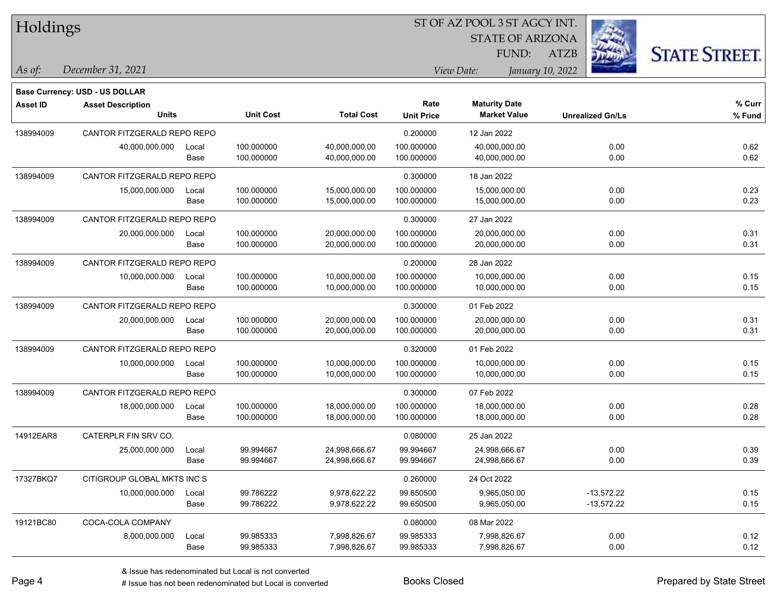|  | Holdings |
|--|----------|
|--|----------|

STATE OF ARIZONA

ATZB



*December 31, 2021 As of: View Date: January 10, 2022*

**Base Currency: USD - US DOLLAR**

FUND:

| <b>Asset ID</b> | <b>Asset Description</b>    |       |                  |                   | Rate              | <b>Maturity Date</b> |                         | % Curr |
|-----------------|-----------------------------|-------|------------------|-------------------|-------------------|----------------------|-------------------------|--------|
|                 | <b>Units</b>                |       | <b>Unit Cost</b> | <b>Total Cost</b> | <b>Unit Price</b> | <b>Market Value</b>  | <b>Unrealized Gn/Ls</b> | % Fund |
| 138994009       | CANTOR FITZGERALD REPO REPO |       |                  |                   | 0.200000          | 12 Jan 2022          |                         |        |
|                 | 40,000,000.000              | Local | 100.000000       | 40,000,000.00     | 100.000000        | 40,000,000.00        | 0.00                    | 0.62   |
|                 |                             | Base  | 100.000000       | 40,000,000.00     | 100.000000        | 40,000,000.00        | 0.00                    | 0.62   |
| 138994009       | CANTOR FITZGERALD REPO REPO |       |                  |                   | 0.300000          | 18 Jan 2022          |                         |        |
|                 | 15.000.000.000              | Local | 100.000000       | 15,000,000.00     | 100.000000        | 15,000,000.00        | 0.00                    | 0.23   |
|                 |                             | Base  | 100.000000       | 15,000,000.00     | 100.000000        | 15,000,000.00        | 0.00                    | 0.23   |
| 138994009       | CANTOR FITZGERALD REPO REPO |       |                  |                   | 0.300000          | 27 Jan 2022          |                         |        |
|                 | 20,000,000.000              | Local | 100.000000       | 20,000,000.00     | 100.000000        | 20,000,000.00        | 0.00                    | 0.31   |
|                 |                             | Base  | 100.000000       | 20,000,000.00     | 100.000000        | 20,000,000.00        | 0.00                    | 0.31   |
| 138994009       | CANTOR FITZGERALD REPO REPO |       |                  |                   | 0.200000          | 28 Jan 2022          |                         |        |
|                 | 10,000,000.000              | Local | 100.000000       | 10,000,000.00     | 100.000000        | 10,000,000.00        | 0.00                    | 0.15   |
|                 |                             | Base  | 100.000000       | 10,000,000.00     | 100.000000        | 10,000,000.00        | 0.00                    | 0.15   |
| 138994009       | CANTOR FITZGERALD REPO REPO |       |                  |                   | 0.300000          | 01 Feb 2022          |                         |        |
|                 | 20,000,000.000              | Local | 100.000000       | 20,000,000.00     | 100.000000        | 20,000,000.00        | 0.00                    | 0.31   |
|                 |                             | Base  | 100.000000       | 20,000,000.00     | 100.000000        | 20,000,000.00        | 0.00                    | 0.31   |
| 138994009       | CANTOR FITZGERALD REPO REPO |       |                  |                   | 0.320000          | 01 Feb 2022          |                         |        |
|                 | 10,000,000.000              | Local | 100.000000       | 10,000,000.00     | 100.000000        | 10,000,000.00        | 0.00                    | 0.15   |
|                 |                             | Base  | 100.000000       | 10,000,000.00     | 100.000000        | 10,000,000.00        | 0.00                    | 0.15   |
| 138994009       | CANTOR FITZGERALD REPO REPO |       |                  |                   | 0.300000          | 07 Feb 2022          |                         |        |
|                 | 18,000,000.000              | Local | 100.000000       | 18,000,000.00     | 100.000000        | 18,000,000.00        | 0.00                    | 0.28   |
|                 |                             | Base  | 100.000000       | 18,000,000.00     | 100.000000        | 18,000,000.00        | 0.00                    | 0.28   |
| 14912EAR8       | CATERPLR FIN SRV CO.        |       |                  |                   | 0.080000          | 25 Jan 2022          |                         |        |
|                 | 25,000,000.000              | Local | 99.994667        | 24,998,666.67     | 99.994667         | 24,998,666.67        | 0.00                    | 0.39   |
|                 |                             | Base  | 99.994667        | 24,998,666.67     | 99.994667         | 24,998,666.67        | 0.00                    | 0.39   |
| 17327BKQ7       | CITIGROUP GLOBAL MKTS INC S |       |                  |                   | 0.260000          | 24 Oct 2022          |                         |        |
|                 | 10,000,000.000              | Local | 99.786222        | 9,978,622.22      | 99.650500         | 9,965,050.00         | $-13,572.22$            | 0.15   |
|                 |                             | Base  | 99.786222        | 9,978,622.22      | 99.650500         | 9,965,050.00         | $-13,572.22$            | 0.15   |
| 19121BC80       | COCA-COLA COMPANY           |       |                  |                   | 0.080000          | 08 Mar 2022          |                         |        |
|                 | 8,000,000.000               | Local | 99.985333        | 7,998,826.67      | 99.985333         | 7,998,826.67         | 0.00                    | 0.12   |
|                 |                             | Base  | 99.985333        | 7,998,826.67      | 99.985333         | 7,998,826.67         | 0.00                    | 0.12   |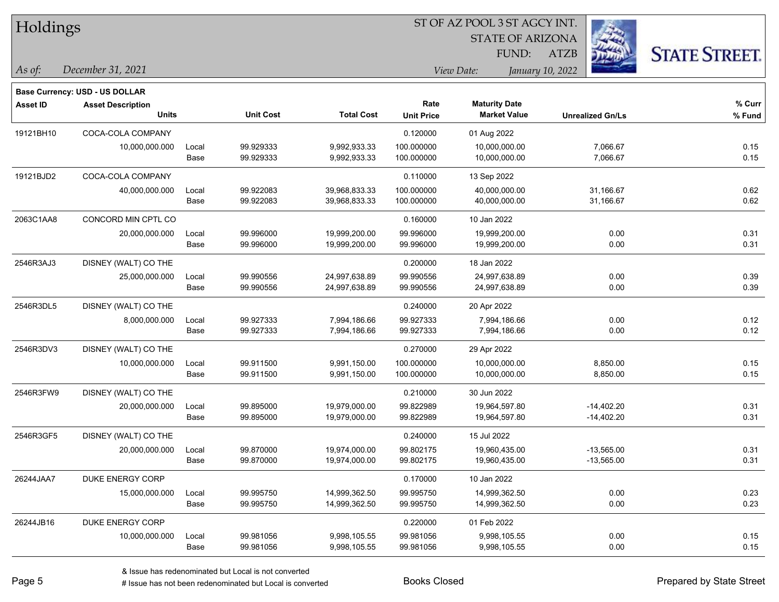| Holdings        |                                       |       |                  |                   | ST OF AZ POOL 3 ST AGCY INT. |                         |                         |                      |  |  |
|-----------------|---------------------------------------|-------|------------------|-------------------|------------------------------|-------------------------|-------------------------|----------------------|--|--|
|                 |                                       |       |                  |                   |                              | <b>STATE OF ARIZONA</b> |                         |                      |  |  |
|                 |                                       |       |                  |                   |                              | FUND:                   | <b>ATZB</b>             | <b>STATE STREET.</b> |  |  |
| $\vert$ As of:  | December 31, 2021                     |       |                  |                   |                              | View Date:              | January 10, 2022        |                      |  |  |
|                 | <b>Base Currency: USD - US DOLLAR</b> |       |                  |                   |                              |                         |                         |                      |  |  |
| <b>Asset ID</b> | <b>Asset Description</b>              |       |                  |                   | Rate                         | <b>Maturity Date</b>    |                         | % Curr               |  |  |
|                 | <b>Units</b>                          |       | <b>Unit Cost</b> | <b>Total Cost</b> | <b>Unit Price</b>            | <b>Market Value</b>     | <b>Unrealized Gn/Ls</b> | % Fund               |  |  |
| 19121BH10       | COCA-COLA COMPANY                     |       |                  |                   | 0.120000                     | 01 Aug 2022             |                         |                      |  |  |
|                 | 10,000,000.000                        | Local | 99.929333        | 9,992,933.33      | 100.000000                   | 10,000,000.00           | 7,066.67                | 0.15                 |  |  |
|                 |                                       | Base  | 99.929333        | 9,992,933.33      | 100.000000                   | 10,000,000.00           | 7,066.67                | 0.15                 |  |  |
| 19121BJD2       | COCA-COLA COMPANY                     |       |                  |                   | 0.110000                     | 13 Sep 2022             |                         |                      |  |  |
|                 | 40,000,000.000                        | Local | 99.922083        | 39,968,833.33     | 100.000000                   | 40,000,000.00           | 31,166.67               | 0.62                 |  |  |
|                 |                                       | Base  | 99.922083        | 39,968,833.33     | 100.000000                   | 40,000,000.00           | 31,166.67               | 0.62                 |  |  |
| 2063C1AA8       | CONCORD MIN CPTL CO                   |       |                  |                   | 0.160000                     | 10 Jan 2022             |                         |                      |  |  |
|                 | 20,000,000.000                        | Local | 99.996000        | 19,999,200.00     | 99.996000                    | 19,999,200.00           | 0.00                    | 0.31                 |  |  |
|                 |                                       | Base  | 99.996000        | 19,999,200.00     | 99.996000                    | 19,999,200.00           | 0.00                    | 0.31                 |  |  |
| 2546R3AJ3       | DISNEY (WALT) CO THE                  |       |                  |                   | 0.200000                     | 18 Jan 2022             |                         |                      |  |  |
|                 | 25,000,000.000                        | Local | 99.990556        | 24,997,638.89     | 99.990556                    | 24,997,638.89           | 0.00                    | 0.39                 |  |  |
|                 |                                       | Base  | 99.990556        | 24,997,638.89     | 99.990556                    | 24,997,638.89           | 0.00                    | 0.39                 |  |  |
| 2546R3DL5       | DISNEY (WALT) CO THE                  |       |                  |                   | 0.240000                     | 20 Apr 2022             |                         |                      |  |  |
|                 | 8,000,000.000                         | Local | 99.927333        | 7,994,186.66      | 99.927333                    | 7,994,186.66            | 0.00                    | 0.12                 |  |  |
|                 |                                       | Base  | 99.927333        | 7,994,186.66      | 99.927333                    | 7,994,186.66            | 0.00                    | 0.12                 |  |  |
| 2546R3DV3       | DISNEY (WALT) CO THE                  |       |                  |                   | 0.270000                     | 29 Apr 2022             |                         |                      |  |  |
|                 | 10,000,000.000                        | Local | 99.911500        | 9,991,150.00      | 100.000000                   | 10,000,000.00           | 8,850.00                | 0.15                 |  |  |
|                 |                                       | Base  | 99.911500        | 9,991,150.00      | 100.000000                   | 10,000,000.00           | 8,850.00                | 0.15                 |  |  |
| 2546R3FW9       | DISNEY (WALT) CO THE                  |       |                  |                   | 0.210000                     | 30 Jun 2022             |                         |                      |  |  |
|                 | 20,000,000.000                        | Local | 99.895000        | 19,979,000.00     | 99.822989                    | 19,964,597.80           | $-14,402.20$            | 0.31                 |  |  |
|                 |                                       | Base  | 99.895000        | 19,979,000.00     | 99.822989                    | 19,964,597.80           | $-14,402.20$            | 0.31                 |  |  |
| 2546R3GF5       | DISNEY (WALT) CO THE                  |       |                  |                   | 0.240000                     | 15 Jul 2022             |                         |                      |  |  |
|                 | 20,000,000.000                        | Local | 99.870000        | 19,974,000.00     | 99.802175                    | 19,960,435.00           | $-13,565.00$            | 0.31                 |  |  |
|                 |                                       | Base  | 99.870000        | 19,974,000.00     | 99.802175                    | 19,960,435.00           | $-13,565.00$            | 0.31                 |  |  |
| 26244JAA7       | DUKE ENERGY CORP                      |       |                  |                   | 0.170000                     | 10 Jan 2022             |                         |                      |  |  |
|                 | 15,000,000.000                        | Local | 99.995750        | 14,999,362.50     | 99.995750                    | 14,999,362.50           | 0.00                    | 0.23                 |  |  |
|                 |                                       | Base  | 99.995750        | 14,999,362.50     | 99.995750                    | 14,999,362.50           | 0.00                    | 0.23                 |  |  |
| 26244JB16       | DUKE ENERGY CORP                      |       |                  |                   | 0.220000                     | 01 Feb 2022             |                         |                      |  |  |
|                 | 10,000,000.000                        | Local | 99.981056        | 9,998,105.55      | 99.981056                    | 9,998,105.55            | 0.00                    | 0.15                 |  |  |
|                 |                                       | Base  | 99.981056        | 9,998,105.55      | 99.981056                    | 9,998,105.55            | 0.00                    | 0.15                 |  |  |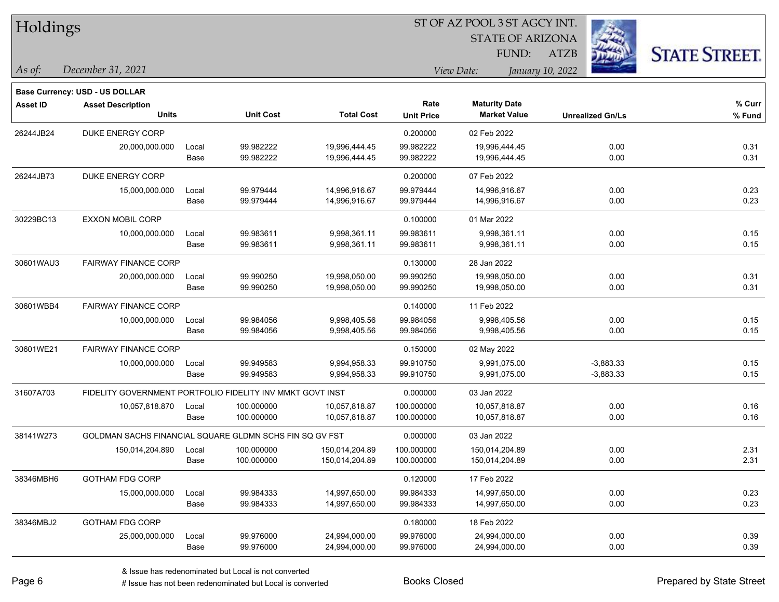| Holdings        |                                                           |       |                  |                   |                   | ST OF AZ POOL 3 ST AGCY INT. |                         |                      |  |
|-----------------|-----------------------------------------------------------|-------|------------------|-------------------|-------------------|------------------------------|-------------------------|----------------------|--|
|                 |                                                           |       |                  |                   |                   | <b>STATE OF ARIZONA</b>      |                         |                      |  |
|                 |                                                           |       |                  |                   |                   | FUND:                        | ATZB                    | <b>STATE STREET.</b> |  |
| As of:          | December 31, 2021                                         |       |                  |                   |                   | View Date:                   | January 10, 2022        |                      |  |
|                 | <b>Base Currency: USD - US DOLLAR</b>                     |       |                  |                   |                   |                              |                         |                      |  |
| <b>Asset ID</b> | <b>Asset Description</b>                                  |       |                  |                   | Rate              | <b>Maturity Date</b>         |                         | % Curr               |  |
|                 | <b>Units</b>                                              |       | <b>Unit Cost</b> | <b>Total Cost</b> | <b>Unit Price</b> | <b>Market Value</b>          | <b>Unrealized Gn/Ls</b> | % Fund               |  |
| 26244JB24       | <b>DUKE ENERGY CORP</b>                                   |       |                  |                   | 0.200000          | 02 Feb 2022                  |                         |                      |  |
|                 | 20,000,000.000                                            | Local | 99.982222        | 19,996,444.45     | 99.982222         | 19,996,444.45                | 0.00                    | 0.31                 |  |
|                 |                                                           | Base  | 99.982222        | 19,996,444.45     | 99.982222         | 19,996,444.45                | 0.00                    | 0.31                 |  |
| 26244JB73       | DUKE ENERGY CORP                                          |       |                  |                   | 0.200000          | 07 Feb 2022                  |                         |                      |  |
|                 | 15,000,000.000                                            | Local | 99.979444        | 14,996,916.67     | 99.979444         | 14,996,916.67                | 0.00                    | 0.23                 |  |
|                 |                                                           | Base  | 99.979444        | 14,996,916.67     | 99.979444         | 14,996,916.67                | 0.00                    | 0.23                 |  |
| 30229BC13       | <b>EXXON MOBIL CORP</b>                                   |       |                  |                   | 0.100000          | 01 Mar 2022                  |                         |                      |  |
|                 | 10,000,000.000                                            | Local | 99.983611        | 9,998,361.11      | 99.983611         | 9,998,361.11                 | 0.00                    | 0.15                 |  |
|                 |                                                           | Base  | 99.983611        | 9,998,361.11      | 99.983611         | 9,998,361.11                 | 0.00                    | 0.15                 |  |
| 30601WAU3       | <b>FAIRWAY FINANCE CORP</b>                               |       |                  |                   | 0.130000          | 28 Jan 2022                  |                         |                      |  |
|                 | 20,000,000.000                                            | Local | 99.990250        | 19,998,050.00     | 99.990250         | 19,998,050.00                | 0.00                    | 0.31                 |  |
|                 |                                                           | Base  | 99.990250        | 19,998,050.00     | 99.990250         | 19,998,050.00                | 0.00                    | 0.31                 |  |
| 30601WBB4       | <b>FAIRWAY FINANCE CORP</b>                               |       |                  |                   | 0.140000          | 11 Feb 2022                  |                         |                      |  |
|                 | 10,000,000.000                                            | Local | 99.984056        | 9,998,405.56      | 99.984056         | 9,998,405.56                 | 0.00                    | 0.15                 |  |
|                 |                                                           | Base  | 99.984056        | 9,998,405.56      | 99.984056         | 9,998,405.56                 | 0.00                    | 0.15                 |  |
| 30601WE21       | <b>FAIRWAY FINANCE CORP</b>                               |       |                  |                   | 0.150000          | 02 May 2022                  |                         |                      |  |
|                 | 10,000,000.000                                            | Local | 99.949583        | 9,994,958.33      | 99.910750         | 9,991,075.00                 | $-3,883.33$             | 0.15                 |  |
|                 |                                                           | Base  | 99.949583        | 9,994,958.33      | 99.910750         | 9,991,075.00                 | $-3,883.33$             | 0.15                 |  |
| 31607A703       | FIDELITY GOVERNMENT PORTFOLIO FIDELITY INV MMKT GOVT INST |       |                  |                   | 0.000000          | 03 Jan 2022                  |                         |                      |  |
|                 | 10,057,818.870                                            | Local | 100.000000       | 10,057,818.87     | 100.000000        | 10,057,818.87                | 0.00                    | 0.16                 |  |
|                 |                                                           | Base  | 100.000000       | 10,057,818.87     | 100.000000        | 10,057,818.87                | 0.00                    | 0.16                 |  |
| 38141W273       | GOLDMAN SACHS FINANCIAL SQUARE GLDMN SCHS FIN SQ GV FST   |       |                  |                   | 0.000000          | 03 Jan 2022                  |                         |                      |  |
|                 | 150,014,204.890                                           | Local | 100.000000       | 150,014,204.89    | 100.000000        | 150,014,204.89               | 0.00                    | 2.31                 |  |
|                 |                                                           | Base  | 100.000000       | 150,014,204.89    | 100.000000        | 150,014,204.89               | $0.00\,$                | 2.31                 |  |
| 38346MBH6       | <b>GOTHAM FDG CORP</b>                                    |       |                  |                   | 0.120000          | 17 Feb 2022                  |                         |                      |  |
|                 | 15,000,000.000                                            | Local | 99.984333        | 14,997,650.00     | 99.984333         | 14,997,650.00                | 0.00                    | 0.23                 |  |
|                 |                                                           | Base  | 99.984333        | 14,997,650.00     | 99.984333         | 14,997,650.00                | 0.00                    | 0.23                 |  |
| 38346MBJ2       | <b>GOTHAM FDG CORP</b>                                    |       |                  |                   | 0.180000          | 18 Feb 2022                  |                         |                      |  |
|                 | 25,000,000.000                                            | Local | 99.976000        | 24,994,000.00     | 99.976000         | 24,994,000.00                | 0.00                    | 0.39                 |  |

Base 99.976000 24,994,000.00 99.976000 24,994,000.00 0.00 0.39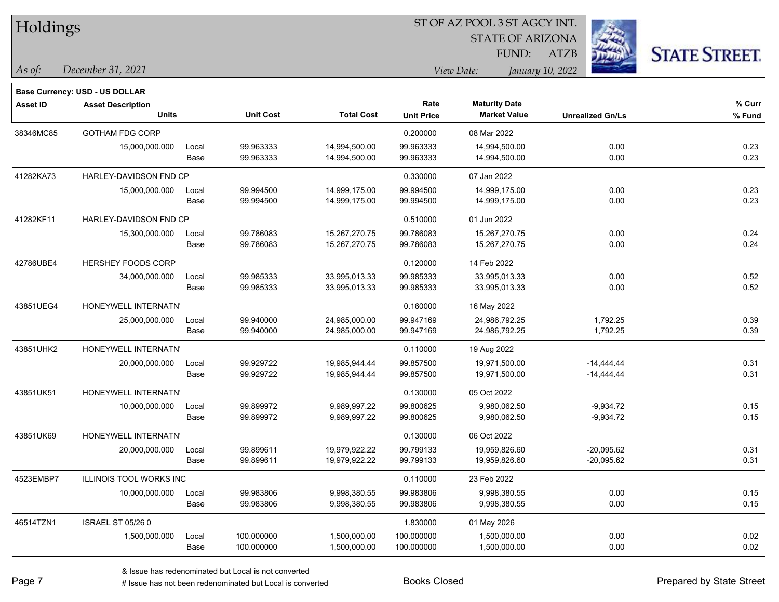| HOIGINGS        |                                          |               |                          |                                |                           | <b>STATE OF ARIZONA</b><br>FUND:            | <b>ATZB</b>                  | <b>STATE STREET.</b> |
|-----------------|------------------------------------------|---------------|--------------------------|--------------------------------|---------------------------|---------------------------------------------|------------------------------|----------------------|
| As of:          | December 31, 2021                        |               |                          |                                |                           | View Date:                                  | January 10, 2022             |                      |
|                 | Base Currency: USD - US DOLLAR           |               |                          |                                |                           |                                             |                              |                      |
| <b>Asset ID</b> | <b>Asset Description</b><br><b>Units</b> |               | <b>Unit Cost</b>         | <b>Total Cost</b>              | Rate<br><b>Unit Price</b> | <b>Maturity Date</b><br><b>Market Value</b> | <b>Unrealized Gn/Ls</b>      | % Curr<br>% Fund     |
| 38346MC85       | <b>GOTHAM FDG CORP</b>                   |               |                          |                                | 0.200000                  | 08 Mar 2022                                 |                              |                      |
|                 | 15,000,000.000                           | Local<br>Base | 99.963333<br>99.963333   | 14,994,500.00<br>14,994,500.00 | 99.963333<br>99.963333    | 14,994,500.00<br>14,994,500.00              | 0.00<br>0.00                 | 0.23<br>0.23         |
| 41282KA73       | HARLEY-DAVIDSON FND CP                   |               |                          |                                | 0.330000                  | 07 Jan 2022                                 |                              |                      |
|                 | 15,000,000.000                           | Local<br>Base | 99.994500<br>99.994500   | 14,999,175.00<br>14,999,175.00 | 99.994500<br>99.994500    | 14,999,175.00<br>14,999,175.00              | 0.00<br>0.00                 | 0.23<br>0.23         |
| 41282KF11       | HARLEY-DAVIDSON FND CP                   |               |                          |                                | 0.510000                  | 01 Jun 2022                                 |                              |                      |
|                 | 15,300,000.000                           | Local<br>Base | 99.786083<br>99.786083   | 15,267,270.75<br>15,267,270.75 | 99.786083<br>99.786083    | 15,267,270.75<br>15,267,270.75              | 0.00<br>0.00                 | 0.24<br>0.24         |
| 42786UBE4       | <b>HERSHEY FOODS CORP</b>                |               |                          |                                | 0.120000                  | 14 Feb 2022                                 |                              |                      |
|                 | 34,000,000.000                           | Local<br>Base | 99.985333<br>99.985333   | 33,995,013.33<br>33,995,013.33 | 99.985333<br>99.985333    | 33,995,013.33<br>33,995,013.33              | 0.00<br>0.00                 | 0.52<br>0.52         |
| 43851UEG4       | HONEYWELL INTERNATN'                     |               |                          |                                | 0.160000                  | 16 May 2022                                 |                              |                      |
|                 | 25,000,000.000                           | Local<br>Base | 99.940000<br>99.940000   | 24,985,000.00<br>24,985,000.00 | 99.947169<br>99.947169    | 24,986,792.25<br>24,986,792.25              | 1,792.25<br>1,792.25         | 0.39<br>0.39         |
| 43851UHK2       | HONEYWELL INTERNATN'                     |               |                          |                                | 0.110000                  | 19 Aug 2022                                 |                              |                      |
|                 | 20,000,000.000                           | Local<br>Base | 99.929722<br>99.929722   | 19,985,944.44<br>19,985,944.44 | 99.857500<br>99.857500    | 19,971,500.00<br>19,971,500.00              | $-14,444.44$<br>$-14,444.44$ | 0.31<br>0.31         |
| 43851UK51       | HONEYWELL INTERNATN'                     |               |                          |                                | 0.130000                  | 05 Oct 2022                                 |                              |                      |
|                 | 10,000,000.000                           | Local<br>Base | 99.899972<br>99.899972   | 9,989,997.22<br>9,989,997.22   | 99.800625<br>99.800625    | 9,980,062.50<br>9,980,062.50                | $-9,934.72$<br>$-9,934.72$   | 0.15<br>0.15         |
| 43851UK69       | HONEYWELL INTERNATN'                     |               |                          |                                | 0.130000                  | 06 Oct 2022                                 |                              |                      |
|                 | 20,000,000.000                           | Local<br>Base | 99.899611<br>99.899611   | 19,979,922.22<br>19,979,922.22 | 99.799133<br>99.799133    | 19,959,826.60<br>19,959,826.60              | $-20,095.62$<br>$-20,095.62$ | 0.31<br>0.31         |
| 4523EMBP7       | ILLINOIS TOOL WORKS INC                  |               |                          |                                | 0.110000                  | 23 Feb 2022                                 |                              |                      |
|                 | 10,000,000.000                           | Local<br>Base | 99.983806<br>99.983806   | 9,998,380.55<br>9,998,380.55   | 99.983806<br>99.983806    | 9,998,380.55<br>9,998,380.55                | 0.00<br>0.00                 | 0.15<br>0.15         |
| 46514TZN1       | <b>ISRAEL ST 05/26 0</b>                 |               |                          |                                | 1.830000                  | 01 May 2026                                 |                              |                      |
|                 | 1,500,000.000                            | Local<br>Base | 100.000000<br>100.000000 | 1,500,000.00<br>1,500,000.00   | 100.000000<br>100.000000  | 1,500,000.00<br>1,500,000.00                | 0.00<br>0.00                 | 0.02<br>0.02         |

**CONSTRUCTION** 

 $TT.1.1:$ 

 $\overline{\phantom{0}}$ 

 $\overline{\phantom{0}}$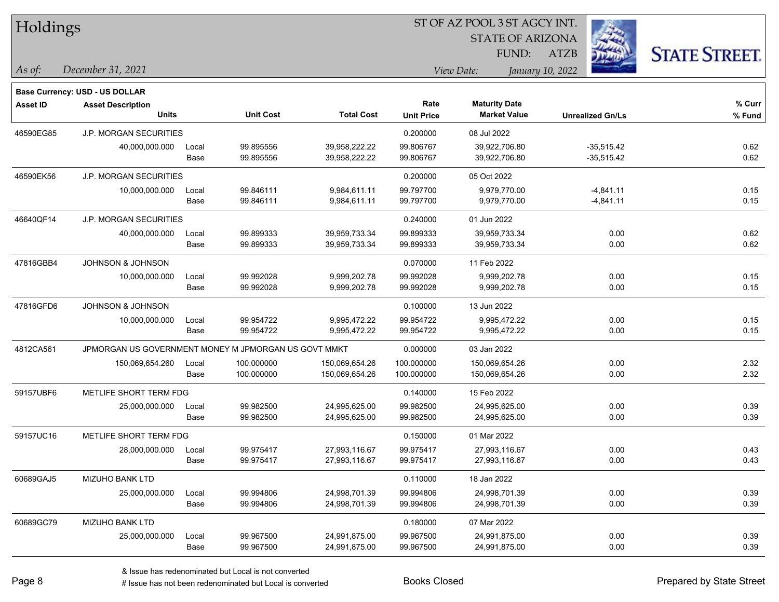| Holdings        |                                                      |       |                  |                   |                   | ST OF AZ POOL 3 ST AGCY INT. |                         |                      |  |
|-----------------|------------------------------------------------------|-------|------------------|-------------------|-------------------|------------------------------|-------------------------|----------------------|--|
|                 |                                                      |       |                  |                   |                   | <b>STATE OF ARIZONA</b>      |                         |                      |  |
|                 |                                                      |       |                  |                   |                   | FUND:                        | ATZB                    | <b>STATE STREET.</b> |  |
| As of:          | December 31, 2021                                    |       |                  |                   |                   | View Date:                   | January 10, 2022        |                      |  |
|                 | <b>Base Currency: USD - US DOLLAR</b>                |       |                  |                   |                   |                              |                         |                      |  |
| <b>Asset ID</b> | <b>Asset Description</b>                             |       |                  |                   | Rate              | <b>Maturity Date</b>         |                         | $%$ Curr             |  |
|                 | <b>Units</b>                                         |       | <b>Unit Cost</b> | <b>Total Cost</b> | <b>Unit Price</b> | <b>Market Value</b>          | <b>Unrealized Gn/Ls</b> | % Fund               |  |
| 46590EG85       | <b>J.P. MORGAN SECURITIES</b>                        |       |                  |                   | 0.200000          | 08 Jul 2022                  |                         |                      |  |
|                 | 40,000,000.000                                       | Local | 99.895556        | 39,958,222.22     | 99.806767         | 39,922,706.80                | $-35,515.42$            | 0.62                 |  |
|                 |                                                      | Base  | 99.895556        | 39,958,222.22     | 99.806767         | 39,922,706.80                | $-35,515.42$            | 0.62                 |  |
| 46590EK56       | J.P. MORGAN SECURITIES                               |       |                  |                   | 0.200000          | 05 Oct 2022                  |                         |                      |  |
|                 | 10,000,000.000                                       | Local | 99.846111        | 9,984,611.11      | 99.797700         | 9,979,770.00                 | $-4,841.11$             | 0.15                 |  |
|                 |                                                      | Base  | 99.846111        | 9,984,611.11      | 99.797700         | 9,979,770.00                 | $-4,841.11$             | 0.15                 |  |
| 46640QF14       | <b>J.P. MORGAN SECURITIES</b>                        |       |                  |                   | 0.240000          | 01 Jun 2022                  |                         |                      |  |
|                 | 40,000,000.000                                       | Local | 99.899333        | 39,959,733.34     | 99.899333         | 39,959,733.34                | 0.00                    | 0.62                 |  |
|                 |                                                      | Base  | 99.899333        | 39,959,733.34     | 99.899333         | 39,959,733.34                | 0.00                    | 0.62                 |  |
| 47816GBB4       | <b>JOHNSON &amp; JOHNSON</b>                         |       |                  |                   | 0.070000          | 11 Feb 2022                  |                         |                      |  |
|                 | 10,000,000.000                                       | Local | 99.992028        | 9,999,202.78      | 99.992028         | 9,999,202.78                 | 0.00                    | 0.15                 |  |
|                 |                                                      | Base  | 99.992028        | 9,999,202.78      | 99.992028         | 9,999,202.78                 | 0.00                    | 0.15                 |  |
| 47816GFD6       | JOHNSON & JOHNSON                                    |       |                  |                   | 0.100000          | 13 Jun 2022                  |                         |                      |  |
|                 | 10,000,000.000                                       | Local | 99.954722        | 9,995,472.22      | 99.954722         | 9,995,472.22                 | 0.00                    | 0.15                 |  |
|                 |                                                      | Base  | 99.954722        | 9,995,472.22      | 99.954722         | 9,995,472.22                 | 0.00                    | 0.15                 |  |
| 4812CA561       | JPMORGAN US GOVERNMENT MONEY M JPMORGAN US GOVT MMKT |       |                  |                   | 0.000000          | 03 Jan 2022                  |                         |                      |  |
|                 | 150,069,654.260                                      | Local | 100.000000       | 150,069,654.26    | 100.000000        | 150,069,654.26               | 0.00                    | 2.32                 |  |
|                 |                                                      | Base  | 100.000000       | 150,069,654.26    | 100.000000        | 150,069,654.26               | 0.00                    | 2.32                 |  |
| 59157UBF6       | METLIFE SHORT TERM FDG                               |       |                  |                   | 0.140000          | 15 Feb 2022                  |                         |                      |  |
|                 | 25,000,000.000                                       | Local | 99.982500        | 24,995,625.00     | 99.982500         | 24,995,625.00                | 0.00                    | 0.39                 |  |
|                 |                                                      | Base  | 99.982500        | 24,995,625.00     | 99.982500         | 24,995,625.00                | 0.00                    | 0.39                 |  |
| 59157UC16       | METLIFE SHORT TERM FDG                               |       |                  |                   | 0.150000          | 01 Mar 2022                  |                         |                      |  |
|                 | 28,000,000.000                                       | Local | 99.975417        | 27,993,116.67     | 99.975417         | 27,993,116.67                | 0.00                    | 0.43                 |  |
|                 |                                                      | Base  | 99.975417        | 27,993,116.67     | 99.975417         | 27,993,116.67                | 0.00                    | 0.43                 |  |
| 60689GAJ5       | MIZUHO BANK LTD                                      |       |                  |                   | 0.110000          | 18 Jan 2022                  |                         |                      |  |
|                 | 25,000,000.000                                       | Local | 99.994806        | 24,998,701.39     | 99.994806         | 24,998,701.39                | 0.00                    | 0.39                 |  |
|                 |                                                      | Base  | 99.994806        | 24,998,701.39     | 99.994806         | 24,998,701.39                | 0.00                    | 0.39                 |  |
| 60689GC79       | MIZUHO BANK LTD                                      |       |                  |                   | 0.180000          | 07 Mar 2022                  |                         |                      |  |
|                 | 25,000,000.000                                       | Local | 99.967500        | 24,991,875.00     | 99.967500         | 24,991,875.00                | 0.00                    | 0.39                 |  |
|                 |                                                      | Base  | 99.967500        | 24,991,875.00     | 99.967500         | 24,991,875.00                | 0.00                    | 0.39                 |  |

 $\overline{\phantom{0}}$ 

 $\overline{\phantom{0}}$ 

 $\overline{\phantom{0}}$ 

 $\overline{a}$ 

 $\overline{\phantom{0}}$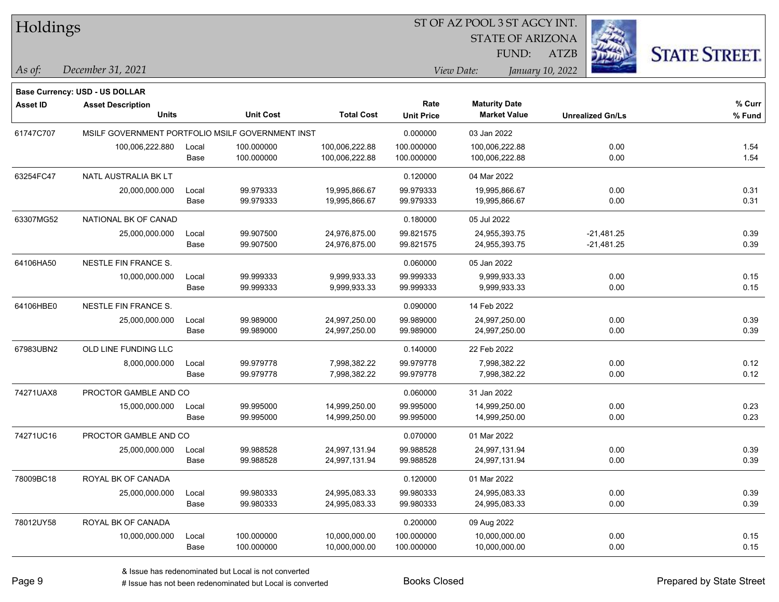Holdings

#### ST OF AZ POOL 3 ST AGCY INT.

STATE OF ARIZONA FUND:



*December 31, 2021 As of: View Date: January 10, 2022*

**Base Currency: USD - US DOLLAR**

ATZB

| Asset ID  | <b>Asset Description</b>                         |       |                  |                   | Rate              | <b>Maturity Date</b> |                         | % Curr |
|-----------|--------------------------------------------------|-------|------------------|-------------------|-------------------|----------------------|-------------------------|--------|
|           | <b>Units</b>                                     |       | <b>Unit Cost</b> | <b>Total Cost</b> | <b>Unit Price</b> | <b>Market Value</b>  | <b>Unrealized Gn/Ls</b> | % Fund |
| 61747C707 | MSILF GOVERNMENT PORTFOLIO MSILF GOVERNMENT INST |       |                  |                   | 0.000000          | 03 Jan 2022          |                         |        |
|           | 100,006,222.880                                  | Local | 100.000000       | 100,006,222.88    | 100.000000        | 100,006,222.88       | 0.00                    | 1.54   |
|           |                                                  | Base  | 100.000000       | 100,006,222.88    | 100.000000        | 100,006,222.88       | 0.00                    | 1.54   |
| 63254FC47 | NATL AUSTRALIA BK LT                             |       |                  |                   | 0.120000          | 04 Mar 2022          |                         |        |
|           | 20,000,000.000                                   | Local | 99.979333        | 19,995,866.67     | 99.979333         | 19,995,866.67        | 0.00                    | 0.31   |
|           |                                                  | Base  | 99.979333        | 19,995,866.67     | 99.979333         | 19,995,866.67        | 0.00                    | 0.31   |
| 63307MG52 | NATIONAL BK OF CANAD                             |       |                  |                   | 0.180000          | 05 Jul 2022          |                         |        |
|           | 25,000,000.000                                   | Local | 99.907500        | 24,976,875.00     | 99.821575         | 24,955,393.75        | $-21,481.25$            | 0.39   |
|           |                                                  | Base  | 99.907500        | 24,976,875.00     | 99.821575         | 24,955,393.75        | $-21,481.25$            | 0.39   |
| 64106HA50 | NESTLE FIN FRANCE S.                             |       |                  |                   | 0.060000          | 05 Jan 2022          |                         |        |
|           | 10,000,000.000                                   | Local | 99.999333        | 9,999,933.33      | 99.999333         | 9,999,933.33         | 0.00                    | 0.15   |
|           |                                                  | Base  | 99.999333        | 9,999,933.33      | 99.999333         | 9,999,933.33         | 0.00                    | 0.15   |
| 64106HBE0 | NESTLE FIN FRANCE S.                             |       |                  |                   | 0.090000          | 14 Feb 2022          |                         |        |
|           | 25,000,000.000                                   | Local | 99.989000        | 24,997,250.00     | 99.989000         | 24,997,250.00        | 0.00                    | 0.39   |
|           |                                                  | Base  | 99.989000        | 24,997,250.00     | 99.989000         | 24,997,250.00        | 0.00                    | 0.39   |
| 67983UBN2 | OLD LINE FUNDING LLC                             |       |                  |                   | 0.140000          | 22 Feb 2022          |                         |        |
|           | 8,000,000.000                                    | Local | 99.979778        | 7,998,382.22      | 99.979778         | 7,998,382.22         | 0.00                    | 0.12   |
|           |                                                  | Base  | 99.979778        | 7,998,382.22      | 99.979778         | 7,998,382.22         | 0.00                    | 0.12   |
| 74271UAX8 | PROCTOR GAMBLE AND CO                            |       |                  |                   | 0.060000          | 31 Jan 2022          |                         |        |
|           | 15,000,000.000                                   | Local | 99.995000        | 14,999,250.00     | 99.995000         | 14,999,250.00        | 0.00                    | 0.23   |
|           |                                                  | Base  | 99.995000        | 14,999,250.00     | 99.995000         | 14,999,250.00        | 0.00                    | 0.23   |
| 74271UC16 | PROCTOR GAMBLE AND CO                            |       |                  |                   | 0.070000          | 01 Mar 2022          |                         |        |
|           | 25,000,000.000                                   | Local | 99.988528        | 24,997,131.94     | 99.988528         | 24,997,131.94        | 0.00                    | 0.39   |
|           |                                                  | Base  | 99.988528        | 24,997,131.94     | 99.988528         | 24,997,131.94        | 0.00                    | 0.39   |
| 78009BC18 | ROYAL BK OF CANADA                               |       |                  |                   | 0.120000          | 01 Mar 2022          |                         |        |
|           | 25,000,000.000                                   | Local | 99.980333        | 24,995,083.33     | 99.980333         | 24,995,083.33        | 0.00                    | 0.39   |
|           |                                                  | Base  | 99.980333        | 24,995,083.33     | 99.980333         | 24,995,083.33        | 0.00                    | 0.39   |
| 78012UY58 | ROYAL BK OF CANADA                               |       |                  |                   | 0.200000          | 09 Aug 2022          |                         |        |
|           | 10,000,000.000                                   | Local | 100.000000       | 10,000,000.00     | 100.000000        | 10,000,000.00        | 0.00                    | 0.15   |
|           |                                                  | Base  | 100.000000       | 10,000,000.00     | 100.000000        | 10,000,000.00        | 0.00                    | 0.15   |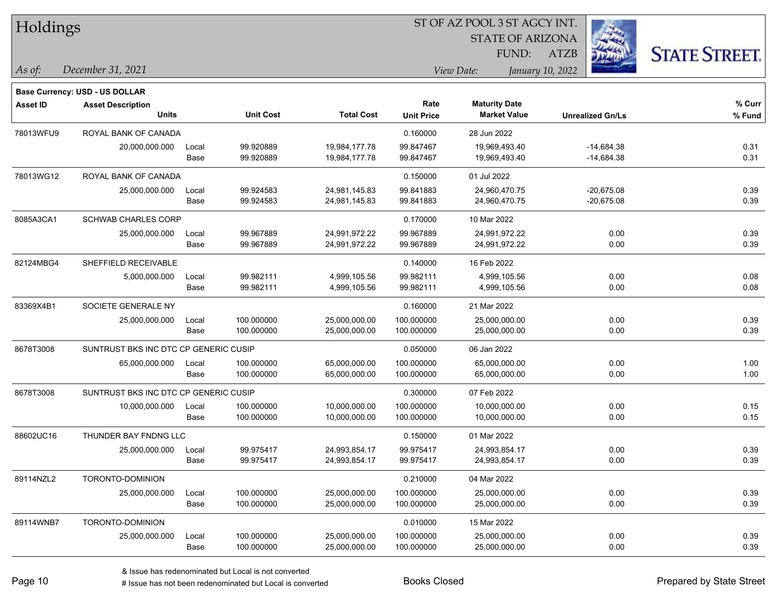| Holdings        |                                       |       |                  |                   | ST OF AZ POOL 3 ST AGCY INT.<br><b>STATE OF ARIZONA</b> |                      |                         |                      |  |  |
|-----------------|---------------------------------------|-------|------------------|-------------------|---------------------------------------------------------|----------------------|-------------------------|----------------------|--|--|
|                 |                                       |       |                  |                   |                                                         | FUND:                | ATZB                    |                      |  |  |
| As of:          | December 31, 2021                     |       |                  |                   |                                                         | View Date:           | January 10, 2022        | <b>STATE STREET.</b> |  |  |
|                 | Base Currency: USD - US DOLLAR        |       |                  |                   |                                                         |                      |                         |                      |  |  |
| <b>Asset ID</b> | <b>Asset Description</b>              |       |                  |                   | Rate                                                    | <b>Maturity Date</b> |                         | % Curr               |  |  |
|                 | <b>Units</b>                          |       | <b>Unit Cost</b> | <b>Total Cost</b> | <b>Unit Price</b>                                       | <b>Market Value</b>  | <b>Unrealized Gn/Ls</b> | % Fund               |  |  |
| 78013WFU9       | ROYAL BANK OF CANADA                  |       |                  |                   | 0.160000                                                | 28 Jun 2022          |                         |                      |  |  |
|                 | 20,000,000.000                        | Local | 99.920889        | 19,984,177.78     | 99.847467                                               | 19,969,493.40        | $-14,684.38$            | 0.31                 |  |  |
|                 |                                       | Base  | 99.920889        | 19,984,177.78     | 99.847467                                               | 19,969,493.40        | $-14,684.38$            | 0.31                 |  |  |
| 78013WG12       | ROYAL BANK OF CANADA                  |       |                  |                   | 0.150000                                                | 01 Jul 2022          |                         |                      |  |  |
|                 | 25,000,000.000                        | Local | 99.924583        | 24,981,145.83     | 99.841883                                               | 24,960,470.75        | $-20,675.08$            | 0.39                 |  |  |
|                 |                                       | Base  | 99.924583        | 24,981,145.83     | 99.841883                                               | 24,960,470.75        | $-20,675.08$            | 0.39                 |  |  |
| 8085A3CA1       | <b>SCHWAB CHARLES CORP</b>            |       |                  |                   | 0.170000                                                | 10 Mar 2022          |                         |                      |  |  |
|                 | 25,000,000.000                        | Local | 99.967889        | 24,991,972.22     | 99.967889                                               | 24,991,972.22        | 0.00                    | 0.39                 |  |  |
|                 |                                       | Base  | 99.967889        | 24,991,972.22     | 99.967889                                               | 24,991,972.22        | 0.00                    | 0.39                 |  |  |
| 82124MBG4       | SHEFFIELD RECEIVABLE                  |       |                  |                   | 0.140000                                                | 16 Feb 2022          |                         |                      |  |  |
|                 | 5,000,000.000                         | Local | 99.982111        | 4,999,105.56      | 99.982111                                               | 4,999,105.56         | 0.00                    | 0.08                 |  |  |
|                 |                                       | Base  | 99.982111        | 4,999,105.56      | 99.982111                                               | 4,999,105.56         | 0.00                    | 0.08                 |  |  |
| 83369X4B1       | SOCIETE GENERALE NY                   |       |                  |                   | 0.160000                                                | 21 Mar 2022          |                         |                      |  |  |
|                 | 25,000,000.000                        | Local | 100.000000       | 25,000,000.00     | 100.000000                                              | 25,000,000.00        | 0.00                    | 0.39                 |  |  |
|                 |                                       | Base  | 100.000000       | 25,000,000.00     | 100.000000                                              | 25,000,000.00        | 0.00                    | 0.39                 |  |  |
| 8678T3008       | SUNTRUST BKS INC DTC CP GENERIC CUSIP |       |                  |                   | 0.050000                                                | 06 Jan 2022          |                         |                      |  |  |
|                 | 65,000,000.000                        | Local | 100.000000       | 65,000,000.00     | 100.000000                                              | 65,000,000.00        | 0.00                    | 1.00                 |  |  |
|                 |                                       | Base  | 100.000000       | 65,000,000.00     | 100.000000                                              | 65,000,000.00        | 0.00                    | 1.00                 |  |  |
| 8678T3008       | SUNTRUST BKS INC DTC CP GENERIC CUSIP |       |                  |                   | 0.300000                                                | 07 Feb 2022          |                         |                      |  |  |
|                 | 10,000,000.000                        | Local | 100.000000       | 10,000,000.00     | 100.000000                                              | 10,000,000.00        | 0.00                    | 0.15                 |  |  |
|                 |                                       | Base  | 100.000000       | 10,000,000.00     | 100.000000                                              | 10,000,000.00        | 0.00                    | 0.15                 |  |  |
| 88602UC16       | THUNDER BAY FNDNG LLC                 |       |                  |                   | 0.150000                                                | 01 Mar 2022          |                         |                      |  |  |
|                 | 25,000,000.000                        | Local | 99.975417        | 24,993,854.17     | 99.975417                                               | 24,993,854.17        | 0.00                    | 0.39                 |  |  |
|                 |                                       | Base  | 99.975417        | 24,993,854.17     | 99.975417                                               | 24,993,854.17        | 0.00                    | 0.39                 |  |  |
| 89114NZL2       | TORONTO-DOMINION                      |       |                  |                   | 0.210000                                                | 04 Mar 2022          |                         |                      |  |  |
|                 | 25,000,000.000                        | Local | 100.000000       | 25,000,000.00     | 100.000000                                              | 25,000,000.00        | 0.00                    | 0.39                 |  |  |
|                 |                                       | Base  | 100.000000       | 25,000,000.00     | 100.000000                                              | 25,000,000.00        | 0.00                    | 0.39                 |  |  |
| 89114WNB7       | TORONTO-DOMINION                      |       |                  |                   | 0.010000                                                | 15 Mar 2022          |                         |                      |  |  |
|                 | 25,000,000.000                        | Local | 100.000000       | 25,000,000.00     | 100.000000                                              | 25,000,000.00        | 0.00                    | 0.39                 |  |  |
|                 |                                       | Base  | 100.000000       | 25,000,000.00     | 100.000000                                              | 25,000,000.00        | 0.00                    | 0.39                 |  |  |

 $\overline{\phantom{0}}$ 

 $\overline{\phantom{0}}$ 

 $\overline{\phantom{0}}$ 

 $\overline{\phantom{0}}$ 

 $\overline{\phantom{0}}$ 

# Issue has not been redenominated but Local is converted Books Closed Prepared by State Street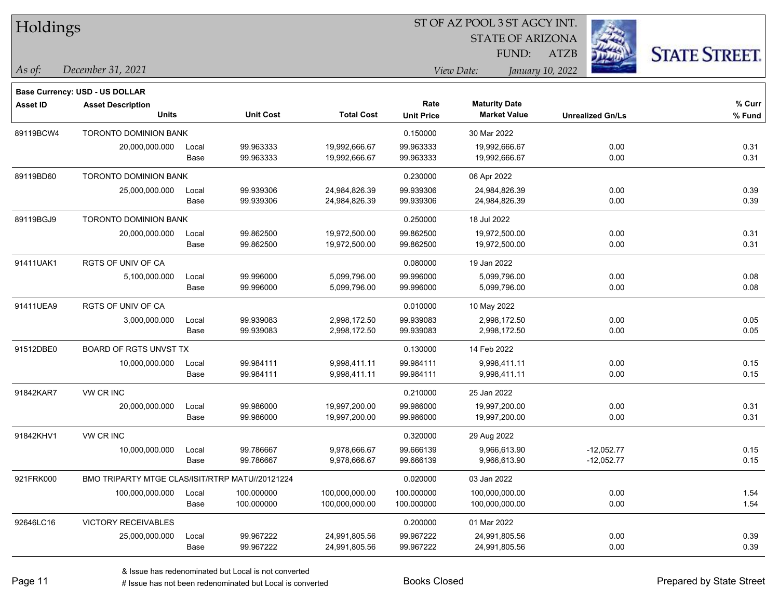| Holdings        |                                                 |       |                  |                   |                   | ST OF AZ POOL 3 ST AGCY INT. |                         |                         |                      |
|-----------------|-------------------------------------------------|-------|------------------|-------------------|-------------------|------------------------------|-------------------------|-------------------------|----------------------|
|                 |                                                 |       |                  |                   |                   |                              | <b>STATE OF ARIZONA</b> |                         |                      |
|                 |                                                 |       |                  |                   |                   | FUND:                        | <b>ATZB</b>             |                         | <b>STATE STREET.</b> |
| As of:          | December 31, 2021                               |       |                  |                   | View Date:        |                              | January 10, 2022        |                         |                      |
|                 | Base Currency: USD - US DOLLAR                  |       |                  |                   |                   |                              |                         |                         |                      |
| <b>Asset ID</b> | <b>Asset Description</b>                        |       |                  |                   | Rate              | <b>Maturity Date</b>         |                         |                         | % Curr               |
|                 | <b>Units</b>                                    |       | <b>Unit Cost</b> | <b>Total Cost</b> | <b>Unit Price</b> | <b>Market Value</b>          |                         | <b>Unrealized Gn/Ls</b> | % Fund               |
| 89119BCW4       | <b>TORONTO DOMINION BANK</b>                    |       |                  |                   | 0.150000          | 30 Mar 2022                  |                         |                         |                      |
|                 | 20,000,000.000                                  | Local | 99.963333        | 19,992,666.67     | 99.963333         | 19,992,666.67                |                         | 0.00                    | 0.31                 |
|                 |                                                 | Base  | 99.963333        | 19,992,666.67     | 99.963333         | 19,992,666.67                |                         | 0.00                    | 0.31                 |
| 89119BD60       | <b>TORONTO DOMINION BANK</b>                    |       |                  |                   | 0.230000          | 06 Apr 2022                  |                         |                         |                      |
|                 | 25,000,000.000                                  | Local | 99.939306        | 24,984,826.39     | 99.939306         | 24,984,826.39                |                         | 0.00                    | 0.39                 |
|                 |                                                 | Base  | 99.939306        | 24,984,826.39     | 99.939306         | 24,984,826.39                |                         | 0.00                    | 0.39                 |
| 89119BGJ9       | <b>TORONTO DOMINION BANK</b>                    |       |                  |                   | 0.250000          | 18 Jul 2022                  |                         |                         |                      |
|                 | 20,000,000.000                                  | Local | 99.862500        | 19,972,500.00     | 99.862500         | 19,972,500.00                |                         | 0.00                    | 0.31                 |
|                 |                                                 | Base  | 99.862500        | 19,972,500.00     | 99.862500         | 19,972,500.00                |                         | 0.00                    | 0.31                 |
| 91411UAK1       | RGTS OF UNIV OF CA                              |       |                  |                   | 0.080000          | 19 Jan 2022                  |                         |                         |                      |
|                 | 5,100,000.000                                   | Local | 99.996000        | 5,099,796.00      | 99.996000         | 5,099,796.00                 |                         | 0.00                    | 0.08                 |
|                 |                                                 | Base  | 99.996000        | 5,099,796.00      | 99.996000         | 5,099,796.00                 |                         | 0.00                    | 0.08                 |
| 91411UEA9       | <b>RGTS OF UNIV OF CA</b>                       |       |                  |                   | 0.010000          | 10 May 2022                  |                         |                         |                      |
|                 | 3,000,000.000                                   | Local | 99.939083        | 2,998,172.50      | 99.939083         | 2,998,172.50                 |                         | 0.00                    | 0.05                 |
|                 |                                                 | Base  | 99.939083        | 2,998,172.50      | 99.939083         | 2,998,172.50                 |                         | 0.00                    | 0.05                 |
| 91512DBE0       | <b>BOARD OF RGTS UNVST TX</b>                   |       |                  |                   | 0.130000          | 14 Feb 2022                  |                         |                         |                      |
|                 | 10,000,000.000                                  | Local | 99.984111        | 9,998,411.11      | 99.984111         | 9,998,411.11                 |                         | 0.00                    | 0.15                 |
|                 |                                                 | Base  | 99.984111        | 9,998,411.11      | 99.984111         | 9,998,411.11                 |                         | 0.00                    | 0.15                 |
| 91842KAR7       | VW CR INC                                       |       |                  |                   | 0.210000          | 25 Jan 2022                  |                         |                         |                      |
|                 | 20,000,000.000                                  | Local | 99.986000        | 19,997,200.00     | 99.986000         | 19,997,200.00                |                         | 0.00                    | 0.31                 |
|                 |                                                 | Base  | 99.986000        | 19,997,200.00     | 99.986000         | 19,997,200.00                |                         | 0.00                    | 0.31                 |
| 91842KHV1       | VW CR INC                                       |       |                  |                   | 0.320000          | 29 Aug 2022                  |                         |                         |                      |
|                 | 10,000,000.000                                  | Local | 99.786667        | 9,978,666.67      | 99.666139         | 9,966,613.90                 |                         | $-12,052.77$            | 0.15                 |
|                 |                                                 | Base  | 99.786667        | 9,978,666.67      | 99.666139         | 9,966,613.90                 |                         | $-12,052.77$            | 0.15                 |
| 921FRK000       | BMO TRIPARTY MTGE CLAS/ISIT/RTRP MATU//20121224 |       |                  |                   | 0.020000          | 03 Jan 2022                  |                         |                         |                      |
|                 | 100,000,000.000                                 | Local | 100.000000       | 100,000,000.00    | 100.000000        | 100,000,000.00               |                         | 0.00                    | 1.54                 |
|                 |                                                 | Base  | 100.000000       | 100,000,000.00    | 100.000000        | 100,000,000.00               |                         | 0.00                    | 1.54                 |
| 92646LC16       | VICTORY RECEIVABLES                             |       |                  |                   | 0.200000          | 01 Mar 2022                  |                         |                         |                      |
|                 | 25,000,000.000                                  | Local | 99.967222        | 24,991,805.56     | 99.967222         | 24,991,805.56                |                         | 0.00                    | 0.39                 |
|                 |                                                 | Base  | 99.967222        | 24,991,805.56     | 99.967222         | 24,991,805.56                |                         | 0.00                    | 0.39                 |

 $\overline{\phantom{a}}$ 

 $\overline{\phantom{0}}$ 

 $\overline{\phantom{0}}$ 

 $\overline{\phantom{0}}$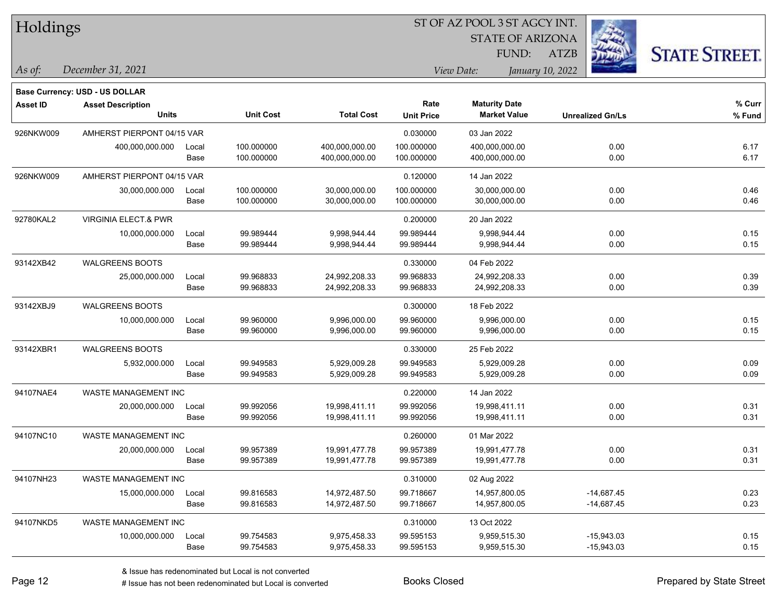Holdings STATE OF ARIZONA **STATE STREET.** FUND: ATZB *December 31, 2021 As of: View Date: January 10, 2022* **Base Currency: USD - US DOLLAR Asset ID Asset Description Rate Maturity Date % Curr Units Unit Cost Total Cost Unit Price Market Value Unrealized Gn/Ls % Fund** 926NKW009 AMHERST PIERPONT 04/15 VAR 0.03000 03 Jan 2022 400,000,000.000 Local 100.000000 400,000,000.00 100.000000 400,000,000.00 0.00 6.17 Base 100.000000 400,000,000.00 100.000000 400,000,000.00 0.00 6.17 926NKW009 AMHERST PIERPONT 04/15 VAR 0.120000 14 Jan 2022 30,000,000.000 Local 100.000000 30,000,000.00 100.000000 30,000,000.00 0.00 0.46 Base 100.000000 30,000,000.00 100.000000 30,000,000.00 0.00 0.46 92780KAL2 VIRGINIA ELECT.& PWR 0.20000 20 Jan 2022 10,000,000.000 Local 99.989444 9,998,944.44 9,998,94444 0.00 0.15 Base 99.989444 9,998,944.44 99.989444 9,998,944.44 0.00 0.15 93142XB42 WALGREENS BOOTS 0.330000 04 Feb 2022 25,000,000.000 Local 99.968833 24,992,208.33 99.968833 24,992,208.33 0.00 0.39 Base 99.968833 24,992,208.33 99.968833 24,992,208.33 0.00 0.39 93142XBJ9 WALGREENS BOOTS 0.300000 18 Feb 2022 10,000,000.000 Local 99.960000 9,996,000.00 99.960000 9,996,000.00 0.00 0.15 Base 99.960000 9,996,000.00 99.960000 9,996,000.00 0.00 0.15 93142XBR1 WALGREENS BOOTS 0.330000 25 Feb 2022 5,932,000.000 Local 99.949583 5,929,009.28 99.949583 5,929,009.28 0.00 0.09 Base 99.949583 5,929,009.28 99.949583 5,929,009.28 0.00 0.09 94107NAE4 WASTE MANAGEMENT INC 0.220000 14 Jan 2022 20,000,000.000 Local 99.992056 19,998,411.11 99.992056 19,998,411.11 0.00 0.31 Base 99.992056 19,998,411.11 99.992056 19,998,411.11 0.00 0.31 94107NC10 WASTE MANAGEMENT INC **0.260000** 01 Mar 2022 20,000,000.000 Local 99.957389 19,991,477.78 99.957389 19,991,477.78 0.00 0.31 Base 99.957389 19,991,477.78 99.957389 19,991,477.78 0.00 0.31 94107NH23 WASTE MANAGEMENT INC 0.310000 02 Aug 2022 15,000,000.000 Local 99.816583 14,972,487.50 99.718667 14,957,800.05 -14,687.45 0.23 Base 99.816583 14,972,487.50 99.718667 14,957,800.05 -14,687.45 0.23 94107NKD5 WASTE MANAGEMENT INC 2002 2002 13 Oct 2022 10,000,000.000 Local 99.754583 9,975,458.33 99.595153 9,959,515.30 -15,943.03 0.15

ST OF AZ POOL 3 ST AGCY INT.

Base 99.754583 9,975,458.33 99.595153 9,959,515.30 -15,943.03 0.15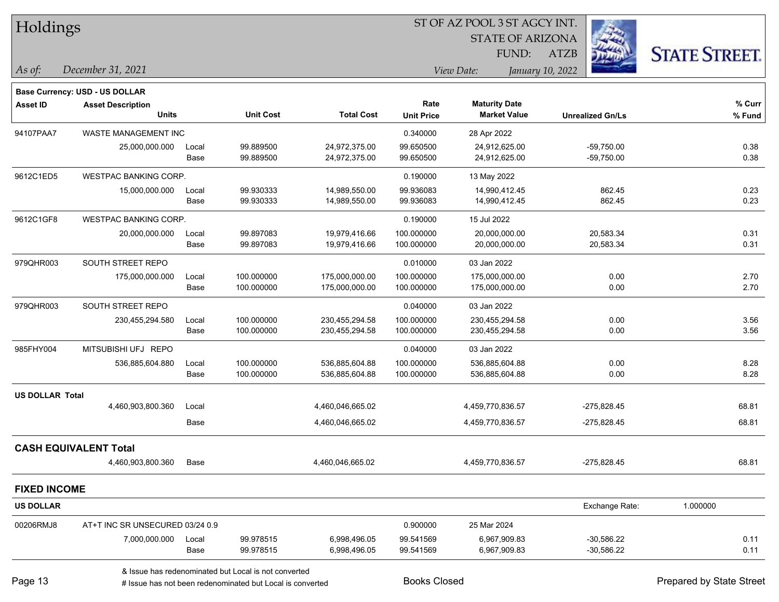| Holdings            |                                          |               |                                                      |                                  |                           | 51 OF AZ POOL 3 51 AGCY INT.<br><b>STATE OF ARIZONA</b><br>FUND: | <b>ATZB</b>                  | <b>STATE STREET.</b> |
|---------------------|------------------------------------------|---------------|------------------------------------------------------|----------------------------------|---------------------------|------------------------------------------------------------------|------------------------------|----------------------|
| As of:              | December 31, 2021                        |               |                                                      |                                  |                           | View Date:                                                       | January 10, 2022             |                      |
|                     | <b>Base Currency: USD - US DOLLAR</b>    |               |                                                      |                                  |                           |                                                                  |                              |                      |
| <b>Asset ID</b>     | <b>Asset Description</b><br><b>Units</b> |               | <b>Unit Cost</b>                                     | <b>Total Cost</b>                | Rate<br><b>Unit Price</b> | <b>Maturity Date</b><br><b>Market Value</b>                      | <b>Unrealized Gn/Ls</b>      | % Curr<br>% Fund     |
| 94107PAA7           | WASTE MANAGEMENT INC                     |               |                                                      |                                  | 0.340000                  | 28 Apr 2022                                                      |                              |                      |
|                     | 25,000,000.000                           | Local<br>Base | 99.889500<br>99.889500                               | 24,972,375.00<br>24,972,375.00   | 99.650500<br>99.650500    | 24,912,625.00<br>24,912,625.00                                   | $-59,750.00$<br>$-59,750.00$ | 0.38<br>0.38         |
| 9612C1ED5           | <b>WESTPAC BANKING CORP.</b>             |               |                                                      |                                  | 0.190000                  | 13 May 2022                                                      |                              |                      |
|                     | 15,000,000.000                           | Local<br>Base | 99.930333<br>99.930333                               | 14,989,550.00<br>14,989,550.00   | 99.936083<br>99.936083    | 14,990,412.45<br>14,990,412.45                                   | 862.45<br>862.45             | 0.23<br>0.23         |
| 9612C1GF8           | <b>WESTPAC BANKING CORP.</b>             |               |                                                      |                                  | 0.190000                  | 15 Jul 2022                                                      |                              |                      |
|                     | 20,000,000.000                           | Local<br>Base | 99.897083<br>99.897083                               | 19,979,416.66<br>19,979,416.66   | 100.000000<br>100.000000  | 20,000,000.00<br>20,000,000.00                                   | 20,583.34<br>20,583.34       | 0.31<br>0.31         |
| 979QHR003           | SOUTH STREET REPO                        |               |                                                      |                                  | 0.010000                  | 03 Jan 2022                                                      |                              |                      |
|                     | 175,000,000.000                          | Local<br>Base | 100.000000<br>100.000000                             | 175,000,000.00<br>175,000,000.00 | 100.000000<br>100.000000  | 175,000,000.00<br>175,000,000.00                                 | 0.00<br>0.00                 | 2.70<br>2.70         |
| 979QHR003           | SOUTH STREET REPO                        |               |                                                      |                                  | 0.040000                  | 03 Jan 2022                                                      |                              |                      |
|                     | 230,455,294.580                          | Local         | 100.000000                                           | 230,455,294.58                   | 100.000000                | 230,455,294.58                                                   | 0.00                         | 3.56                 |
|                     |                                          | Base          | 100.000000                                           | 230,455,294.58                   | 100.000000                | 230,455,294.58                                                   | 0.00                         | 3.56                 |
| 985FHY004           | MITSUBISHI UFJ REPO                      |               |                                                      |                                  | 0.040000                  | 03 Jan 2022                                                      |                              |                      |
|                     | 536,885,604.880                          | Local<br>Base | 100.000000<br>100.000000                             | 536,885,604.88<br>536,885,604.88 | 100.000000<br>100.000000  | 536,885,604.88<br>536,885,604.88                                 | 0.00<br>0.00                 | 8.28<br>8.28         |
| US DOLLAR Total     |                                          |               |                                                      |                                  |                           |                                                                  |                              |                      |
|                     | 4,460,903,800.360                        | Local         |                                                      | 4,460,046,665.02                 |                           | 4,459,770,836.57                                                 | $-275,828.45$                | 68.81                |
|                     |                                          | Base          |                                                      | 4,460,046,665.02                 |                           | 4,459,770,836.57                                                 | $-275,828.45$                | 68.81                |
|                     | <b>CASH EQUIVALENT Total</b>             |               |                                                      |                                  |                           |                                                                  |                              |                      |
|                     | 4,460,903,800.360 Base                   |               |                                                      | 4,460,046,665.02                 |                           | 4,459,770,836.57                                                 | $-275,828.45$                | 68.81                |
| <b>FIXED INCOME</b> |                                          |               |                                                      |                                  |                           |                                                                  |                              |                      |
| US DOLLAR           |                                          |               |                                                      |                                  |                           |                                                                  | Exchange Rate:               | 1.000000             |
| 00206RMJ8           | AT+T INC SR UNSECURED 03/24 0.9          |               |                                                      |                                  | 0.900000                  | 25 Mar 2024                                                      |                              |                      |
|                     | 7,000,000.000                            | Local<br>Base | 99.978515<br>99.978515                               | 6,998,496.05<br>6,998,496.05     | 99.541569<br>99.541569    | 6,967,909.83<br>6,967,909.83                                     | $-30,586.22$<br>$-30,586.22$ | 0.11<br>0.11         |
|                     |                                          |               | & Issue has redenominated but Local is not converted |                                  |                           |                                                                  |                              |                      |

 $\overline{\text{SUS}}$ 

Page 13

# Issue has not been redenominated but Local is converted Books Closed Prepared by State Street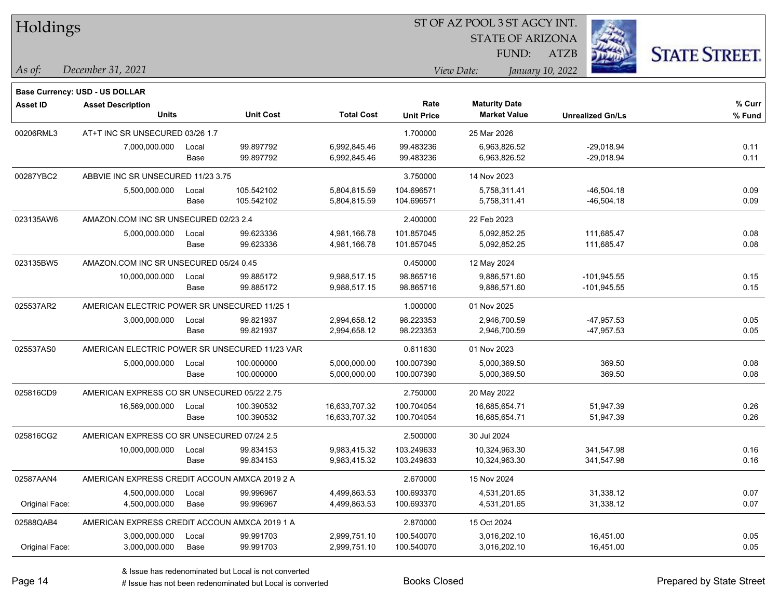| Holdings        |                                                |       |                  |                   | ST OF AZ POOL 3 ST AGCY INT. |                         |                         |                      |  |  |
|-----------------|------------------------------------------------|-------|------------------|-------------------|------------------------------|-------------------------|-------------------------|----------------------|--|--|
|                 |                                                |       |                  |                   |                              | <b>STATE OF ARIZONA</b> |                         |                      |  |  |
|                 |                                                |       |                  |                   |                              | FUND:                   | ATZB                    | <b>STATE STREET.</b> |  |  |
| As of:          | December 31, 2021                              |       |                  |                   |                              | View Date:              | January 10, 2022        |                      |  |  |
|                 | Base Currency: USD - US DOLLAR                 |       |                  |                   |                              |                         |                         |                      |  |  |
| <b>Asset ID</b> | <b>Asset Description</b>                       |       |                  |                   | Rate                         | <b>Maturity Date</b>    |                         | % Curr               |  |  |
|                 | <b>Units</b>                                   |       | <b>Unit Cost</b> | <b>Total Cost</b> | <b>Unit Price</b>            | <b>Market Value</b>     | <b>Unrealized Gn/Ls</b> | % Fund               |  |  |
| 00206RML3       | AT+T INC SR UNSECURED 03/26 1.7                |       |                  |                   | 1.700000                     | 25 Mar 2026             |                         |                      |  |  |
|                 | 7,000,000.000                                  | Local | 99.897792        | 6,992,845.46      | 99.483236                    | 6,963,826.52            | $-29,018.94$            | 0.11                 |  |  |
|                 |                                                | Base  | 99.897792        | 6,992,845.46      | 99.483236                    | 6,963,826.52            | $-29,018.94$            | 0.11                 |  |  |
| 00287YBC2       | ABBVIE INC SR UNSECURED 11/23 3.75             |       |                  |                   | 3.750000                     | 14 Nov 2023             |                         |                      |  |  |
|                 | 5,500,000.000                                  | Local | 105.542102       | 5,804,815.59      | 104.696571                   | 5,758,311.41            | $-46,504.18$            | 0.09                 |  |  |
|                 |                                                | Base  | 105.542102       | 5,804,815.59      | 104.696571                   | 5,758,311.41            | $-46,504.18$            | 0.09                 |  |  |
| 023135AW6       | AMAZON.COM INC SR UNSECURED 02/23 2.4          |       |                  |                   | 2.400000                     | 22 Feb 2023             |                         |                      |  |  |
|                 | 5,000,000.000                                  | Local | 99.623336        | 4,981,166.78      | 101.857045                   | 5,092,852.25            | 111,685.47              | 0.08                 |  |  |
|                 |                                                | Base  | 99.623336        | 4,981,166.78      | 101.857045                   | 5,092,852.25            | 111,685.47              | 0.08                 |  |  |
| 023135BW5       | AMAZON.COM INC SR UNSECURED 05/24 0.45         |       |                  |                   | 0.450000                     | 12 May 2024             |                         |                      |  |  |
|                 | 10,000,000.000                                 | Local | 99.885172        | 9,988,517.15      | 98.865716                    | 9,886,571.60            | $-101,945.55$           | 0.15                 |  |  |
|                 |                                                | Base  | 99.885172        | 9,988,517.15      | 98.865716                    | 9,886,571.60            | $-101,945.55$           | 0.15                 |  |  |
| 025537AR2       | AMERICAN ELECTRIC POWER SR UNSECURED 11/25 1   |       |                  |                   | 1.000000                     | 01 Nov 2025             |                         |                      |  |  |
|                 | 3,000,000.000                                  | Local | 99.821937        | 2,994,658.12      | 98.223353                    | 2,946,700.59            | $-47,957.53$            | 0.05                 |  |  |
|                 |                                                | Base  | 99.821937        | 2,994,658.12      | 98.223353                    | 2,946,700.59            | $-47,957.53$            | 0.05                 |  |  |
| 025537AS0       | AMERICAN ELECTRIC POWER SR UNSECURED 11/23 VAR |       |                  |                   | 0.611630                     | 01 Nov 2023             |                         |                      |  |  |
|                 | 5,000,000.000                                  | Local | 100.000000       | 5,000,000.00      | 100.007390                   | 5,000,369.50            | 369.50                  | 0.08                 |  |  |
|                 |                                                | Base  | 100.000000       | 5,000,000.00      | 100.007390                   | 5,000,369.50            | 369.50                  | 0.08                 |  |  |
| 025816CD9       | AMERICAN EXPRESS CO SR UNSECURED 05/22 2.75    |       |                  |                   | 2.750000                     | 20 May 2022             |                         |                      |  |  |
|                 | 16,569,000.000                                 | Local | 100.390532       | 16,633,707.32     | 100.704054                   | 16,685,654.71           | 51,947.39               | 0.26                 |  |  |
|                 |                                                | Base  | 100.390532       | 16,633,707.32     | 100.704054                   | 16,685,654.71           | 51,947.39               | 0.26                 |  |  |
| 025816CG2       | AMERICAN EXPRESS CO SR UNSECURED 07/24 2.5     |       |                  |                   | 2.500000                     | 30 Jul 2024             |                         |                      |  |  |
|                 | 10,000,000.000                                 | Local | 99.834153        | 9,983,415.32      | 103.249633                   | 10,324,963.30           | 341,547.98              | 0.16                 |  |  |
|                 |                                                | Base  | 99.834153        | 9,983,415.32      | 103.249633                   | 10,324,963.30           | 341,547.98              | 0.16                 |  |  |
| 02587AAN4       | AMERICAN EXPRESS CREDIT ACCOUN AMXCA 2019 2 A  |       |                  |                   | 2.670000                     | 15 Nov 2024             |                         |                      |  |  |
|                 | 4,500,000.000                                  | Local | 99.996967        | 4,499,863.53      | 100.693370                   | 4,531,201.65            | 31,338.12               | 0.07                 |  |  |
| Original Face:  | 4,500,000.000                                  | Base  | 99.996967        | 4,499,863.53      | 100.693370                   | 4,531,201.65            | 31,338.12               | 0.07                 |  |  |
| 02588QAB4       | AMERICAN EXPRESS CREDIT ACCOUN AMXCA 2019 1 A  |       |                  |                   | 2.870000                     | 15 Oct 2024             |                         |                      |  |  |
|                 | 3,000,000.000                                  | Local | 99.991703        | 2,999,751.10      | 100.540070                   | 3,016,202.10            | 16,451.00               | 0.05                 |  |  |
| Original Face:  | 3,000,000.000                                  | Base  | 99.991703        | 2,999,751.10      | 100.540070                   | 3,016,202.10            | 16,451.00               | 0.05                 |  |  |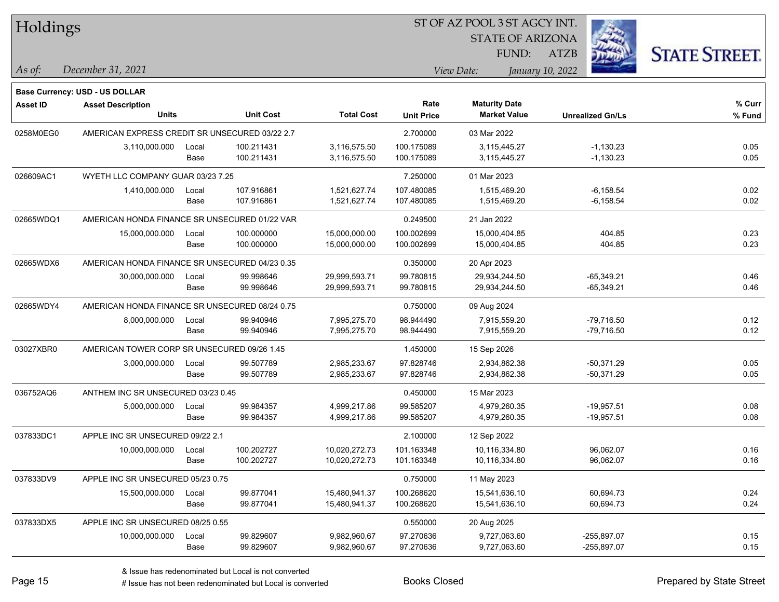| Holdings        |                                                |       |                  |                   |                   | ST OF AZ POOL 3 ST AGCY INT.                |                         |                      |
|-----------------|------------------------------------------------|-------|------------------|-------------------|-------------------|---------------------------------------------|-------------------------|----------------------|
|                 |                                                |       |                  |                   |                   | <b>STATE OF ARIZONA</b>                     |                         |                      |
|                 |                                                |       |                  |                   |                   | FUND:                                       | <b>ATZB</b>             | <b>STATE STREET.</b> |
| As of:          | December 31, 2021                              |       |                  |                   |                   | View Date:                                  | January 10, 2022        |                      |
|                 |                                                |       |                  |                   |                   |                                             |                         |                      |
|                 | <b>Base Currency: USD - US DOLLAR</b>          |       |                  |                   | Rate              |                                             |                         | % Curr               |
| <b>Asset ID</b> | <b>Asset Description</b><br><b>Units</b>       |       | <b>Unit Cost</b> | <b>Total Cost</b> | <b>Unit Price</b> | <b>Maturity Date</b><br><b>Market Value</b> | <b>Unrealized Gn/Ls</b> | % Fund               |
| 0258M0EG0       | AMERICAN EXPRESS CREDIT SR UNSECURED 03/22 2.7 |       |                  |                   | 2.700000          | 03 Mar 2022                                 |                         |                      |
|                 | 3,110,000.000                                  | Local | 100.211431       | 3,116,575.50      | 100.175089        | 3,115,445.27                                | $-1,130.23$             | 0.05                 |
|                 |                                                | Base  | 100.211431       | 3,116,575.50      | 100.175089        | 3,115,445.27                                | $-1,130.23$             | 0.05                 |
| 026609AC1       | WYETH LLC COMPANY GUAR 03/23 7.25              |       |                  |                   | 7.250000          | 01 Mar 2023                                 |                         |                      |
|                 | 1,410,000.000                                  | Local | 107.916861       | 1,521,627.74      | 107.480085        | 1,515,469.20                                | $-6, 158.54$            | 0.02                 |
|                 |                                                | Base  | 107.916861       | 1,521,627.74      | 107.480085        | 1,515,469.20                                | $-6, 158.54$            | 0.02                 |
| 02665WDQ1       | AMERICAN HONDA FINANCE SR UNSECURED 01/22 VAR  |       |                  |                   | 0.249500          | 21 Jan 2022                                 |                         |                      |
|                 | 15,000,000.000                                 | Local | 100.000000       | 15,000,000.00     | 100.002699        | 15,000,404.85                               | 404.85                  | 0.23                 |
|                 |                                                | Base  | 100.000000       | 15,000,000.00     | 100.002699        | 15,000,404.85                               | 404.85                  | 0.23                 |
| 02665WDX6       | AMERICAN HONDA FINANCE SR UNSECURED 04/23 0.35 |       |                  |                   | 0.350000          | 20 Apr 2023                                 |                         |                      |
|                 | 30,000,000.000                                 | Local | 99.998646        | 29,999,593.71     | 99.780815         | 29,934,244.50                               | $-65,349.21$            | 0.46                 |
|                 |                                                | Base  | 99.998646        | 29,999,593.71     | 99.780815         | 29,934,244.50                               | $-65,349.21$            | 0.46                 |
| 02665WDY4       | AMERICAN HONDA FINANCE SR UNSECURED 08/24 0.75 |       |                  |                   | 0.750000          | 09 Aug 2024                                 |                         |                      |
|                 | 8,000,000.000                                  | Local | 99.940946        | 7,995,275.70      | 98.944490         | 7,915,559.20                                | $-79,716.50$            | 0.12                 |
|                 |                                                | Base  | 99.940946        | 7,995,275.70      | 98.944490         | 7,915,559.20                                | $-79,716.50$            | 0.12                 |
| 03027XBR0       | AMERICAN TOWER CORP SR UNSECURED 09/26 1.45    |       |                  |                   | 1.450000          | 15 Sep 2026                                 |                         |                      |
|                 | 3,000,000.000                                  | Local | 99.507789        | 2,985,233.67      | 97.828746         | 2,934,862.38                                | $-50,371.29$            | 0.05                 |
|                 |                                                | Base  | 99.507789        | 2,985,233.67      | 97.828746         | 2,934,862.38                                | $-50,371.29$            | 0.05                 |
| 036752AQ6       | ANTHEM INC SR UNSECURED 03/23 0.45             |       |                  |                   | 0.450000          | 15 Mar 2023                                 |                         |                      |
|                 | 5,000,000.000                                  | Local | 99.984357        | 4,999,217.86      | 99.585207         | 4,979,260.35                                | $-19,957.51$            | 0.08                 |
|                 |                                                | Base  | 99.984357        | 4,999,217.86      | 99.585207         | 4,979,260.35                                | $-19,957.51$            | 0.08                 |
| 037833DC1       | APPLE INC SR UNSECURED 09/22 2.1               |       |                  |                   | 2.100000          | 12 Sep 2022                                 |                         |                      |
|                 | 10,000,000.000                                 | Local | 100.202727       | 10,020,272.73     | 101.163348        | 10,116,334.80                               | 96,062.07               | 0.16                 |
|                 |                                                | Base  | 100.202727       | 10,020,272.73     | 101.163348        | 10,116,334.80                               | 96,062.07               | 0.16                 |
| 037833DV9       | APPLE INC SR UNSECURED 05/23 0.75              |       |                  |                   | 0.750000          | 11 May 2023                                 |                         |                      |
|                 | 15,500,000.000                                 | Local | 99.877041        | 15,480,941.37     | 100.268620        | 15,541,636.10                               | 60,694.73               | 0.24                 |
|                 |                                                | Base  | 99.877041        | 15,480,941.37     | 100.268620        | 15,541,636.10                               | 60,694.73               | 0.24                 |
| 037833DX5       | APPLE INC SR UNSECURED 08/25 0.55              |       |                  |                   | 0.550000          | 20 Aug 2025                                 |                         |                      |
|                 | 10,000,000.000                                 | Local | 99.829607        | 9,982,960.67      | 97.270636         | 9,727,063.60                                | $-255,897.07$           | 0.15                 |
|                 |                                                | Base  | 99.829607        | 9,982,960.67      | 97.270636         | 9,727,063.60                                | -255,897.07             | 0.15                 |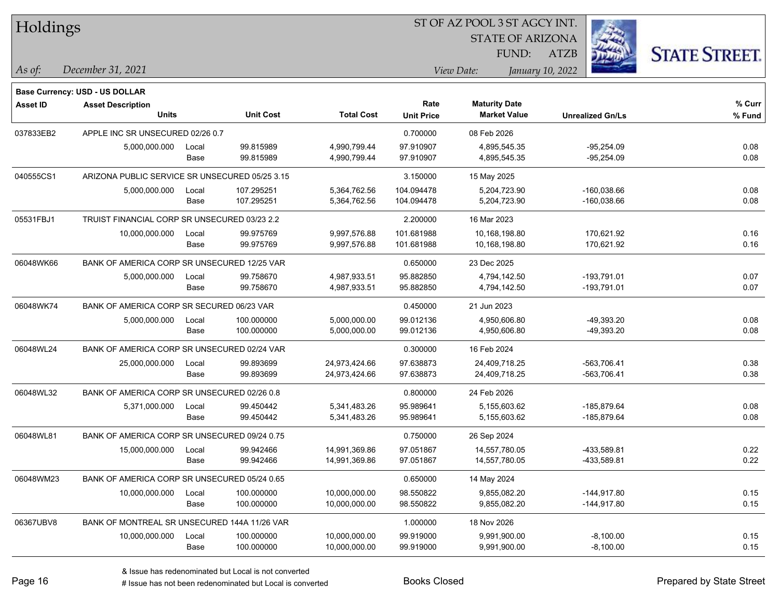| Holdings        |                                                            |       |                  |                   | ST OF AZ POOL 3 ST AGCY INT. |                         |                         |                      |  |  |
|-----------------|------------------------------------------------------------|-------|------------------|-------------------|------------------------------|-------------------------|-------------------------|----------------------|--|--|
|                 |                                                            |       |                  |                   |                              | <b>STATE OF ARIZONA</b> |                         |                      |  |  |
|                 |                                                            |       |                  |                   |                              | FUND:                   | ATZB                    | <b>STATE STREET.</b> |  |  |
| $ $ As of:      | December 31, 2021                                          |       |                  |                   |                              | View Date:              | January 10, 2022        |                      |  |  |
|                 |                                                            |       |                  |                   |                              |                         |                         |                      |  |  |
| <b>Asset ID</b> | Base Currency: USD - US DOLLAR<br><b>Asset Description</b> |       |                  |                   | Rate                         | <b>Maturity Date</b>    |                         | % Curr               |  |  |
|                 | <b>Units</b>                                               |       | <b>Unit Cost</b> | <b>Total Cost</b> | <b>Unit Price</b>            | <b>Market Value</b>     | <b>Unrealized Gn/Ls</b> | % Fund               |  |  |
| 037833EB2       | APPLE INC SR UNSECURED 02/26 0.7                           |       |                  |                   | 0.700000                     | 08 Feb 2026             |                         |                      |  |  |
|                 | 5,000,000.000                                              | Local | 99.815989        | 4,990,799.44      | 97.910907                    | 4,895,545.35            | $-95,254.09$            | 0.08                 |  |  |
|                 |                                                            | Base  | 99.815989        | 4,990,799.44      | 97.910907                    | 4,895,545.35            | $-95,254.09$            | 0.08                 |  |  |
| 040555CS1       | ARIZONA PUBLIC SERVICE SR UNSECURED 05/25 3.15             |       |                  |                   | 3.150000                     | 15 May 2025             |                         |                      |  |  |
|                 | 5,000,000.000                                              | Local | 107.295251       | 5,364,762.56      | 104.094478                   | 5,204,723.90            | $-160,038.66$           | 0.08                 |  |  |
|                 |                                                            | Base  | 107.295251       | 5,364,762.56      | 104.094478                   | 5,204,723.90            | $-160,038.66$           | 0.08                 |  |  |
| 05531FBJ1       | TRUIST FINANCIAL CORP SR UNSECURED 03/23 2.2               |       |                  |                   | 2.200000                     | 16 Mar 2023             |                         |                      |  |  |
|                 | 10,000,000.000                                             | Local | 99.975769        | 9,997,576.88      | 101.681988                   | 10,168,198.80           | 170,621.92              | 0.16                 |  |  |
|                 |                                                            | Base  | 99.975769        | 9,997,576.88      | 101.681988                   | 10,168,198.80           | 170,621.92              | 0.16                 |  |  |
| 06048WK66       | BANK OF AMERICA CORP SR UNSECURED 12/25 VAR                |       |                  |                   | 0.650000                     | 23 Dec 2025             |                         |                      |  |  |
|                 | 5,000,000.000                                              | Local | 99.758670        | 4,987,933.51      | 95.882850                    | 4,794,142.50            | $-193,791.01$           | 0.07                 |  |  |
|                 |                                                            | Base  | 99.758670        | 4,987,933.51      | 95.882850                    | 4,794,142.50            | $-193,791.01$           | 0.07                 |  |  |
| 06048WK74       | BANK OF AMERICA CORP SR SECURED 06/23 VAR                  |       |                  |                   | 0.450000                     | 21 Jun 2023             |                         |                      |  |  |
|                 | 5,000,000.000                                              | Local | 100.000000       | 5,000,000.00      | 99.012136                    | 4,950,606.80            | -49,393.20              | 0.08                 |  |  |
|                 |                                                            | Base  | 100.000000       | 5,000,000.00      | 99.012136                    | 4,950,606.80            | $-49,393.20$            | 0.08                 |  |  |
| 06048WL24       | BANK OF AMERICA CORP SR UNSECURED 02/24 VAR                |       |                  |                   | 0.300000                     | 16 Feb 2024             |                         |                      |  |  |
|                 | 25,000,000.000                                             | Local | 99.893699        | 24,973,424.66     | 97.638873                    | 24,409,718.25           | -563,706.41             | 0.38                 |  |  |
|                 |                                                            | Base  | 99.893699        | 24,973,424.66     | 97.638873                    | 24,409,718.25           | $-563,706.41$           | 0.38                 |  |  |
| 06048WL32       | BANK OF AMERICA CORP SR UNSECURED 02/26 0.8                |       |                  |                   | 0.800000                     | 24 Feb 2026             |                         |                      |  |  |
|                 | 5,371,000.000                                              | Local | 99.450442        | 5,341,483.26      | 95.989641                    | 5,155,603.62            | -185,879.64             | 0.08                 |  |  |
|                 |                                                            | Base  | 99.450442        | 5,341,483.26      | 95.989641                    | 5,155,603.62            | -185,879.64             | 0.08                 |  |  |
| 06048WL81       | BANK OF AMERICA CORP SR UNSECURED 09/24 0.75               |       |                  |                   | 0.750000                     | 26 Sep 2024             |                         |                      |  |  |
|                 | 15,000,000.000                                             | Local | 99.942466        | 14,991,369.86     | 97.051867                    | 14,557,780.05           | -433,589.81             | 0.22                 |  |  |
|                 |                                                            | Base  | 99.942466        | 14,991,369.86     | 97.051867                    | 14,557,780.05           | -433,589.81             | 0.22                 |  |  |
| 06048WM23       | BANK OF AMERICA CORP SR UNSECURED 05/24 0.65               |       |                  |                   | 0.650000                     | 14 May 2024             |                         |                      |  |  |
|                 | 10,000,000.000                                             | Local | 100.000000       | 10,000,000.00     | 98.550822                    | 9,855,082.20            | $-144,917.80$           | 0.15                 |  |  |
|                 |                                                            | Base  | 100.000000       | 10,000,000.00     | 98.550822                    | 9,855,082.20            | $-144,917.80$           | 0.15                 |  |  |
| 06367UBV8       | BANK OF MONTREAL SR UNSECURED 144A 11/26 VAR               |       |                  |                   | 1.000000                     | 18 Nov 2026             |                         |                      |  |  |
|                 | 10,000,000.000                                             | Local | 100.000000       | 10,000,000.00     | 99.919000                    | 9,991,900.00            | $-8,100.00$             | 0.15                 |  |  |
|                 |                                                            | Base  | 100.000000       | 10,000,000.00     | 99.919000                    | 9,991,900.00            | $-8,100.00$             | 0.15                 |  |  |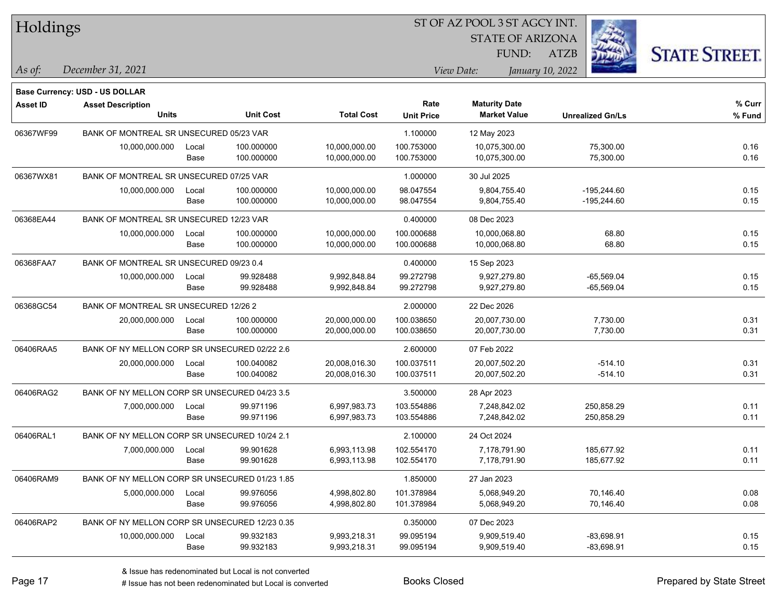| Holdings        |                                                |       |                  |                   | ST OF AZ POOL 3 ST AGCY INT. |                         |                         |                      |
|-----------------|------------------------------------------------|-------|------------------|-------------------|------------------------------|-------------------------|-------------------------|----------------------|
|                 |                                                |       |                  |                   |                              | <b>STATE OF ARIZONA</b> |                         |                      |
|                 |                                                |       |                  |                   |                              | FUND:                   | <b>ATZB</b>             | <b>STATE STREET.</b> |
| As of:          | December 31, 2021                              |       |                  |                   |                              | View Date:              | January 10, 2022        |                      |
|                 | Base Currency: USD - US DOLLAR                 |       |                  |                   |                              |                         |                         |                      |
| <b>Asset ID</b> | <b>Asset Description</b>                       |       |                  |                   | Rate                         | <b>Maturity Date</b>    |                         | % Curr               |
|                 | <b>Units</b>                                   |       | <b>Unit Cost</b> | <b>Total Cost</b> | <b>Unit Price</b>            | <b>Market Value</b>     | <b>Unrealized Gn/Ls</b> | % Fund               |
| 06367WF99       | BANK OF MONTREAL SR UNSECURED 05/23 VAR        |       |                  |                   | 1.100000                     | 12 May 2023             |                         |                      |
|                 | 10,000,000.000                                 | Local | 100.000000       | 10,000,000.00     | 100.753000                   | 10,075,300.00           | 75,300.00               | 0.16                 |
|                 |                                                | Base  | 100.000000       | 10,000,000.00     | 100.753000                   | 10,075,300.00           | 75,300.00               | 0.16                 |
| 06367WX81       | BANK OF MONTREAL SR UNSECURED 07/25 VAR        |       |                  |                   | 1.000000                     | 30 Jul 2025             |                         |                      |
|                 | 10,000,000.000                                 | Local | 100.000000       | 10,000,000.00     | 98.047554                    | 9,804,755.40            | $-195,244.60$           | 0.15                 |
|                 |                                                | Base  | 100.000000       | 10,000,000.00     | 98.047554                    | 9,804,755.40            | $-195,244.60$           | 0.15                 |
| 06368EA44       | BANK OF MONTREAL SR UNSECURED 12/23 VAR        |       |                  |                   | 0.400000                     | 08 Dec 2023             |                         |                      |
|                 | 10,000,000.000                                 | Local | 100.000000       | 10,000,000.00     | 100.000688                   | 10,000,068.80           | 68.80                   | 0.15                 |
|                 |                                                | Base  | 100.000000       | 10,000,000.00     | 100.000688                   | 10,000,068.80           | 68.80                   | 0.15                 |
| 06368FAA7       | BANK OF MONTREAL SR UNSECURED 09/23 0.4        |       |                  |                   | 0.400000                     | 15 Sep 2023             |                         |                      |
|                 | 10,000,000.000                                 | Local | 99.928488        | 9,992,848.84      | 99.272798                    | 9,927,279.80            | $-65,569.04$            | 0.15                 |
|                 |                                                | Base  | 99.928488        | 9,992,848.84      | 99.272798                    | 9,927,279.80            | $-65,569.04$            | 0.15                 |
| 06368GC54       | BANK OF MONTREAL SR UNSECURED 12/26 2          |       |                  |                   | 2.000000                     | 22 Dec 2026             |                         |                      |
|                 | 20,000,000.000                                 | Local | 100.000000       | 20,000,000.00     | 100.038650                   | 20,007,730.00           | 7,730.00                | 0.31                 |
|                 |                                                | Base  | 100.000000       | 20,000,000.00     | 100.038650                   | 20,007,730.00           | 7,730.00                | 0.31                 |
| 06406RAA5       | BANK OF NY MELLON CORP SR UNSECURED 02/22 2.6  |       |                  |                   | 2.600000                     | 07 Feb 2022             |                         |                      |
|                 | 20,000,000.000                                 | Local | 100.040082       | 20,008,016.30     | 100.037511                   | 20,007,502.20           | $-514.10$               | 0.31                 |
|                 |                                                | Base  | 100.040082       | 20,008,016.30     | 100.037511                   | 20,007,502.20           | $-514.10$               | 0.31                 |
| 06406RAG2       | BANK OF NY MELLON CORP SR UNSECURED 04/23 3.5  |       |                  |                   | 3.500000                     | 28 Apr 2023             |                         |                      |
|                 | 7,000,000.000                                  | Local | 99.971196        | 6,997,983.73      | 103.554886                   | 7,248,842.02            | 250,858.29              | 0.11                 |
|                 |                                                | Base  | 99.971196        | 6,997,983.73      | 103.554886                   | 7,248,842.02            | 250,858.29              | 0.11                 |
| 06406RAL1       | BANK OF NY MELLON CORP SR UNSECURED 10/24 2.1  |       |                  |                   | 2.100000                     | 24 Oct 2024             |                         |                      |
|                 | 7,000,000.000                                  | Local | 99.901628        | 6,993,113.98      | 102.554170                   | 7,178,791.90            | 185,677.92              | 0.11                 |
|                 |                                                | Base  | 99.901628        | 6,993,113.98      | 102.554170                   | 7,178,791.90            | 185,677.92              | 0.11                 |
| 06406RAM9       | BANK OF NY MELLON CORP SR UNSECURED 01/23 1.85 |       |                  |                   | 1.850000                     | 27 Jan 2023             |                         |                      |
|                 | 5,000,000.000                                  | Local | 99.976056        | 4,998,802.80      | 101.378984                   | 5,068,949.20            | 70,146.40               | 0.08                 |
|                 |                                                | Base  | 99.976056        | 4,998,802.80      | 101.378984                   | 5,068,949.20            | 70,146.40               | 0.08                 |
| 06406RAP2       | BANK OF NY MELLON CORP SR UNSECURED 12/23 0.35 |       |                  |                   | 0.350000                     | 07 Dec 2023             |                         |                      |
|                 | 10,000,000.000                                 | Local | 99.932183        | 9,993,218.31      | 99.095194                    | 9,909,519.40            | $-83,698.91$            | 0.15                 |
|                 |                                                | Base  | 99.932183        | 9,993,218.31      | 99.095194                    | 9,909,519.40            | -83,698.91              | 0.15                 |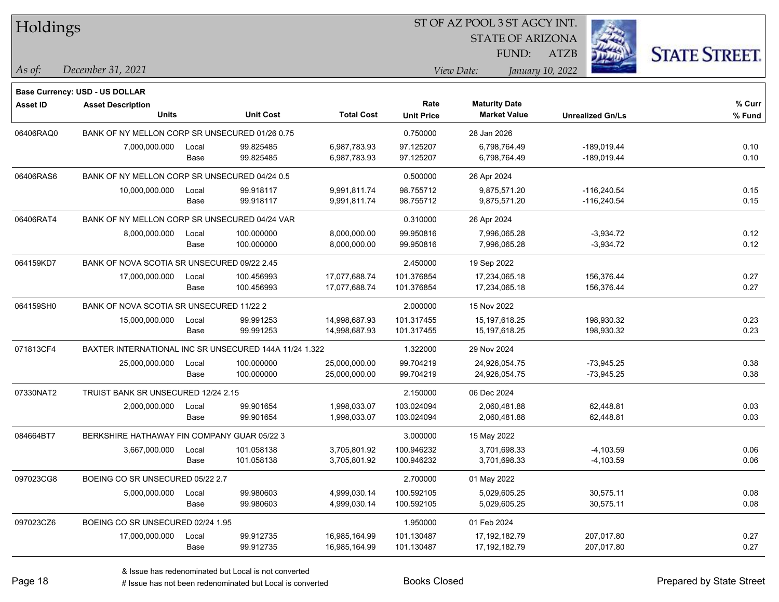| Holdings        |                                                        |               |                        |                              | 51 OF AZ POOL 351 AGCY INT. |                                             |                  |                                |                      |  |
|-----------------|--------------------------------------------------------|---------------|------------------------|------------------------------|-----------------------------|---------------------------------------------|------------------|--------------------------------|----------------------|--|
|                 |                                                        |               |                        |                              |                             | <b>STATE OF ARIZONA</b>                     |                  | Ż.                             |                      |  |
|                 |                                                        |               |                        |                              |                             | FUND:                                       | <b>ATZB</b>      |                                | <b>STATE STREET.</b> |  |
| As of:          | December 31, 2021                                      |               |                        |                              |                             | View Date:                                  | January 10, 2022 |                                |                      |  |
|                 |                                                        |               |                        |                              |                             |                                             |                  |                                |                      |  |
|                 | Base Currency: USD - US DOLLAR                         |               |                        |                              |                             |                                             |                  |                                | % Curr               |  |
| <b>Asset ID</b> | <b>Asset Description</b><br><b>Units</b>               |               | <b>Unit Cost</b>       | <b>Total Cost</b>            | Rate<br><b>Unit Price</b>   | <b>Maturity Date</b><br><b>Market Value</b> |                  | <b>Unrealized Gn/Ls</b>        | % Fund               |  |
|                 |                                                        |               |                        |                              |                             |                                             |                  |                                |                      |  |
| 06406RAQ0       | BANK OF NY MELLON CORP SR UNSECURED 01/26 0.75         |               |                        |                              | 0.750000                    | 28 Jan 2026                                 |                  |                                |                      |  |
|                 | 7,000,000.000                                          | Local<br>Base | 99.825485<br>99.825485 | 6,987,783.93<br>6,987,783.93 | 97.125207<br>97.125207      | 6,798,764.49<br>6,798,764.49                |                  | -189,019.44<br>-189,019.44     | 0.10<br>0.10         |  |
| 06406RAS6       | BANK OF NY MELLON CORP SR UNSECURED 04/24 0.5          |               |                        |                              |                             |                                             |                  |                                |                      |  |
|                 |                                                        |               |                        |                              | 0.500000                    | 26 Apr 2024                                 |                  |                                |                      |  |
|                 | 10,000,000.000                                         | Local<br>Base | 99.918117<br>99.918117 | 9,991,811.74<br>9,991,811.74 | 98.755712<br>98.755712      | 9,875,571.20<br>9,875,571.20                |                  | $-116,240.54$<br>$-116,240.54$ | 0.15<br>0.15         |  |
| 06406RAT4       | BANK OF NY MELLON CORP SR UNSECURED 04/24 VAR          |               |                        |                              | 0.310000                    | 26 Apr 2024                                 |                  |                                |                      |  |
|                 | 8,000,000.000                                          | Local         | 100.000000             | 8,000,000.00                 | 99.950816                   | 7,996,065.28                                |                  | $-3,934.72$                    | 0.12                 |  |
|                 |                                                        | Base          | 100.000000             | 8,000,000.00                 | 99.950816                   | 7,996,065.28                                |                  | $-3,934.72$                    | 0.12                 |  |
| 064159KD7       | BANK OF NOVA SCOTIA SR UNSECURED 09/22 2.45            |               |                        |                              | 2.450000                    | 19 Sep 2022                                 |                  |                                |                      |  |
|                 | 17,000,000.000                                         | Local         | 100.456993             | 17,077,688.74                | 101.376854                  | 17,234,065.18                               |                  | 156,376.44                     | 0.27                 |  |
|                 |                                                        | Base          | 100.456993             | 17,077,688.74                | 101.376854                  | 17,234,065.18                               |                  | 156,376.44                     | 0.27                 |  |
| 064159SH0       | BANK OF NOVA SCOTIA SR UNSECURED 11/22 2               |               |                        |                              | 2.000000                    | 15 Nov 2022                                 |                  |                                |                      |  |
|                 | 15,000,000.000                                         | Local         | 99.991253              | 14,998,687.93                | 101.317455                  | 15,197,618.25                               |                  | 198,930.32                     | 0.23                 |  |
|                 |                                                        | Base          | 99.991253              | 14,998,687.93                | 101.317455                  | 15,197,618.25                               |                  | 198,930.32                     | 0.23                 |  |
| 071813CF4       | BAXTER INTERNATIONAL INC SR UNSECURED 144A 11/24 1.322 |               |                        |                              | 1.322000                    | 29 Nov 2024                                 |                  |                                |                      |  |
|                 | 25,000,000.000                                         | Local         | 100.000000             | 25,000,000.00                | 99.704219                   | 24,926,054.75                               |                  | $-73,945.25$                   | 0.38                 |  |
|                 |                                                        | Base          | 100.000000             | 25,000,000.00                | 99.704219                   | 24,926,054.75                               |                  | $-73,945.25$                   | 0.38                 |  |
| 07330NAT2       | TRUIST BANK SR UNSECURED 12/24 2.15                    |               |                        |                              | 2.150000                    | 06 Dec 2024                                 |                  |                                |                      |  |
|                 | 2,000,000.000                                          | Local         | 99.901654              | 1,998,033.07                 | 103.024094                  | 2,060,481.88                                |                  | 62,448.81                      | 0.03                 |  |
|                 |                                                        | Base          | 99.901654              | 1,998,033.07                 | 103.024094                  | 2,060,481.88                                |                  | 62,448.81                      | 0.03                 |  |
| 084664BT7       | BERKSHIRE HATHAWAY FIN COMPANY GUAR 05/22 3            |               |                        |                              | 3.000000                    | 15 May 2022                                 |                  |                                |                      |  |
|                 | 3,667,000.000                                          | Local         | 101.058138             | 3,705,801.92                 | 100.946232                  | 3,701,698.33                                |                  | $-4,103.59$                    | 0.06                 |  |
|                 |                                                        | Base          | 101.058138             | 3,705,801.92                 | 100.946232                  | 3,701,698.33                                |                  | $-4,103.59$                    | 0.06                 |  |
| 097023CG8       | BOEING CO SR UNSECURED 05/22 2.7                       |               |                        |                              | 2.700000                    | 01 May 2022                                 |                  |                                |                      |  |
|                 | 5,000,000.000                                          | Local         | 99.980603              | 4,999,030.14                 | 100.592105                  | 5,029,605.25                                |                  | 30,575.11                      | 0.08                 |  |
|                 |                                                        | Base          | 99.980603              | 4,999,030.14                 | 100.592105                  | 5,029,605.25                                |                  | 30,575.11                      | 0.08                 |  |
| 097023CZ6       | BOEING CO SR UNSECURED 02/24 1.95                      |               |                        |                              | 1.950000                    | 01 Feb 2024                                 |                  |                                |                      |  |
|                 | 17,000,000.000                                         | Local         | 99.912735              | 16,985,164.99                | 101.130487                  | 17,192,182.79                               |                  | 207,017.80                     | 0.27                 |  |
|                 |                                                        | Base          | 99.912735              | 16,985,164.99                | 101.130487                  | 17,192,182.79                               |                  | 207,017.80                     | 0.27                 |  |

 $\overline{\text{SUSP}}$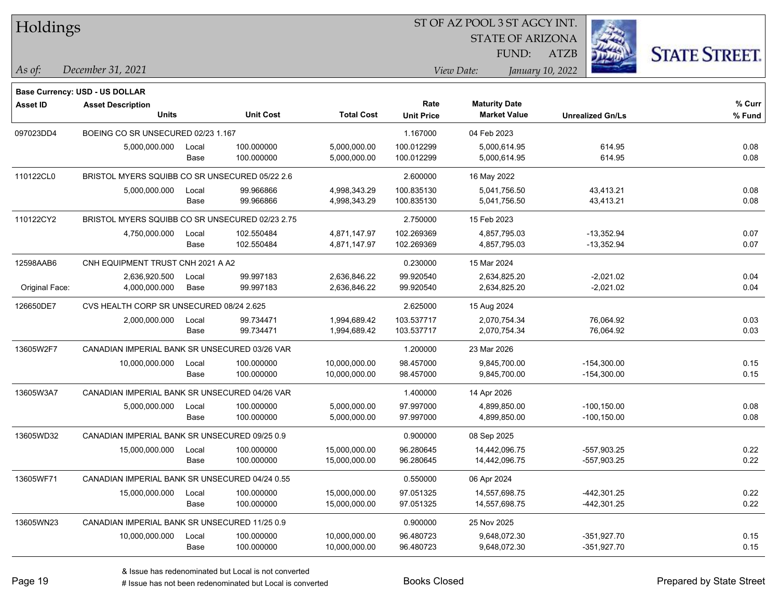| Holdings        |                                                 |       |                  |                   | ST OF AZ POOL 3 ST AGCY INT. |                         |                  |                         |                      |
|-----------------|-------------------------------------------------|-------|------------------|-------------------|------------------------------|-------------------------|------------------|-------------------------|----------------------|
|                 |                                                 |       |                  |                   |                              | <b>STATE OF ARIZONA</b> |                  |                         |                      |
|                 |                                                 |       |                  |                   |                              | FUND:                   | <b>ATZB</b>      |                         | <b>STATE STREET.</b> |
| As of:          | December 31, 2021                               |       |                  |                   |                              | View Date:              | January 10, 2022 |                         |                      |
|                 | <b>Base Currency: USD - US DOLLAR</b>           |       |                  |                   |                              |                         |                  |                         |                      |
| <b>Asset ID</b> | <b>Asset Description</b>                        |       |                  |                   | Rate                         | <b>Maturity Date</b>    |                  |                         | % Curr               |
|                 | <b>Units</b>                                    |       | <b>Unit Cost</b> | <b>Total Cost</b> | <b>Unit Price</b>            | <b>Market Value</b>     |                  | <b>Unrealized Gn/Ls</b> | % Fund               |
| 097023DD4       | BOEING CO SR UNSECURED 02/23 1.167              |       |                  |                   | 1.167000                     | 04 Feb 2023             |                  |                         |                      |
|                 | 5,000,000.000                                   | Local | 100.000000       | 5,000,000.00      | 100.012299                   | 5,000,614.95            |                  | 614.95                  | 0.08                 |
|                 |                                                 | Base  | 100.000000       | 5,000,000.00      | 100.012299                   | 5,000,614.95            |                  | 614.95                  | 0.08                 |
| 110122CL0       | BRISTOL MYERS SQUIBB CO SR UNSECURED 05/22 2.6  |       |                  |                   | 2.600000                     | 16 May 2022             |                  |                         |                      |
|                 | 5,000,000.000                                   | Local | 99.966866        | 4,998,343.29      | 100.835130                   | 5,041,756.50            |                  | 43,413.21               | 0.08                 |
|                 |                                                 | Base  | 99.966866        | 4,998,343.29      | 100.835130                   | 5,041,756.50            |                  | 43,413.21               | 0.08                 |
| 110122CY2       | BRISTOL MYERS SQUIBB CO SR UNSECURED 02/23 2.75 |       |                  |                   | 2.750000                     | 15 Feb 2023             |                  |                         |                      |
|                 | 4,750,000.000                                   | Local | 102.550484       | 4,871,147.97      | 102.269369                   | 4,857,795.03            |                  | -13,352.94              | 0.07                 |
|                 |                                                 | Base  | 102.550484       | 4,871,147.97      | 102.269369                   | 4,857,795.03            |                  | $-13,352.94$            | 0.07                 |
| 12598AAB6       | CNH EQUIPMENT TRUST CNH 2021 A A2               |       |                  |                   | 0.230000                     | 15 Mar 2024             |                  |                         |                      |
|                 | 2,636,920.500                                   | Local | 99.997183        | 2,636,846.22      | 99.920540                    | 2,634,825.20            |                  | $-2,021.02$             | 0.04                 |
| Original Face:  | 4,000,000.000                                   | Base  | 99.997183        | 2,636,846.22      | 99.920540                    | 2,634,825.20            |                  | $-2,021.02$             | 0.04                 |
| 126650DE7       | CVS HEALTH CORP SR UNSECURED 08/24 2.625        |       |                  |                   | 2.625000                     | 15 Aug 2024             |                  |                         |                      |
|                 | 2,000,000.000                                   | Local | 99.734471        | 1,994,689.42      | 103.537717                   | 2,070,754.34            |                  | 76,064.92               | 0.03                 |
|                 |                                                 | Base  | 99.734471        | 1,994,689.42      | 103.537717                   | 2,070,754.34            |                  | 76,064.92               | 0.03                 |
| 13605W2F7       | CANADIAN IMPERIAL BANK SR UNSECURED 03/26 VAR   |       |                  |                   | 1.200000                     | 23 Mar 2026             |                  |                         |                      |
|                 | 10,000,000.000                                  | Local | 100.000000       | 10,000,000.00     | 98.457000                    | 9,845,700.00            |                  | $-154,300.00$           | 0.15                 |
|                 |                                                 | Base  | 100.000000       | 10,000,000.00     | 98.457000                    | 9,845,700.00            |                  | $-154,300.00$           | 0.15                 |
| 13605W3A7       | CANADIAN IMPERIAL BANK SR UNSECURED 04/26 VAR   |       |                  |                   | 1.400000                     | 14 Apr 2026             |                  |                         |                      |
|                 | 5,000,000.000                                   | Local | 100.000000       | 5,000,000.00      | 97.997000                    | 4,899,850.00            |                  | $-100, 150.00$          | 0.08                 |
|                 |                                                 | Base  | 100.000000       | 5,000,000.00      | 97.997000                    | 4,899,850.00            |                  | $-100, 150.00$          | 0.08                 |
| 13605WD32       | CANADIAN IMPERIAL BANK SR UNSECURED 09/25 0.9   |       |                  |                   | 0.900000                     | 08 Sep 2025             |                  |                         |                      |
|                 | 15,000,000.000                                  | Local | 100.000000       | 15,000,000.00     | 96.280645                    | 14,442,096.75           |                  | -557,903.25             | 0.22                 |
|                 |                                                 | Base  | 100.000000       | 15,000,000.00     | 96.280645                    | 14,442,096.75           |                  | -557,903.25             | 0.22                 |
| 13605WF71       | CANADIAN IMPERIAL BANK SR UNSECURED 04/24 0.55  |       |                  |                   | 0.550000                     | 06 Apr 2024             |                  |                         |                      |
|                 | 15,000,000.000                                  | Local | 100.000000       | 15,000,000.00     | 97.051325                    | 14,557,698.75           |                  | -442,301.25             | 0.22                 |
|                 |                                                 | Base  | 100.000000       | 15,000,000.00     | 97.051325                    | 14,557,698.75           |                  | -442,301.25             | 0.22                 |
| 13605WN23       | CANADIAN IMPERIAL BANK SR UNSECURED 11/25 0.9   |       |                  |                   | 0.900000                     | 25 Nov 2025             |                  |                         |                      |
|                 | 10,000,000.000                                  | Local | 100.000000       | 10,000,000.00     | 96.480723                    | 9,648,072.30            |                  | $-351,927.70$           | 0.15                 |
|                 |                                                 | Base  | 100.000000       | 10,000,000.00     | 96.480723                    | 9,648,072.30            |                  | $-351,927.70$           | 0.15                 |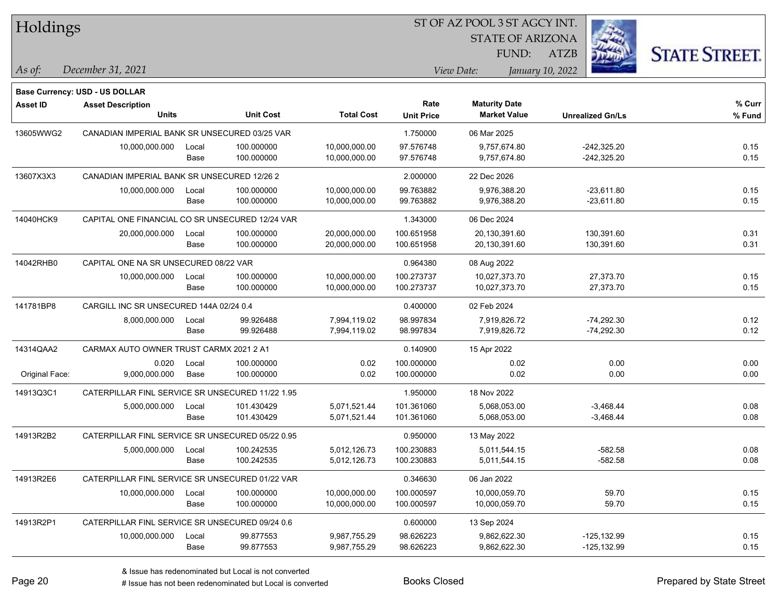| Holdings        |                                                  |       |                  |                   | ST OF AZ POOL 3 ST AGCY INT. |                                |                         |                      |  |  |
|-----------------|--------------------------------------------------|-------|------------------|-------------------|------------------------------|--------------------------------|-------------------------|----------------------|--|--|
|                 |                                                  |       |                  |                   |                              | <b>STATE OF ARIZONA</b>        |                         |                      |  |  |
|                 |                                                  |       |                  |                   |                              | FUND:                          | ATZB                    | <b>STATE STREET.</b> |  |  |
| As of:          | December 31, 2021                                |       |                  |                   |                              | View Date:<br>January 10, 2022 |                         |                      |  |  |
|                 | <b>Base Currency: USD - US DOLLAR</b>            |       |                  |                   |                              |                                |                         |                      |  |  |
| <b>Asset ID</b> | <b>Asset Description</b>                         |       |                  |                   | Rate                         | <b>Maturity Date</b>           |                         | % Curr               |  |  |
|                 | <b>Units</b>                                     |       | <b>Unit Cost</b> | <b>Total Cost</b> | <b>Unit Price</b>            | <b>Market Value</b>            | <b>Unrealized Gn/Ls</b> | % Fund               |  |  |
| 13605WWG2       | CANADIAN IMPERIAL BANK SR UNSECURED 03/25 VAR    |       |                  |                   | 1.750000                     | 06 Mar 2025                    |                         |                      |  |  |
|                 | 10,000,000.000                                   | Local | 100.000000       | 10,000,000.00     | 97.576748                    | 9,757,674.80                   | $-242,325.20$           | 0.15                 |  |  |
|                 |                                                  | Base  | 100.000000       | 10,000,000.00     | 97.576748                    | 9,757,674.80                   | $-242,325.20$           | 0.15                 |  |  |
| 13607X3X3       | CANADIAN IMPERIAL BANK SR UNSECURED 12/26 2      |       |                  |                   | 2.000000                     | 22 Dec 2026                    |                         |                      |  |  |
|                 | 10,000,000.000                                   | Local | 100.000000       | 10,000,000.00     | 99.763882                    | 9,976,388.20                   | $-23,611.80$            | 0.15                 |  |  |
|                 |                                                  | Base  | 100.000000       | 10,000,000.00     | 99.763882                    | 9,976,388.20                   | $-23,611.80$            | 0.15                 |  |  |
| 14040HCK9       | CAPITAL ONE FINANCIAL CO SR UNSECURED 12/24 VAR  |       |                  |                   | 1.343000                     | 06 Dec 2024                    |                         |                      |  |  |
|                 | 20,000,000.000                                   | Local | 100.000000       | 20,000,000.00     | 100.651958                   | 20,130,391.60                  | 130,391.60              | 0.31                 |  |  |
|                 |                                                  | Base  | 100.000000       | 20,000,000.00     | 100.651958                   | 20,130,391.60                  | 130,391.60              | 0.31                 |  |  |
| 14042RHB0       | CAPITAL ONE NA SR UNSECURED 08/22 VAR            |       |                  |                   | 0.964380                     | 08 Aug 2022                    |                         |                      |  |  |
|                 | 10,000,000.000                                   | Local | 100.000000       | 10,000,000.00     | 100.273737                   | 10,027,373.70                  | 27,373.70               | 0.15                 |  |  |
|                 |                                                  | Base  | 100.000000       | 10,000,000.00     | 100.273737                   | 10,027,373.70                  | 27,373.70               | 0.15                 |  |  |
| 141781BP8       | CARGILL INC SR UNSECURED 144A 02/24 0.4          |       |                  |                   | 0.400000                     | 02 Feb 2024                    |                         |                      |  |  |
|                 | 8,000,000.000                                    | Local | 99.926488        | 7,994,119.02      | 98.997834                    | 7,919,826.72                   | $-74,292.30$            | 0.12                 |  |  |
|                 |                                                  | Base  | 99.926488        | 7,994,119.02      | 98.997834                    | 7,919,826.72                   | $-74,292.30$            | 0.12                 |  |  |
| 14314QAA2       | CARMAX AUTO OWNER TRUST CARMX 2021 2 A1          |       |                  |                   | 0.140900                     | 15 Apr 2022                    |                         |                      |  |  |
|                 | 0.020                                            | Local | 100.000000       | 0.02              | 100.000000                   | 0.02                           | 0.00                    | 0.00                 |  |  |
| Original Face:  | 9,000,000.000                                    | Base  | 100.000000       | 0.02              | 100.000000                   | 0.02                           | 0.00                    | 0.00                 |  |  |
| 14913Q3C1       | CATERPILLAR FINL SERVICE SR UNSECURED 11/22 1.95 |       |                  |                   | 1.950000                     | 18 Nov 2022                    |                         |                      |  |  |
|                 | 5,000,000.000                                    | Local | 101.430429       | 5,071,521.44      | 101.361060                   | 5,068,053.00                   | $-3,468.44$             | 0.08                 |  |  |
|                 |                                                  | Base  | 101.430429       | 5,071,521.44      | 101.361060                   | 5,068,053.00                   | $-3,468.44$             | 0.08                 |  |  |
| 14913R2B2       | CATERPILLAR FINL SERVICE SR UNSECURED 05/22 0.95 |       |                  |                   | 0.950000                     | 13 May 2022                    |                         |                      |  |  |
|                 | 5,000,000.000                                    | Local | 100.242535       | 5,012,126.73      | 100.230883                   | 5,011,544.15                   | $-582.58$               | 0.08                 |  |  |
|                 |                                                  | Base  | 100.242535       | 5,012,126.73      | 100.230883                   | 5,011,544.15                   | $-582.58$               | 0.08                 |  |  |
| 14913R2E6       | CATERPILLAR FINL SERVICE SR UNSECURED 01/22 VAR  |       |                  |                   | 0.346630                     | 06 Jan 2022                    |                         |                      |  |  |
|                 | 10,000,000.000                                   | Local | 100.000000       | 10,000,000.00     | 100.000597                   | 10,000,059.70                  | 59.70                   | 0.15                 |  |  |
|                 |                                                  | Base  | 100.000000       | 10,000,000.00     | 100.000597                   | 10,000,059.70                  | 59.70                   | 0.15                 |  |  |
| 14913R2P1       | CATERPILLAR FINL SERVICE SR UNSECURED 09/24 0.6  |       |                  |                   | 0.600000                     | 13 Sep 2024                    |                         |                      |  |  |
|                 | 10,000,000.000                                   | Local | 99.877553        | 9,987,755.29      | 98.626223                    | 9,862,622.30                   | $-125, 132.99$          | 0.15                 |  |  |
|                 |                                                  | Base  | 99.877553        | 9,987,755.29      | 98.626223                    | 9,862,622.30                   | $-125, 132.99$          | 0.15                 |  |  |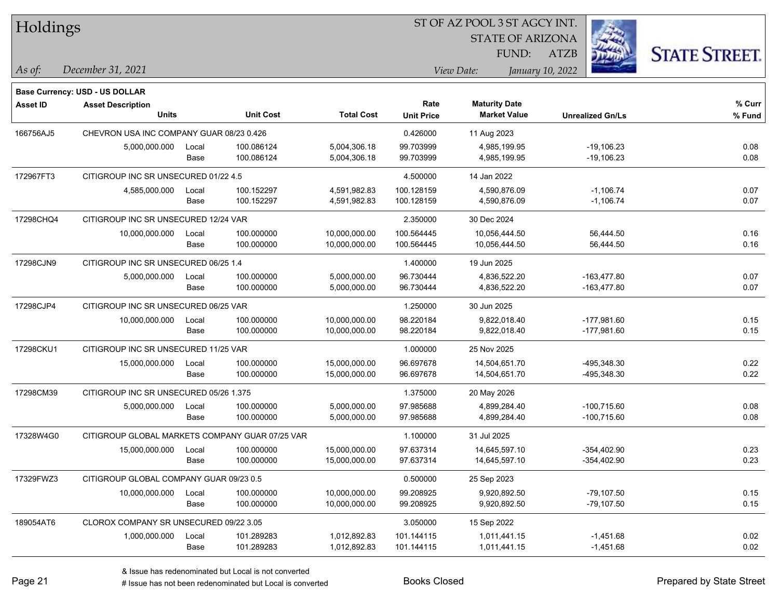| Holdings        |                                                 |       |                  |                   |                   | ST OF AZ POOL 3 ST AGCY INT.                |                         |                      |
|-----------------|-------------------------------------------------|-------|------------------|-------------------|-------------------|---------------------------------------------|-------------------------|----------------------|
|                 |                                                 |       |                  |                   |                   | <b>STATE OF ARIZONA</b>                     |                         |                      |
|                 |                                                 |       |                  |                   |                   | FUND:                                       | <b>ATZB</b>             | <b>STATE STREET.</b> |
| $\vert$ As of:  | December 31, 2021                               |       |                  |                   |                   | View Date:                                  | January 10, 2022        |                      |
|                 |                                                 |       |                  |                   |                   |                                             |                         |                      |
|                 | <b>Base Currency: USD - US DOLLAR</b>           |       |                  |                   | Rate              |                                             |                         | % Curr               |
| <b>Asset ID</b> | <b>Asset Description</b><br><b>Units</b>        |       | <b>Unit Cost</b> | <b>Total Cost</b> | <b>Unit Price</b> | <b>Maturity Date</b><br><b>Market Value</b> | <b>Unrealized Gn/Ls</b> | % Fund               |
| 166756AJ5       | CHEVRON USA INC COMPANY GUAR 08/23 0.426        |       |                  |                   | 0.426000          | 11 Aug 2023                                 |                         |                      |
|                 | 5,000,000.000                                   | Local | 100.086124       | 5,004,306.18      | 99.703999         | 4,985,199.95                                | $-19,106.23$            | 0.08                 |
|                 |                                                 | Base  | 100.086124       | 5,004,306.18      | 99.703999         | 4,985,199.95                                | $-19,106.23$            | 0.08                 |
| 172967FT3       | CITIGROUP INC SR UNSECURED 01/22 4.5            |       |                  |                   | 4.500000          | 14 Jan 2022                                 |                         |                      |
|                 | 4,585,000.000                                   | Local | 100.152297       | 4,591,982.83      | 100.128159        | 4,590,876.09                                | $-1,106.74$             | 0.07                 |
|                 |                                                 | Base  | 100.152297       | 4,591,982.83      | 100.128159        | 4,590,876.09                                | $-1,106.74$             | 0.07                 |
| 17298CHQ4       | CITIGROUP INC SR UNSECURED 12/24 VAR            |       |                  |                   | 2.350000          | 30 Dec 2024                                 |                         |                      |
|                 | 10,000,000.000                                  | Local | 100.000000       | 10,000,000.00     | 100.564445        | 10,056,444.50                               | 56,444.50               | 0.16                 |
|                 |                                                 | Base  | 100.000000       | 10,000,000.00     | 100.564445        | 10,056,444.50                               | 56,444.50               | 0.16                 |
| 17298CJN9       | CITIGROUP INC SR UNSECURED 06/25 1.4            |       |                  |                   | 1.400000          | 19 Jun 2025                                 |                         |                      |
|                 | 5,000,000.000                                   | Local | 100.000000       | 5,000,000.00      | 96.730444         | 4,836,522.20                                | $-163,477.80$           | 0.07                 |
|                 |                                                 | Base  | 100.000000       | 5,000,000.00      | 96.730444         | 4,836,522.20                                | $-163,477.80$           | 0.07                 |
| 17298CJP4       | CITIGROUP INC SR UNSECURED 06/25 VAR            |       |                  |                   | 1.250000          | 30 Jun 2025                                 |                         |                      |
|                 | 10,000,000.000                                  | Local | 100.000000       | 10,000,000.00     | 98.220184         | 9,822,018.40                                | $-177,981.60$           | 0.15                 |
|                 |                                                 | Base  | 100.000000       | 10,000,000.00     | 98.220184         | 9,822,018.40                                | $-177,981.60$           | 0.15                 |
| 17298CKU1       | CITIGROUP INC SR UNSECURED 11/25 VAR            |       |                  |                   | 1.000000          | 25 Nov 2025                                 |                         |                      |
|                 | 15,000,000.000                                  | Local | 100.000000       | 15,000,000.00     | 96.697678         | 14,504,651.70                               | -495,348.30             | 0.22                 |
|                 |                                                 | Base  | 100.000000       | 15,000,000.00     | 96.697678         | 14,504,651.70                               | -495,348.30             | 0.22                 |
| 17298CM39       | CITIGROUP INC SR UNSECURED 05/26 1.375          |       |                  |                   | 1.375000          | 20 May 2026                                 |                         |                      |
|                 | 5,000,000.000                                   | Local | 100.000000       | 5,000,000.00      | 97.985688         | 4,899,284.40                                | $-100,715.60$           | 0.08                 |
|                 |                                                 | Base  | 100.000000       | 5,000,000.00      | 97.985688         | 4,899,284.40                                | $-100,715.60$           | 0.08                 |
| 17328W4G0       | CITIGROUP GLOBAL MARKETS COMPANY GUAR 07/25 VAR |       |                  |                   | 1.100000          | 31 Jul 2025                                 |                         |                      |
|                 | 15,000,000.000                                  | Local | 100.000000       | 15,000,000.00     | 97.637314         | 14,645,597.10                               | $-354,402.90$           | 0.23                 |
|                 |                                                 | Base  | 100.000000       | 15,000,000.00     | 97.637314         | 14,645,597.10                               | $-354,402.90$           | 0.23                 |
| 17329FWZ3       | CITIGROUP GLOBAL COMPANY GUAR 09/23 0.5         |       |                  |                   | 0.500000          | 25 Sep 2023                                 |                         |                      |
|                 | 10,000,000.000                                  | Local | 100.000000       | 10,000,000.00     | 99.208925         | 9,920,892.50                                | $-79,107.50$            | 0.15                 |
|                 |                                                 | Base  | 100.000000       | 10,000,000.00     | 99.208925         | 9,920,892.50                                | $-79,107.50$            | 0.15                 |
| 189054AT6       | CLOROX COMPANY SR UNSECURED 09/22 3.05          |       |                  |                   | 3.050000          | 15 Sep 2022                                 |                         |                      |
|                 | 1,000,000.000                                   | Local | 101.289283       | 1,012,892.83      | 101.144115        | 1,011,441.15                                | $-1,451.68$             | 0.02                 |
|                 |                                                 | Base  | 101.289283       | 1,012,892.83      | 101.144115        | 1,011,441.15                                | $-1,451.68$             | 0.02                 |

# Issue has not been redenominated but Local is converted Books Closed Prepared by State Street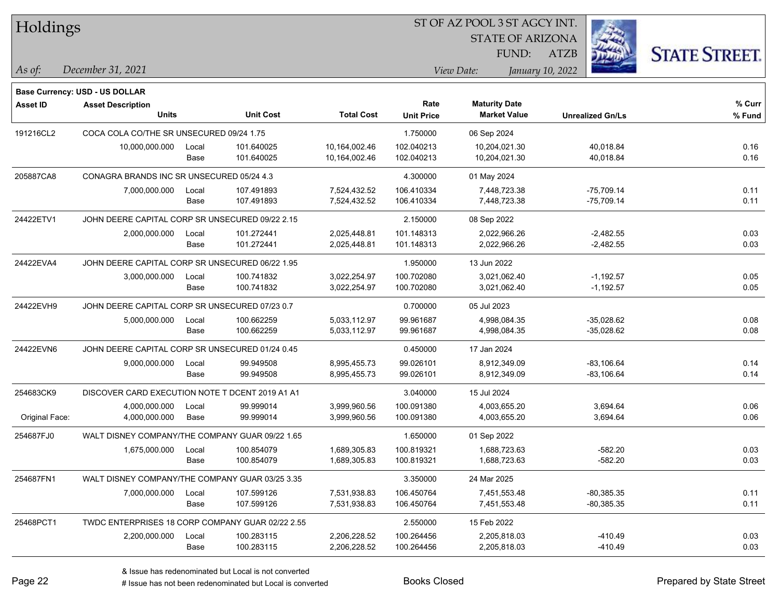| Holdings        |                                                  |       |                  |                   |                   | ST OF AZ POOL 3 ST AGCY INT. |                         |                      |
|-----------------|--------------------------------------------------|-------|------------------|-------------------|-------------------|------------------------------|-------------------------|----------------------|
|                 |                                                  |       |                  |                   |                   | <b>STATE OF ARIZONA</b>      |                         |                      |
|                 |                                                  |       |                  |                   |                   | FUND:                        | <b>ATZB</b>             | <b>STATE STREET.</b> |
| As of:          | December 31, 2021                                |       |                  |                   |                   | View Date:                   | January 10, 2022        |                      |
|                 | Base Currency: USD - US DOLLAR                   |       |                  |                   |                   |                              |                         |                      |
| <b>Asset ID</b> | <b>Asset Description</b>                         |       |                  |                   | Rate              | <b>Maturity Date</b>         |                         | % Curr               |
|                 | <b>Units</b>                                     |       | <b>Unit Cost</b> | <b>Total Cost</b> | <b>Unit Price</b> | <b>Market Value</b>          | <b>Unrealized Gn/Ls</b> | % Fund               |
| 191216CL2       | COCA COLA CO/THE SR UNSECURED 09/24 1.75         |       |                  |                   | 1.750000          | 06 Sep 2024                  |                         |                      |
|                 | 10,000,000.000                                   | Local | 101.640025       | 10,164,002.46     | 102.040213        | 10,204,021.30                | 40,018.84               | 0.16                 |
|                 |                                                  | Base  | 101.640025       | 10,164,002.46     | 102.040213        | 10,204,021.30                | 40,018.84               | 0.16                 |
| 205887CA8       | CONAGRA BRANDS INC SR UNSECURED 05/24 4.3        |       |                  |                   | 4.300000          | 01 May 2024                  |                         |                      |
|                 | 7,000,000.000                                    | Local | 107.491893       | 7,524,432.52      | 106.410334        | 7,448,723.38                 | $-75,709.14$            | 0.11                 |
|                 |                                                  | Base  | 107.491893       | 7,524,432.52      | 106.410334        | 7,448,723.38                 | $-75,709.14$            | 0.11                 |
| 24422ETV1       | JOHN DEERE CAPITAL CORP SR UNSECURED 09/22 2.15  |       |                  |                   | 2.150000          | 08 Sep 2022                  |                         |                      |
|                 | 2,000,000.000                                    | Local | 101.272441       | 2,025,448.81      | 101.148313        | 2,022,966.26                 | $-2,482.55$             | 0.03                 |
|                 |                                                  | Base  | 101.272441       | 2,025,448.81      | 101.148313        | 2,022,966.26                 | $-2,482.55$             | 0.03                 |
| 24422EVA4       | JOHN DEERE CAPITAL CORP SR UNSECURED 06/22 1.95  |       |                  |                   | 1.950000          | 13 Jun 2022                  |                         |                      |
|                 | 3,000,000.000                                    | Local | 100.741832       | 3,022,254.97      | 100.702080        | 3,021,062.40                 | $-1,192.57$             | 0.05                 |
|                 |                                                  | Base  | 100.741832       | 3,022,254.97      | 100.702080        | 3,021,062.40                 | $-1,192.57$             | 0.05                 |
| 24422EVH9       | JOHN DEERE CAPITAL CORP SR UNSECURED 07/23 0.7   |       |                  |                   | 0.700000          | 05 Jul 2023                  |                         |                      |
|                 | 5,000,000.000                                    | Local | 100.662259       | 5,033,112.97      | 99.961687         | 4,998,084.35                 | $-35,028.62$            | 0.08                 |
|                 |                                                  | Base  | 100.662259       | 5,033,112.97      | 99.961687         | 4,998,084.35                 | $-35,028.62$            | 0.08                 |
| 24422EVN6       | JOHN DEERE CAPITAL CORP SR UNSECURED 01/24 0.45  |       |                  |                   | 0.450000          | 17 Jan 2024                  |                         |                      |
|                 | 9,000,000.000                                    | Local | 99.949508        | 8,995,455.73      | 99.026101         | 8,912,349.09                 | $-83,106.64$            | 0.14                 |
|                 |                                                  | Base  | 99.949508        | 8,995,455.73      | 99.026101         | 8,912,349.09                 | $-83,106.64$            | 0.14                 |
| 254683CK9       | DISCOVER CARD EXECUTION NOTE T DCENT 2019 A1 A1  |       |                  |                   | 3.040000          | 15 Jul 2024                  |                         |                      |
|                 | 4,000,000.000                                    | Local | 99.999014        | 3,999,960.56      | 100.091380        | 4,003,655.20                 | 3,694.64                | 0.06                 |
| Original Face:  | 4,000,000.000                                    | Base  | 99.999014        | 3,999,960.56      | 100.091380        | 4,003,655.20                 | 3,694.64                | 0.06                 |
| 254687FJ0       | WALT DISNEY COMPANY/THE COMPANY GUAR 09/22 1.65  |       |                  |                   | 1.650000          | 01 Sep 2022                  |                         |                      |
|                 | 1,675,000.000                                    | Local | 100.854079       | 1,689,305.83      | 100.819321        | 1,688,723.63                 | -582.20                 | 0.03                 |
|                 |                                                  | Base  | 100.854079       | 1,689,305.83      | 100.819321        | 1,688,723.63                 | $-582.20$               | 0.03                 |
| 254687FN1       | WALT DISNEY COMPANY/THE COMPANY GUAR 03/25 3.35  |       |                  |                   | 3.350000          | 24 Mar 2025                  |                         |                      |
|                 | 7,000,000.000                                    | Local | 107.599126       | 7,531,938.83      | 106.450764        | 7,451,553.48                 | $-80,385.35$            | 0.11                 |
|                 |                                                  | Base  | 107.599126       | 7,531,938.83      | 106.450764        | 7,451,553.48                 | $-80,385.35$            | 0.11                 |
| 25468PCT1       | TWDC ENTERPRISES 18 CORP COMPANY GUAR 02/22 2.55 |       |                  |                   | 2.550000          | 15 Feb 2022                  |                         |                      |
|                 | 2,200,000.000                                    | Local | 100.283115       | 2,206,228.52      | 100.264456        | 2,205,818.03                 | -410.49                 | 0.03                 |
|                 |                                                  | Base  | 100.283115       | 2,206,228.52      | 100.264456        | 2,205,818.03                 | $-410.49$               | 0.03                 |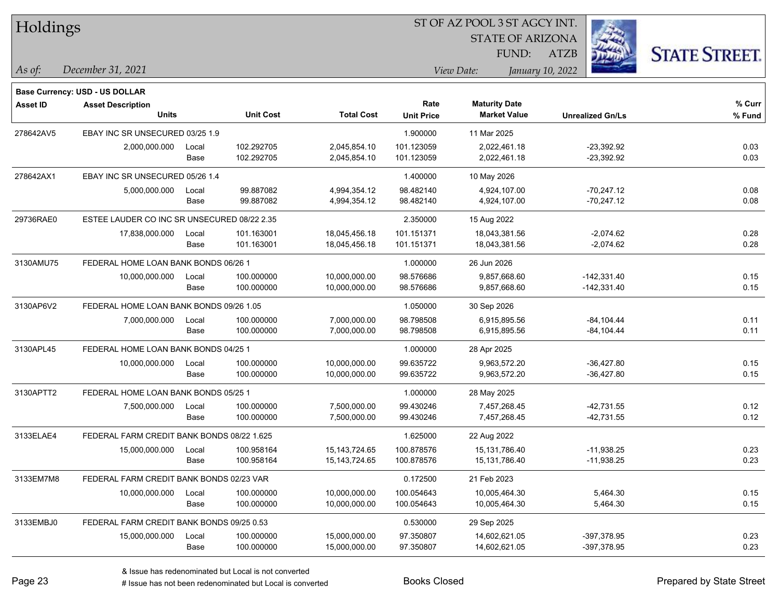| Holdings        |                                             |       |                  |                   | ST OF AZ POOL 3 ST AGCY INT. |                         |                         |                      |
|-----------------|---------------------------------------------|-------|------------------|-------------------|------------------------------|-------------------------|-------------------------|----------------------|
|                 |                                             |       |                  |                   |                              | <b>STATE OF ARIZONA</b> |                         |                      |
|                 |                                             |       |                  |                   |                              | FUND:                   | ATZB                    | <b>STATE STREET.</b> |
| As of:          | December 31, 2021                           |       |                  |                   |                              | View Date:              | January 10, 2022        |                      |
|                 | Base Currency: USD - US DOLLAR              |       |                  |                   |                              |                         |                         |                      |
| <b>Asset ID</b> | <b>Asset Description</b>                    |       |                  |                   | Rate                         | <b>Maturity Date</b>    |                         | % Curr               |
|                 | <b>Units</b>                                |       | <b>Unit Cost</b> | <b>Total Cost</b> | <b>Unit Price</b>            | <b>Market Value</b>     | <b>Unrealized Gn/Ls</b> | % Fund               |
| 278642AV5       | EBAY INC SR UNSECURED 03/25 1.9             |       |                  |                   | 1.900000                     | 11 Mar 2025             |                         |                      |
|                 | 2,000,000.000                               | Local | 102.292705       | 2,045,854.10      | 101.123059                   | 2,022,461.18            | $-23,392.92$            | 0.03                 |
|                 |                                             | Base  | 102.292705       | 2,045,854.10      | 101.123059                   | 2,022,461.18            | $-23,392.92$            | 0.03                 |
| 278642AX1       | EBAY INC SR UNSECURED 05/26 1.4             |       |                  |                   | 1.400000                     | 10 May 2026             |                         |                      |
|                 | 5,000,000.000                               | Local | 99.887082        | 4,994,354.12      | 98.482140                    | 4,924,107.00            | $-70,247.12$            | 0.08                 |
|                 |                                             | Base  | 99.887082        | 4,994,354.12      | 98.482140                    | 4,924,107.00            | $-70,247.12$            | 0.08                 |
| 29736RAE0       | ESTEE LAUDER CO INC SR UNSECURED 08/22 2.35 |       |                  |                   | 2.350000                     | 15 Aug 2022             |                         |                      |
|                 | 17,838,000.000                              | Local | 101.163001       | 18,045,456.18     | 101.151371                   | 18,043,381.56           | $-2,074.62$             | 0.28                 |
|                 |                                             | Base  | 101.163001       | 18,045,456.18     | 101.151371                   | 18,043,381.56           | $-2,074.62$             | 0.28                 |
| 3130AMU75       | FEDERAL HOME LOAN BANK BONDS 06/26 1        |       |                  |                   | 1.000000                     | 26 Jun 2026             |                         |                      |
|                 | 10,000,000.000                              | Local | 100.000000       | 10,000,000.00     | 98.576686                    | 9,857,668.60            | $-142,331.40$           | 0.15                 |
|                 |                                             | Base  | 100.000000       | 10,000,000.00     | 98.576686                    | 9,857,668.60            | $-142,331.40$           | 0.15                 |
| 3130AP6V2       | FEDERAL HOME LOAN BANK BONDS 09/26 1.05     |       |                  |                   | 1.050000                     | 30 Sep 2026             |                         |                      |
|                 | 7,000,000.000                               | Local | 100.000000       | 7,000,000.00      | 98.798508                    | 6,915,895.56            | $-84, 104.44$           | 0.11                 |
|                 |                                             | Base  | 100.000000       | 7,000,000.00      | 98.798508                    | 6,915,895.56            | $-84, 104.44$           | 0.11                 |
| 3130APL45       | FEDERAL HOME LOAN BANK BONDS 04/25 1        |       |                  |                   | 1.000000                     | 28 Apr 2025             |                         |                      |
|                 | 10,000,000.000                              | Local | 100.000000       | 10,000,000.00     | 99.635722                    | 9,963,572.20            | $-36,427.80$            | 0.15                 |
|                 |                                             | Base  | 100.000000       | 10,000,000.00     | 99.635722                    | 9,963,572.20            | -36,427.80              | 0.15                 |
| 3130APTT2       | FEDERAL HOME LOAN BANK BONDS 05/25 1        |       |                  |                   | 1.000000                     | 28 May 2025             |                         |                      |
|                 | 7,500,000.000                               | Local | 100.000000       | 7,500,000.00      | 99.430246                    | 7,457,268.45            | $-42,731.55$            | 0.12                 |
|                 |                                             | Base  | 100.000000       | 7,500,000.00      | 99.430246                    | 7,457,268.45            | $-42,731.55$            | 0.12                 |
| 3133ELAE4       | FEDERAL FARM CREDIT BANK BONDS 08/22 1.625  |       |                  |                   | 1.625000                     | 22 Aug 2022             |                         |                      |
|                 | 15,000,000.000                              | Local | 100.958164       | 15, 143, 724. 65  | 100.878576                   | 15,131,786.40           | $-11,938.25$            | 0.23                 |
|                 |                                             | Base  | 100.958164       | 15, 143, 724. 65  | 100.878576                   | 15,131,786.40           | $-11,938.25$            | 0.23                 |
| 3133EM7M8       | FEDERAL FARM CREDIT BANK BONDS 02/23 VAR    |       |                  |                   | 0.172500                     | 21 Feb 2023             |                         |                      |
|                 | 10,000,000.000                              | Local | 100.000000       | 10,000,000.00     | 100.054643                   | 10,005,464.30           | 5,464.30                | 0.15                 |
|                 |                                             | Base  | 100.000000       | 10,000,000.00     | 100.054643                   | 10,005,464.30           | 5,464.30                | 0.15                 |
| 3133EMBJ0       | FEDERAL FARM CREDIT BANK BONDS 09/25 0.53   |       |                  |                   | 0.530000                     | 29 Sep 2025             |                         |                      |
|                 | 15,000,000.000                              | Local | 100.000000       | 15,000,000.00     | 97.350807                    | 14,602,621.05           | -397,378.95             | 0.23                 |
|                 |                                             | Base  | 100.000000       | 15,000,000.00     | 97.350807                    | 14,602,621.05           | -397,378.95             | 0.23                 |

 $\overline{\phantom{0}}$ 

 $\overline{\phantom{a}}$ 

 $\overline{\phantom{0}}$ 

 $\overline{\phantom{a}}$ 

 $\overline{\phantom{0}}$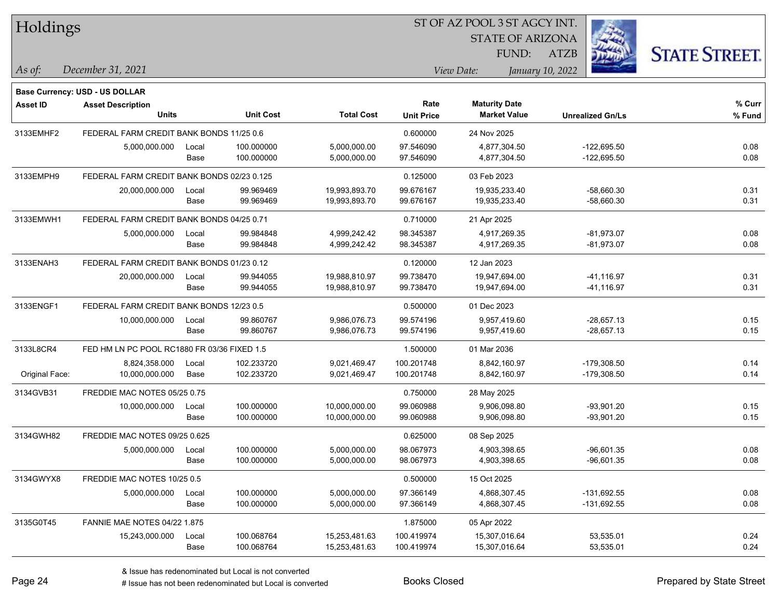| Holdings        |                                             |       |                  |                   | ST OF AZ POOL 3 ST AGCY INT. |                         |                         |                      |
|-----------------|---------------------------------------------|-------|------------------|-------------------|------------------------------|-------------------------|-------------------------|----------------------|
|                 |                                             |       |                  |                   |                              | <b>STATE OF ARIZONA</b> |                         |                      |
|                 |                                             |       |                  |                   |                              | FUND:                   | ATZB                    | <b>STATE STREET.</b> |
| As of:          | December 31, 2021                           |       |                  |                   |                              | View Date:              | January 10, 2022        |                      |
|                 | <b>Base Currency: USD - US DOLLAR</b>       |       |                  |                   |                              |                         |                         |                      |
| <b>Asset ID</b> | <b>Asset Description</b>                    |       |                  |                   | Rate                         | <b>Maturity Date</b>    |                         | % Curr               |
|                 | <b>Units</b>                                |       | <b>Unit Cost</b> | <b>Total Cost</b> | <b>Unit Price</b>            | <b>Market Value</b>     | <b>Unrealized Gn/Ls</b> | % Fund               |
| 3133EMHF2       | FEDERAL FARM CREDIT BANK BONDS 11/25 0.6    |       |                  |                   | 0.600000                     | 24 Nov 2025             |                         |                      |
|                 | 5,000,000.000                               | Local | 100.000000       | 5,000,000.00      | 97.546090                    | 4,877,304.50            | $-122,695.50$           | 0.08                 |
|                 |                                             | Base  | 100.000000       | 5,000,000.00      | 97.546090                    | 4,877,304.50            | $-122,695.50$           | 0.08                 |
| 3133EMPH9       | FEDERAL FARM CREDIT BANK BONDS 02/23 0.125  |       |                  |                   | 0.125000                     | 03 Feb 2023             |                         |                      |
|                 | 20,000,000.000                              | Local | 99.969469        | 19,993,893.70     | 99.676167                    | 19,935,233.40           | -58,660.30              | 0.31                 |
|                 |                                             | Base  | 99.969469        | 19,993,893.70     | 99.676167                    | 19,935,233.40           | -58,660.30              | 0.31                 |
| 3133EMWH1       | FEDERAL FARM CREDIT BANK BONDS 04/25 0.71   |       |                  |                   | 0.710000                     | 21 Apr 2025             |                         |                      |
|                 | 5,000,000.000                               | Local | 99.984848        | 4,999,242.42      | 98.345387                    | 4,917,269.35            | $-81,973.07$            | 0.08                 |
|                 |                                             | Base  | 99.984848        | 4,999,242.42      | 98.345387                    | 4,917,269.35            | $-81,973.07$            | 0.08                 |
| 3133ENAH3       | FEDERAL FARM CREDIT BANK BONDS 01/23 0.12   |       |                  |                   | 0.120000                     | 12 Jan 2023             |                         |                      |
|                 | 20,000,000.000                              | Local | 99.944055        | 19,988,810.97     | 99.738470                    | 19,947,694.00           | $-41,116.97$            | 0.31                 |
|                 |                                             | Base  | 99.944055        | 19,988,810.97     | 99.738470                    | 19,947,694.00           | -41,116.97              | 0.31                 |
| 3133ENGF1       | FEDERAL FARM CREDIT BANK BONDS 12/23 0.5    |       |                  |                   | 0.500000                     | 01 Dec 2023             |                         |                      |
|                 | 10,000,000.000                              | Local | 99.860767        | 9,986,076.73      | 99.574196                    | 9,957,419.60            | $-28,657.13$            | 0.15                 |
|                 |                                             | Base  | 99.860767        | 9,986,076.73      | 99.574196                    | 9,957,419.60            | $-28,657.13$            | 0.15                 |
| 3133L8CR4       | FED HM LN PC POOL RC1880 FR 03/36 FIXED 1.5 |       |                  |                   | 1.500000                     | 01 Mar 2036             |                         |                      |
|                 | 8,824,358.000                               | Local | 102.233720       | 9,021,469.47      | 100.201748                   | 8,842,160.97            | $-179,308.50$           | 0.14                 |
| Original Face:  | 10,000,000.000                              | Base  | 102.233720       | 9,021,469.47      | 100.201748                   | 8,842,160.97            | $-179,308.50$           | 0.14                 |
| 3134GVB31       | FREDDIE MAC NOTES 05/25 0.75                |       |                  |                   | 0.750000                     | 28 May 2025             |                         |                      |
|                 | 10,000,000.000                              | Local | 100.000000       | 10,000,000.00     | 99.060988                    | 9,906,098.80            | $-93,901.20$            | 0.15                 |
|                 |                                             | Base  | 100.000000       | 10,000,000.00     | 99.060988                    | 9,906,098.80            | -93,901.20              | 0.15                 |
| 3134GWH82       | FREDDIE MAC NOTES 09/25 0.625               |       |                  |                   | 0.625000                     | 08 Sep 2025             |                         |                      |
|                 | 5,000,000.000                               | Local | 100.000000       | 5,000,000.00      | 98.067973                    | 4,903,398.65            | -96,601.35              | 0.08                 |
|                 |                                             | Base  | 100.000000       | 5,000,000.00      | 98.067973                    | 4,903,398.65            | $-96,601.35$            | 0.08                 |
| 3134GWYX8       | FREDDIE MAC NOTES 10/25 0.5                 |       |                  |                   | 0.500000                     | 15 Oct 2025             |                         |                      |
|                 | 5,000,000.000                               | Local | 100.000000       | 5,000,000.00      | 97.366149                    | 4,868,307.45            | $-131,692.55$           | 0.08                 |
|                 |                                             | Base  | 100.000000       | 5,000,000.00      | 97.366149                    | 4,868,307.45            | $-131,692.55$           | 0.08                 |
| 3135G0T45       | <b>FANNIE MAE NOTES 04/22 1.875</b>         |       |                  |                   | 1.875000                     | 05 Apr 2022             |                         |                      |
|                 | 15,243,000.000                              | Local | 100.068764       | 15,253,481.63     | 100.419974                   | 15,307,016.64           | 53,535.01               | 0.24                 |
|                 |                                             | Base  | 100.068764       | 15,253,481.63     | 100.419974                   | 15,307,016.64           | 53,535.01               | 0.24                 |

# Issue has not been redenominated but Local is converted Books Closed Prepared by State Street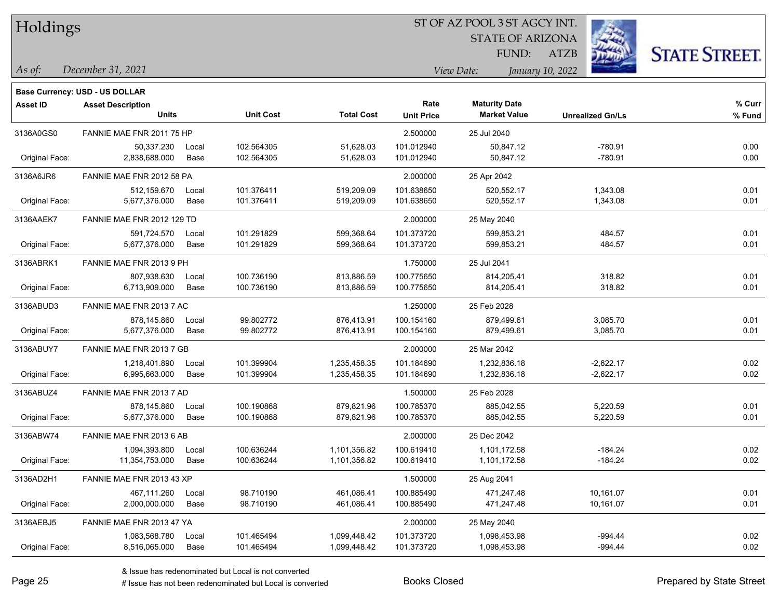| Holdings |
|----------|
|          |

STATE OF ARIZONA

ATZB



*December 31, 2021 As of: View Date: January 10, 2022*

**Base Currency: USD - US DOLLAR**

FUND:

| Asset ID       | <b>Asset Description</b>   |       |                  |                   | Rate              | <b>Maturity Date</b> |                         | % Curr |
|----------------|----------------------------|-------|------------------|-------------------|-------------------|----------------------|-------------------------|--------|
|                | Units                      |       | <b>Unit Cost</b> | <b>Total Cost</b> | <b>Unit Price</b> | <b>Market Value</b>  | <b>Unrealized Gn/Ls</b> | % Fund |
| 3136A0GS0      | FANNIE MAE FNR 2011 75 HP  |       |                  |                   | 2.500000          | 25 Jul 2040          |                         |        |
|                | 50,337.230                 | Local | 102.564305       | 51,628.03         | 101.012940        | 50,847.12            | $-780.91$               | 0.00   |
| Original Face: | 2,838,688.000              | Base  | 102.564305       | 51,628.03         | 101.012940        | 50,847.12            | $-780.91$               | 0.00   |
| 3136A6JR6      | FANNIE MAE FNR 2012 58 PA  |       |                  |                   | 2.000000          | 25 Apr 2042          |                         |        |
|                | 512,159.670                | Local | 101.376411       | 519,209.09        | 101.638650        | 520.552.17           | 1,343.08                | 0.01   |
| Original Face: | 5,677,376.000              | Base  | 101.376411       | 519,209.09        | 101.638650        | 520,552.17           | 1,343.08                | 0.01   |
| 3136AAEK7      | FANNIE MAE FNR 2012 129 TD |       |                  |                   | 2.000000          | 25 May 2040          |                         |        |
|                | 591,724.570                | Local | 101.291829       | 599,368.64        | 101.373720        | 599,853.21           | 484.57                  | 0.01   |
| Original Face: | 5,677,376.000              | Base  | 101.291829       | 599,368.64        | 101.373720        | 599,853.21           | 484.57                  | 0.01   |
| 3136ABRK1      | FANNIE MAE FNR 2013 9 PH   |       |                  |                   | 1.750000          | 25 Jul 2041          |                         |        |
|                | 807,938.630                | Local | 100.736190       | 813,886.59        | 100.775650        | 814,205.41           | 318.82                  | 0.01   |
| Original Face: | 6,713,909.000              | Base  | 100.736190       | 813,886.59        | 100.775650        | 814,205.41           | 318.82                  | 0.01   |
| 3136ABUD3      | FANNIE MAE FNR 2013 7 AC   |       |                  |                   | 1.250000          | 25 Feb 2028          |                         |        |
|                | 878,145.860                | Local | 99.802772        | 876.413.91        | 100.154160        | 879.499.61           | 3,085.70                | 0.01   |
| Original Face: | 5,677,376.000              | Base  | 99.802772        | 876,413.91        | 100.154160        | 879,499.61           | 3,085.70                | 0.01   |
| 3136ABUY7      | FANNIE MAE FNR 2013 7 GB   |       |                  |                   | 2.000000          | 25 Mar 2042          |                         |        |
|                | 1,218,401.890              | Local | 101.399904       | 1,235,458.35      | 101.184690        | 1,232,836.18         | $-2,622.17$             | 0.02   |
| Original Face: | 6,995,663.000              | Base  | 101.399904       | 1,235,458.35      | 101.184690        | 1,232,836.18         | $-2,622.17$             | 0.02   |
| 3136ABUZ4      | FANNIE MAE FNR 2013 7 AD   |       |                  |                   | 1.500000          | 25 Feb 2028          |                         |        |
|                | 878,145.860                | Local | 100.190868       | 879,821.96        | 100.785370        | 885,042.55           | 5,220.59                | 0.01   |
| Original Face: | 5,677,376.000              | Base  | 100.190868       | 879,821.96        | 100.785370        | 885,042.55           | 5,220.59                | 0.01   |
| 3136ABW74      | FANNIE MAE FNR 2013 6 AB   |       |                  |                   | 2.000000          | 25 Dec 2042          |                         |        |
|                | 1,094,393.800              | Local | 100.636244       | 1,101,356.82      | 100.619410        | 1,101,172.58         | $-184.24$               | 0.02   |
| Original Face: | 11,354,753.000             | Base  | 100.636244       | 1,101,356.82      | 100.619410        | 1,101,172.58         | $-184.24$               | 0.02   |
| 3136AD2H1      | FANNIE MAE FNR 2013 43 XP  |       |                  |                   | 1.500000          | 25 Aug 2041          |                         |        |
|                | 467,111.260                | Local | 98.710190        | 461,086.41        | 100.885490        | 471,247.48           | 10,161.07               | 0.01   |
| Original Face: | 2,000,000.000              | Base  | 98.710190        | 461,086.41        | 100.885490        | 471,247.48           | 10,161.07               | 0.01   |
| 3136AEBJ5      | FANNIE MAE FNR 2013 47 YA  |       |                  |                   | 2.000000          | 25 May 2040          |                         |        |
|                | 1,083,568.780              | Local | 101.465494       | 1,099,448.42      | 101.373720        | 1,098,453.98         | $-994.44$               | 0.02   |
| Original Face: | 8,516,065.000              | Base  | 101.465494       | 1,099,448.42      | 101.373720        | 1,098,453.98         | $-994.44$               | 0.02   |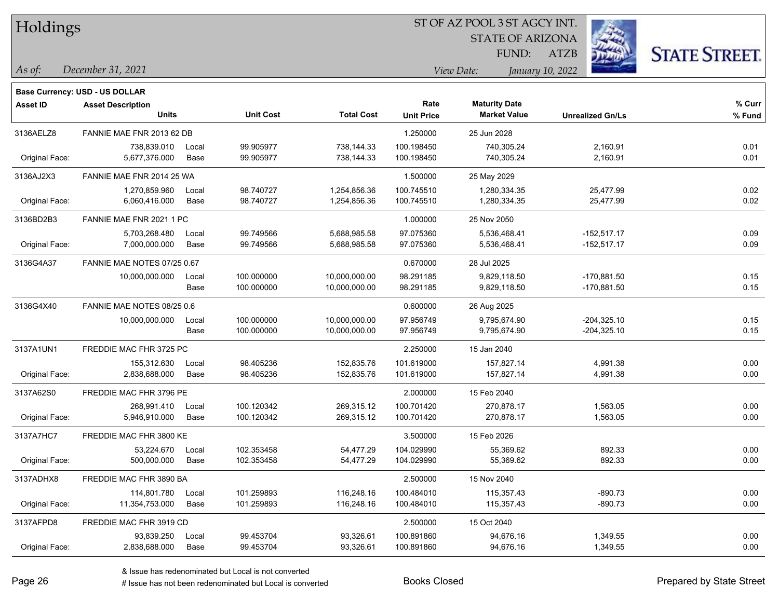STATE OF ARIZONA FUND:

ATZB



*December 31, 2021 As of: View Date: January 10, 2022*

|                 | <b>Base Currency: USD - US DOLLAR</b> |       |                  |                   |                   |                      |                         |        |
|-----------------|---------------------------------------|-------|------------------|-------------------|-------------------|----------------------|-------------------------|--------|
| <b>Asset ID</b> | <b>Asset Description</b>              |       |                  |                   | Rate              | <b>Maturity Date</b> |                         | % Curr |
|                 | <b>Units</b>                          |       | <b>Unit Cost</b> | <b>Total Cost</b> | <b>Unit Price</b> | <b>Market Value</b>  | <b>Unrealized Gn/Ls</b> | % Fund |
| 3136AELZ8       | FANNIE MAE FNR 2013 62 DB             |       |                  |                   | 1.250000          | 25 Jun 2028          |                         |        |
|                 | 738,839.010                           | Local | 99.905977        | 738,144.33        | 100.198450        | 740,305.24           | 2,160.91                | 0.01   |
| Original Face:  | 5,677,376.000                         | Base  | 99.905977        | 738,144.33        | 100.198450        | 740,305.24           | 2,160.91                | 0.01   |
| 3136AJ2X3       | FANNIE MAE FNR 2014 25 WA             |       |                  |                   | 1.500000          | 25 May 2029          |                         |        |
|                 | 1,270,859.960                         | Local | 98.740727        | 1,254,856.36      | 100.745510        | 1,280,334.35         | 25,477.99               | 0.02   |
| Original Face:  | 6,060,416.000                         | Base  | 98.740727        | 1,254,856.36      | 100.745510        | 1,280,334.35         | 25,477.99               | 0.02   |
| 3136BD2B3       | FANNIE MAE FNR 2021 1 PC              |       |                  |                   | 1.000000          | 25 Nov 2050          |                         |        |
|                 | 5,703,268.480                         | Local | 99.749566        | 5,688,985.58      | 97.075360         | 5,536,468.41         | $-152,517.17$           | 0.09   |
| Original Face:  | 7,000,000.000                         | Base  | 99.749566        | 5,688,985.58      | 97.075360         | 5,536,468.41         | $-152,517.17$           | 0.09   |
| 3136G4A37       | FANNIE MAE NOTES 07/25 0.67           |       |                  |                   | 0.670000          | 28 Jul 2025          |                         |        |
|                 | 10,000,000.000                        | Local | 100.000000       | 10,000,000.00     | 98.291185         | 9,829,118.50         | -170,881.50             | 0.15   |
|                 |                                       | Base  | 100.000000       | 10,000,000.00     | 98.291185         | 9,829,118.50         | -170,881.50             | 0.15   |
| 3136G4X40       | FANNIE MAE NOTES 08/25 0.6            |       |                  |                   | 0.600000          | 26 Aug 2025          |                         |        |
|                 | 10,000,000.000                        | Local | 100.000000       | 10,000,000.00     | 97.956749         | 9,795,674.90         | $-204,325.10$           | 0.15   |
|                 |                                       | Base  | 100.000000       | 10,000,000.00     | 97.956749         | 9,795,674.90         | -204,325.10             | 0.15   |
| 3137A1UN1       | FREDDIE MAC FHR 3725 PC               |       |                  |                   | 2.250000          | 15 Jan 2040          |                         |        |
|                 | 155,312.630                           | Local | 98.405236        | 152,835.76        | 101.619000        | 157,827.14           | 4,991.38                | 0.00   |
| Original Face:  | 2,838,688.000                         | Base  | 98.405236        | 152,835.76        | 101.619000        | 157,827.14           | 4,991.38                | 0.00   |
| 3137A62S0       | FREDDIE MAC FHR 3796 PE               |       |                  |                   | 2.000000          | 15 Feb 2040          |                         |        |
|                 | 268,991.410                           | Local | 100.120342       | 269,315.12        | 100.701420        | 270,878.17           | 1,563.05                | 0.00   |
| Original Face:  | 5,946,910.000                         | Base  | 100.120342       | 269,315.12        | 100.701420        | 270,878.17           | 1,563.05                | 0.00   |
| 3137A7HC7       | FREDDIE MAC FHR 3800 KE               |       |                  |                   | 3.500000          | 15 Feb 2026          |                         |        |
|                 | 53,224.670                            | Local | 102.353458       | 54,477.29         | 104.029990        | 55,369.62            | 892.33                  | 0.00   |
| Original Face:  | 500,000.000                           | Base  | 102.353458       | 54,477.29         | 104.029990        | 55,369.62            | 892.33                  | 0.00   |
| 3137ADHX8       | FREDDIE MAC FHR 3890 BA               |       |                  |                   | 2.500000          | 15 Nov 2040          |                         |        |
|                 | 114,801.780                           | Local | 101.259893       | 116,248.16        | 100.484010        | 115,357.43           | $-890.73$               | 0.00   |
| Original Face:  | 11,354,753.000                        | Base  | 101.259893       | 116,248.16        | 100.484010        | 115,357.43           | $-890.73$               | 0.00   |
| 3137AFPD8       | FREDDIE MAC FHR 3919 CD               |       |                  |                   | 2.500000          | 15 Oct 2040          |                         |        |
|                 | 93,839.250                            | Local | 99.453704        | 93,326.61         | 100.891860        | 94,676.16            | 1,349.55                | 0.00   |
| Original Face:  | 2,838,688.000                         | Base  | 99.453704        | 93,326.61         | 100.891860        | 94,676.16            | 1,349.55                | 0.00   |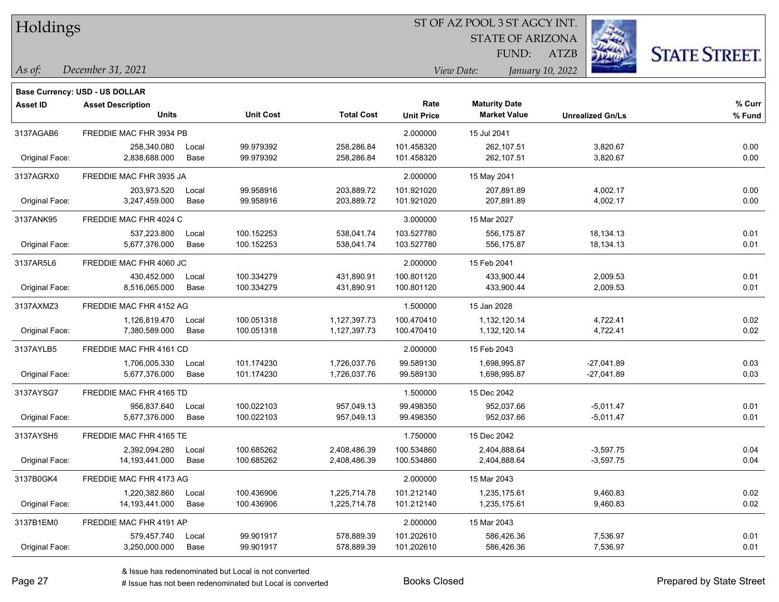| Holdings |
|----------|
|          |

STATE OF ARIZONA FUND:

ATZB



*As of: View Date: January 10, 2022*

| As of: | December 31, 2021 |  |
|--------|-------------------|--|
|        |                   |  |

|                 | Base Currency: USD - US DOLLAR |       |                  |                   |                   |                      |                         |        |
|-----------------|--------------------------------|-------|------------------|-------------------|-------------------|----------------------|-------------------------|--------|
| <b>Asset ID</b> | <b>Asset Description</b>       |       |                  |                   | Rate              | <b>Maturity Date</b> |                         | % Curr |
|                 | <b>Units</b>                   |       | <b>Unit Cost</b> | <b>Total Cost</b> | <b>Unit Price</b> | <b>Market Value</b>  | <b>Unrealized Gn/Ls</b> | % Fund |
| 3137AGAB6       | FREDDIE MAC FHR 3934 PB        |       |                  |                   | 2.000000          | 15 Jul 2041          |                         |        |
|                 | 258,340.080                    | Local | 99.979392        | 258,286.84        | 101.458320        | 262,107.51           | 3,820.67                | 0.00   |
| Original Face:  | 2,838,688.000                  | Base  | 99.979392        | 258,286.84        | 101.458320        | 262,107.51           | 3,820.67                | 0.00   |
| 3137AGRX0       | FREDDIE MAC FHR 3935 JA        |       |                  |                   | 2.000000          | 15 May 2041          |                         |        |
|                 | 203,973.520                    | Local | 99.958916        | 203,889.72        | 101.921020        | 207,891.89           | 4,002.17                | 0.00   |
| Original Face:  | 3,247,459.000                  | Base  | 99.958916        | 203,889.72        | 101.921020        | 207,891.89           | 4,002.17                | 0.00   |
| 3137ANK95       | FREDDIE MAC FHR 4024 C         |       |                  |                   | 3.000000          | 15 Mar 2027          |                         |        |
|                 | 537.223.800                    | Local | 100.152253       | 538,041.74        | 103.527780        | 556.175.87           | 18,134.13               | 0.01   |
| Original Face:  | 5,677,376.000                  | Base  | 100.152253       | 538,041.74        | 103.527780        | 556,175.87           | 18,134.13               | 0.01   |
| 3137AR5L6       | FREDDIE MAC FHR 4060 JC        |       |                  |                   | 2.000000          | 15 Feb 2041          |                         |        |
|                 | 430,452.000                    | Local | 100.334279       | 431,890.91        | 100.801120        | 433,900.44           | 2,009.53                | 0.01   |
| Original Face:  | 8,516,065.000                  | Base  | 100.334279       | 431,890.91        | 100.801120        | 433,900.44           | 2,009.53                | 0.01   |
| 3137AXMZ3       | FREDDIE MAC FHR 4152 AG        |       |                  |                   | 1.500000          | 15 Jan 2028          |                         |        |
|                 | 1,126,819.470                  | Local | 100.051318       | 1,127,397.73      | 100.470410        | 1.132.120.14         | 4,722.41                | 0.02   |
| Original Face:  | 7,380,589.000                  | Base  | 100.051318       | 1,127,397.73      | 100.470410        | 1,132,120.14         | 4,722.41                | 0.02   |
| 3137AYLB5       | FREDDIE MAC FHR 4161 CD        |       |                  |                   | 2.000000          | 15 Feb 2043          |                         |        |
|                 | 1,706,005.330                  | Local | 101.174230       | 1,726,037.76      | 99.589130         | 1,698,995.87         | $-27,041.89$            | 0.03   |
| Original Face:  | 5,677,376.000                  | Base  | 101.174230       | 1,726,037.76      | 99.589130         | 1,698,995.87         | $-27,041.89$            | 0.03   |
| 3137AYSG7       | FREDDIE MAC FHR 4165 TD        |       |                  |                   | 1.500000          | 15 Dec 2042          |                         |        |
|                 | 956,837.640                    | Local | 100.022103       | 957,049.13        | 99.498350         | 952.037.66           | $-5,011.47$             | 0.01   |
| Original Face:  | 5,677,376.000                  | Base  | 100.022103       | 957,049.13        | 99.498350         | 952,037.66           | $-5,011.47$             | 0.01   |
| 3137AYSH5       | FREDDIE MAC FHR 4165 TE        |       |                  |                   | 1.750000          | 15 Dec 2042          |                         |        |
|                 | 2.392.094.280                  | Local | 100.685262       | 2,408,486.39      | 100.534860        | 2,404,888.64         | $-3,597.75$             | 0.04   |
| Original Face:  | 14, 193, 441.000               | Base  | 100.685262       | 2,408,486.39      | 100.534860        | 2,404,888.64         | $-3,597.75$             | 0.04   |
| 3137B0GK4       | FREDDIE MAC FHR 4173 AG        |       |                  |                   | 2.000000          | 15 Mar 2043          |                         |        |
|                 | 1,220,382.860                  | Local | 100.436906       | 1,225,714.78      | 101.212140        | 1,235,175.61         | 9,460.83                | 0.02   |
| Original Face:  | 14, 193, 441.000               | Base  | 100.436906       | 1,225,714.78      | 101.212140        | 1,235,175.61         | 9,460.83                | 0.02   |
| 3137B1EM0       | FREDDIE MAC FHR 4191 AP        |       |                  |                   | 2.000000          | 15 Mar 2043          |                         |        |
|                 | 579,457.740                    | Local | 99.901917        | 578,889.39        | 101.202610        | 586,426.36           | 7,536.97                | 0.01   |
| Original Face:  | 3,250,000.000                  | Base  | 99.901917        | 578,889.39        | 101.202610        | 586,426.36           | 7,536.97                | 0.01   |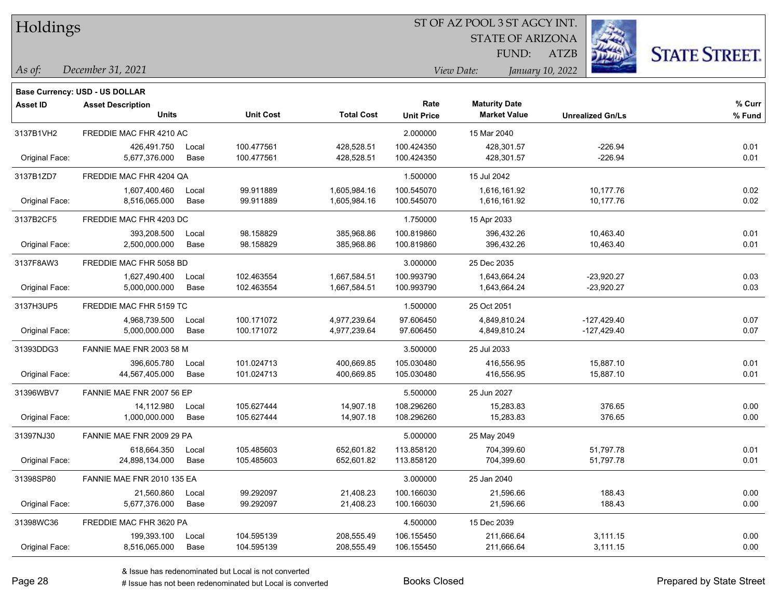| Holdings |
|----------|
|          |

STATE OF ARIZONA

ATZB



*December 31, 2021 As of: View Date: January 10, 2022*

**Base Currency: USD - US DOLLAR**

FUND:

| <b>Asset ID</b> | <b>Asset Description</b>   |       |                  |                   | Rate              | <b>Maturity Date</b> |                         | % Curr |
|-----------------|----------------------------|-------|------------------|-------------------|-------------------|----------------------|-------------------------|--------|
|                 | <b>Units</b>               |       | <b>Unit Cost</b> | <b>Total Cost</b> | <b>Unit Price</b> | <b>Market Value</b>  | <b>Unrealized Gn/Ls</b> | % Fund |
| 3137B1VH2       | FREDDIE MAC FHR 4210 AC    |       |                  |                   | 2.000000          | 15 Mar 2040          |                         |        |
|                 | 426,491.750                | Local | 100.477561       | 428,528.51        | 100.424350        | 428,301.57           | $-226.94$               | 0.01   |
| Original Face:  | 5,677,376.000              | Base  | 100.477561       | 428,528.51        | 100.424350        | 428,301.57           | $-226.94$               | 0.01   |
| 3137B1ZD7       | FREDDIE MAC FHR 4204 QA    |       |                  |                   | 1.500000          | 15 Jul 2042          |                         |        |
|                 | 1,607,400.460              | Local | 99.911889        | 1,605,984.16      | 100.545070        | 1,616,161.92         | 10,177.76               | 0.02   |
| Original Face:  | 8,516,065.000              | Base  | 99.911889        | 1,605,984.16      | 100.545070        | 1,616,161.92         | 10,177.76               | 0.02   |
| 3137B2CF5       | FREDDIE MAC FHR 4203 DC    |       |                  |                   | 1.750000          | 15 Apr 2033          |                         |        |
|                 | 393,208.500                | Local | 98.158829        | 385,968.86        | 100.819860        | 396,432.26           | 10,463.40               | 0.01   |
| Original Face:  | 2,500,000.000              | Base  | 98.158829        | 385,968.86        | 100.819860        | 396,432.26           | 10,463.40               | 0.01   |
| 3137F8AW3       | FREDDIE MAC FHR 5058 BD    |       |                  |                   | 3.000000          | 25 Dec 2035          |                         |        |
|                 | 1,627,490.400              | Local | 102.463554       | 1,667,584.51      | 100.993790        | 1,643,664.24         | $-23,920.27$            | 0.03   |
| Original Face:  | 5,000,000.000              | Base  | 102.463554       | 1,667,584.51      | 100.993790        | 1,643,664.24         | $-23,920.27$            | 0.03   |
| 3137H3UP5       | FREDDIE MAC FHR 5159 TC    |       |                  |                   | 1.500000          | 25 Oct 2051          |                         |        |
|                 | 4,968,739.500              | Local | 100.171072       | 4,977,239.64      | 97.606450         | 4,849,810.24         | $-127.429.40$           | 0.07   |
| Original Face:  | 5,000,000.000              | Base  | 100.171072       | 4,977,239.64      | 97.606450         | 4,849,810.24         | $-127,429.40$           | 0.07   |
| 31393DDG3       | FANNIE MAE FNR 2003 58 M   |       |                  |                   | 3.500000          | 25 Jul 2033          |                         |        |
|                 | 396,605.780                | Local | 101.024713       | 400,669.85        | 105.030480        | 416,556.95           | 15,887.10               | 0.01   |
| Original Face:  | 44,567,405.000             | Base  | 101.024713       | 400,669.85        | 105.030480        | 416,556.95           | 15,887.10               | 0.01   |
| 31396WBV7       | FANNIE MAE FNR 2007 56 EP  |       |                  |                   | 5.500000          | 25 Jun 2027          |                         |        |
|                 | 14,112.980                 | Local | 105.627444       | 14,907.18         | 108.296260        | 15,283.83            | 376.65                  | 0.00   |
| Original Face:  | 1,000,000.000              | Base  | 105.627444       | 14,907.18         | 108.296260        | 15,283.83            | 376.65                  | 0.00   |
| 31397NJ30       | FANNIE MAE FNR 2009 29 PA  |       |                  |                   | 5.000000          | 25 May 2049          |                         |        |
|                 | 618,664.350                | Local | 105.485603       | 652,601.82        | 113.858120        | 704,399.60           | 51,797.78               | 0.01   |
| Original Face:  | 24,898,134.000             | Base  | 105.485603       | 652,601.82        | 113.858120        | 704,399.60           | 51,797.78               | 0.01   |
| 31398SP80       | FANNIE MAE FNR 2010 135 EA |       |                  |                   | 3.000000          | 25 Jan 2040          |                         |        |
|                 | 21,560.860                 | Local | 99.292097        | 21,408.23         | 100.166030        | 21,596.66            | 188.43                  | 0.00   |
| Original Face:  | 5,677,376.000              | Base  | 99.292097        | 21,408.23         | 100.166030        | 21,596.66            | 188.43                  | 0.00   |
| 31398WC36       | FREDDIE MAC FHR 3620 PA    |       |                  |                   | 4.500000          | 15 Dec 2039          |                         |        |
|                 | 199,393.100                | Local | 104.595139       | 208,555.49        | 106.155450        | 211,666.64           | 3,111.15                | 0.00   |
| Original Face:  | 8,516,065.000              | Base  | 104.595139       | 208,555.49        | 106.155450        | 211,666.64           | 3,111.15                | 0.00   |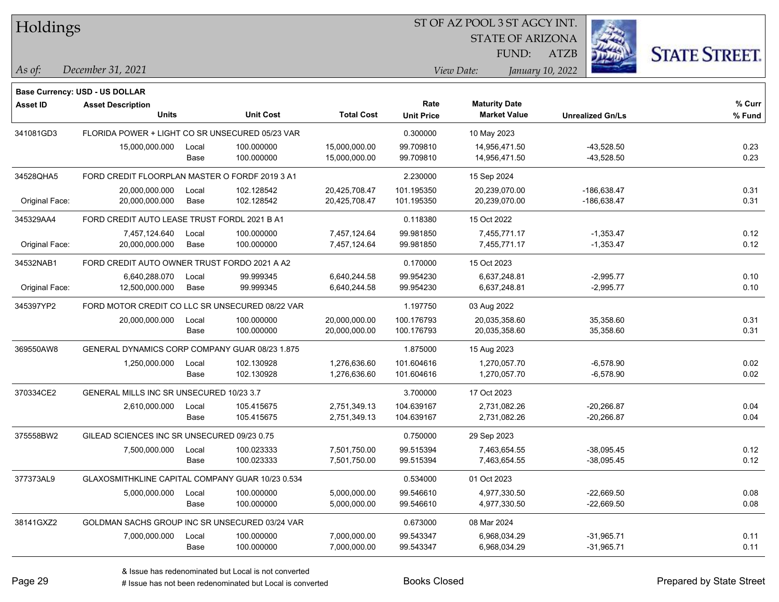Holdings

#### ST OF AZ POOL 3 ST AGCY INT.

STATE OF ARIZONA FUND:



*December 31, 2021 As of: View Date: January 10, 2022*

**Base Currency: USD - US DOLLAR**

ATZB

| <b>Asset ID</b> | <b>Asset Description</b><br><b>Units</b>         |       | <b>Unit Cost</b> | <b>Total Cost</b> | Rate<br><b>Unit Price</b> | <b>Maturity Date</b><br><b>Market Value</b> | <b>Unrealized Gn/Ls</b> | % Curr<br>% Fund |
|-----------------|--------------------------------------------------|-------|------------------|-------------------|---------------------------|---------------------------------------------|-------------------------|------------------|
| 341081GD3       | FLORIDA POWER + LIGHT CO SR UNSECURED 05/23 VAR  |       |                  |                   | 0.300000                  | 10 May 2023                                 |                         |                  |
|                 | 15,000,000.000                                   | Local | 100.000000       | 15,000,000.00     | 99.709810                 | 14,956,471.50                               | $-43,528.50$            | 0.23             |
|                 |                                                  | Base  | 100.000000       | 15,000,000.00     | 99.709810                 | 14,956,471.50                               | $-43,528.50$            | 0.23             |
| 34528QHA5       | FORD CREDIT FLOORPLAN MASTER O FORDF 2019 3 A1   |       |                  |                   | 2.230000                  | 15 Sep 2024                                 |                         |                  |
|                 | 20,000,000.000                                   | Local | 102.128542       | 20,425,708.47     | 101.195350                | 20,239,070.00                               | -186,638.47             | 0.31             |
| Original Face:  | 20,000,000.000                                   | Base  | 102.128542       | 20,425,708.47     | 101.195350                | 20,239,070.00                               | -186,638.47             | 0.31             |
| 345329AA4       | FORD CREDIT AUTO LEASE TRUST FORDL 2021 B A1     |       |                  |                   | 0.118380                  | 15 Oct 2022                                 |                         |                  |
|                 | 7,457,124.640                                    | Local | 100.000000       | 7,457,124.64      | 99.981850                 | 7,455,771.17                                | $-1,353.47$             | 0.12             |
| Original Face:  | 20,000,000.000                                   | Base  | 100.000000       | 7,457,124.64      | 99.981850                 | 7,455,771.17                                | $-1,353.47$             | 0.12             |
| 34532NAB1       | FORD CREDIT AUTO OWNER TRUST FORDO 2021 A A2     |       |                  |                   | 0.170000                  | 15 Oct 2023                                 |                         |                  |
|                 | 6,640,288.070                                    | Local | 99.999345        | 6,640,244.58      | 99.954230                 | 6,637,248.81                                | $-2,995.77$             | 0.10             |
| Original Face:  | 12,500,000.000                                   | Base  | 99.999345        | 6,640,244.58      | 99.954230                 | 6,637,248.81                                | $-2,995.77$             | 0.10             |
| 345397YP2       | FORD MOTOR CREDIT CO LLC SR UNSECURED 08/22 VAR  |       |                  |                   | 1.197750                  | 03 Aug 2022                                 |                         |                  |
|                 | 20,000,000.000                                   | Local | 100.000000       | 20,000,000.00     | 100.176793                | 20,035,358.60                               | 35,358.60               | 0.31             |
|                 |                                                  | Base  | 100.000000       | 20,000,000.00     | 100.176793                | 20,035,358.60                               | 35,358.60               | 0.31             |
| 369550AW8       | GENERAL DYNAMICS CORP COMPANY GUAR 08/23 1.875   |       |                  |                   | 1.875000                  | 15 Aug 2023                                 |                         |                  |
|                 | 1,250,000.000                                    | Local | 102.130928       | 1,276,636.60      | 101.604616                | 1,270,057.70                                | $-6,578.90$             | 0.02             |
|                 |                                                  | Base  | 102.130928       | 1,276,636.60      | 101.604616                | 1,270,057.70                                | $-6,578.90$             | 0.02             |
| 370334CE2       | GENERAL MILLS INC SR UNSECURED 10/23 3.7         |       |                  |                   | 3.700000                  | 17 Oct 2023                                 |                         |                  |
|                 | 2,610,000.000                                    | Local | 105.415675       | 2,751,349.13      | 104.639167                | 2,731,082.26                                | $-20,266.87$            | 0.04             |
|                 |                                                  | Base  | 105.415675       | 2,751,349.13      | 104.639167                | 2,731,082.26                                | $-20,266.87$            | 0.04             |
| 375558BW2       | GILEAD SCIENCES INC SR UNSECURED 09/23 0.75      |       |                  |                   | 0.750000                  | 29 Sep 2023                                 |                         |                  |
|                 | 7,500,000.000                                    | Local | 100.023333       | 7,501,750.00      | 99.515394                 | 7,463,654.55                                | $-38,095.45$            | 0.12             |
|                 |                                                  | Base  | 100.023333       | 7,501,750.00      | 99.515394                 | 7,463,654.55                                | $-38,095.45$            | 0.12             |
| 377373AL9       | GLAXOSMITHKLINE CAPITAL COMPANY GUAR 10/23 0.534 |       |                  |                   | 0.534000                  | 01 Oct 2023                                 |                         |                  |
|                 | 5,000,000.000                                    | Local | 100.000000       | 5,000,000.00      | 99.546610                 | 4,977,330.50                                | $-22,669.50$            | 0.08             |
|                 |                                                  | Base  | 100.000000       | 5,000,000.00      | 99.546610                 | 4,977,330.50                                | $-22,669.50$            | 0.08             |
| 38141GXZ2       | GOLDMAN SACHS GROUP INC SR UNSECURED 03/24 VAR   |       |                  |                   | 0.673000                  | 08 Mar 2024                                 |                         |                  |
|                 | 7,000,000.000                                    | Local | 100.000000       | 7,000,000.00      | 99.543347                 | 6,968,034.29                                | $-31,965.71$            | 0.11             |
|                 |                                                  | Base  | 100.000000       | 7,000,000.00      | 99.543347                 | 6,968,034.29                                | $-31,965.71$            | 0.11             |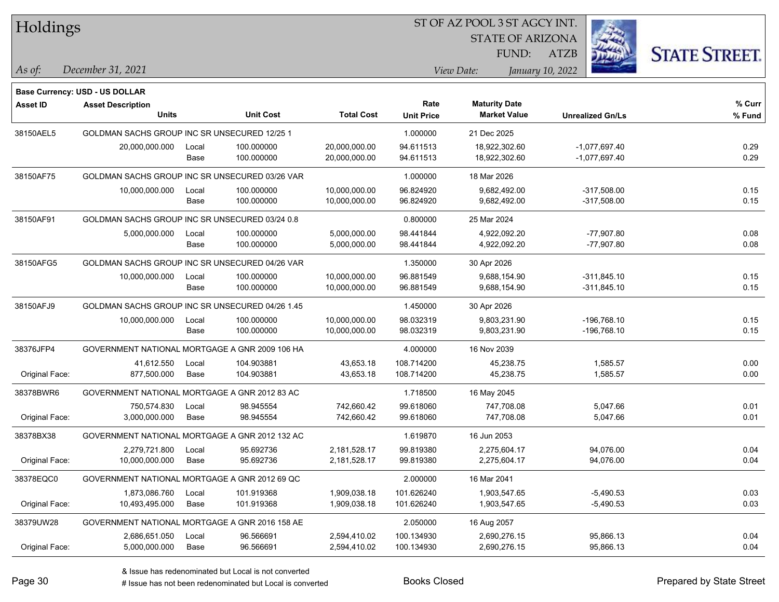| Holdings        |                                                 |       |                  | ST OF AZ POOL 3 ST AGCY INT. |                   |                      |                         |                         |                      |  |
|-----------------|-------------------------------------------------|-------|------------------|------------------------------|-------------------|----------------------|-------------------------|-------------------------|----------------------|--|
|                 |                                                 |       |                  |                              |                   |                      | <b>STATE OF ARIZONA</b> |                         |                      |  |
|                 |                                                 |       |                  |                              |                   | FUND:                | <b>ATZB</b>             |                         | <b>STATE STREET.</b> |  |
| As of:          | December 31, 2021                               |       |                  |                              |                   | View Date:           | January 10, 2022        |                         |                      |  |
|                 | Base Currency: USD - US DOLLAR                  |       |                  |                              |                   |                      |                         |                         |                      |  |
| <b>Asset ID</b> | <b>Asset Description</b>                        |       |                  |                              | Rate              | <b>Maturity Date</b> |                         |                         | % Curr               |  |
|                 | <b>Units</b>                                    |       | <b>Unit Cost</b> | <b>Total Cost</b>            | <b>Unit Price</b> | <b>Market Value</b>  |                         | <b>Unrealized Gn/Ls</b> | % Fund               |  |
| 38150AEL5       | GOLDMAN SACHS GROUP INC SR UNSECURED 12/25 1    |       |                  |                              | 1.000000          | 21 Dec 2025          |                         |                         |                      |  |
|                 | 20,000,000.000                                  | Local | 100.000000       | 20,000,000.00                | 94.611513         | 18,922,302.60        |                         | $-1,077,697.40$         | 0.29                 |  |
|                 |                                                 | Base  | 100.000000       | 20,000,000.00                | 94.611513         | 18,922,302.60        |                         | $-1,077,697.40$         | 0.29                 |  |
| 38150AF75       | GOLDMAN SACHS GROUP INC SR UNSECURED 03/26 VAR  |       |                  |                              | 1.000000          | 18 Mar 2026          |                         |                         |                      |  |
|                 | 10,000,000.000                                  | Local | 100.000000       | 10,000,000.00                | 96.824920         | 9,682,492.00         |                         | $-317,508.00$           | 0.15                 |  |
|                 |                                                 | Base  | 100.000000       | 10,000,000.00                | 96.824920         | 9,682,492.00         |                         | $-317,508.00$           | 0.15                 |  |
| 38150AF91       | GOLDMAN SACHS GROUP INC SR UNSECURED 03/24 0.8  |       |                  |                              | 0.800000          | 25 Mar 2024          |                         |                         |                      |  |
|                 | 5,000,000.000                                   | Local | 100.000000       | 5,000,000.00                 | 98.441844         | 4,922,092.20         |                         | $-77,907.80$            | 0.08                 |  |
|                 |                                                 | Base  | 100.000000       | 5,000,000.00                 | 98.441844         | 4,922,092.20         |                         | $-77,907.80$            | 0.08                 |  |
| 38150AFG5       | GOLDMAN SACHS GROUP INC SR UNSECURED 04/26 VAR  |       |                  |                              | 1.350000          | 30 Apr 2026          |                         |                         |                      |  |
|                 | 10,000,000.000                                  | Local | 100.000000       | 10,000,000.00                | 96.881549         | 9,688,154.90         |                         | $-311,845.10$           | 0.15                 |  |
|                 |                                                 | Base  | 100.000000       | 10,000,000.00                | 96.881549         | 9,688,154.90         |                         | $-311,845.10$           | 0.15                 |  |
| 38150AFJ9       | GOLDMAN SACHS GROUP INC SR UNSECURED 04/26 1.45 |       |                  |                              | 1.450000          | 30 Apr 2026          |                         |                         |                      |  |
|                 | 10,000,000.000                                  | Local | 100.000000       | 10,000,000.00                | 98.032319         | 9,803,231.90         |                         | $-196,768.10$           | 0.15                 |  |
|                 |                                                 | Base  | 100.000000       | 10,000,000.00                | 98.032319         | 9,803,231.90         |                         | $-196,768.10$           | 0.15                 |  |
| 38376JFP4       | GOVERNMENT NATIONAL MORTGAGE A GNR 2009 106 HA  |       |                  |                              | 4.000000          | 16 Nov 2039          |                         |                         |                      |  |
|                 | 41,612.550                                      | Local | 104.903881       | 43,653.18                    | 108.714200        | 45,238.75            |                         | 1,585.57                | 0.00                 |  |
| Original Face:  | 877,500.000                                     | Base  | 104.903881       | 43,653.18                    | 108.714200        | 45,238.75            |                         | 1,585.57                | 0.00                 |  |
| 38378BWR6       | GOVERNMENT NATIONAL MORTGAGE A GNR 2012 83 AC   |       |                  |                              | 1.718500          | 16 May 2045          |                         |                         |                      |  |
|                 | 750,574.830                                     | Local | 98.945554        | 742,660.42                   | 99.618060         | 747,708.08           |                         | 5,047.66                | 0.01                 |  |
| Original Face:  | 3,000,000.000                                   | Base  | 98.945554        | 742,660.42                   | 99.618060         | 747,708.08           |                         | 5,047.66                | 0.01                 |  |
| 38378BX38       | GOVERNMENT NATIONAL MORTGAGE A GNR 2012 132 AC  |       |                  |                              | 1.619870          | 16 Jun 2053          |                         |                         |                      |  |
|                 | 2,279,721.800                                   | Local | 95.692736        | 2,181,528.17                 | 99.819380         | 2,275,604.17         |                         | 94,076.00               | 0.04                 |  |
| Original Face:  | 10,000,000.000                                  | Base  | 95.692736        | 2,181,528.17                 | 99.819380         | 2,275,604.17         |                         | 94,076.00               | 0.04                 |  |
| 38378EQC0       | GOVERNMENT NATIONAL MORTGAGE A GNR 2012 69 QC   |       |                  |                              | 2.000000          | 16 Mar 2041          |                         |                         |                      |  |
|                 | 1,873,086.760                                   | Local | 101.919368       | 1,909,038.18                 | 101.626240        | 1,903,547.65         |                         | $-5,490.53$             | 0.03                 |  |
| Original Face:  | 10,493,495.000                                  | Base  | 101.919368       | 1,909,038.18                 | 101.626240        | 1,903,547.65         |                         | $-5,490.53$             | 0.03                 |  |
| 38379UW28       | GOVERNMENT NATIONAL MORTGAGE A GNR 2016 158 AE  |       |                  |                              | 2.050000          | 16 Aug 2057          |                         |                         |                      |  |
|                 | 2,686,651.050                                   | Local | 96.566691        | 2,594,410.02                 | 100.134930        | 2,690,276.15         |                         | 95,866.13               | 0.04                 |  |
| Original Face:  | 5,000,000.000                                   | Base  | 96.566691        | 2,594,410.02                 | 100.134930        | 2,690,276.15         |                         | 95,866.13               | 0.04                 |  |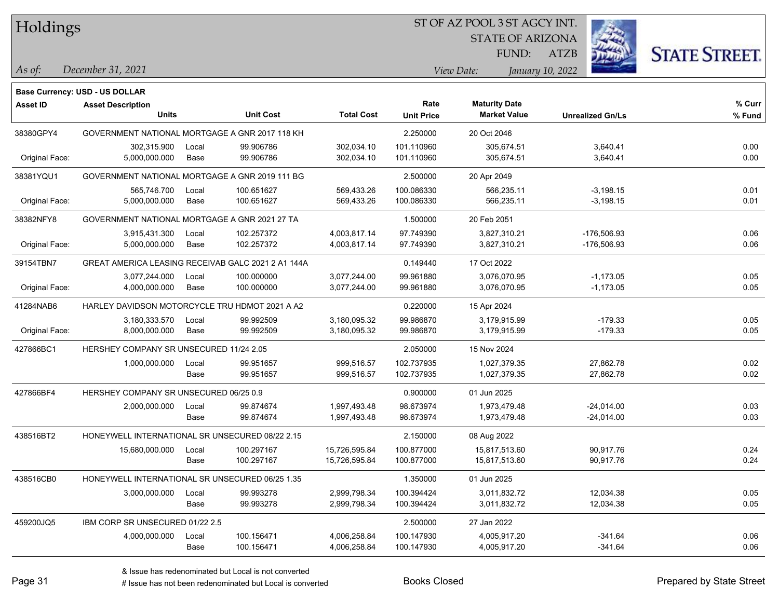Holdings

#### ST OF AZ POOL 3 ST AGCY INT.

STATE OF ARIZONA

ATZB



*December 31, 2021 As of: View Date: January 10, 2022*

**Base Currency: USD - US DOLLAR**

FUND:

| Asset ID       | <b>Asset Description</b><br><b>Units</b>           |       | <b>Unit Cost</b> | <b>Total Cost</b> | Rate<br><b>Unit Price</b> | <b>Maturity Date</b><br><b>Market Value</b> | <b>Unrealized Gn/Ls</b> | % Curr<br>% Fund |
|----------------|----------------------------------------------------|-------|------------------|-------------------|---------------------------|---------------------------------------------|-------------------------|------------------|
| 38380GPY4      | GOVERNMENT NATIONAL MORTGAGE A GNR 2017 118 KH     |       |                  |                   | 2.250000                  | 20 Oct 2046                                 |                         |                  |
|                | 302,315.900                                        | Local | 99.906786        | 302,034.10        | 101.110960                | 305,674.51                                  | 3,640.41                | 0.00             |
| Original Face: | 5,000,000.000                                      | Base  | 99.906786        | 302,034.10        | 101.110960                | 305,674.51                                  | 3,640.41                | 0.00             |
| 38381YQU1      | GOVERNMENT NATIONAL MORTGAGE A GNR 2019 111 BG     |       |                  |                   | 2.500000                  | 20 Apr 2049                                 |                         |                  |
|                | 565,746.700                                        | Local | 100.651627       | 569,433.26        | 100.086330                | 566,235.11                                  | $-3,198.15$             | 0.01             |
| Original Face: | 5,000,000.000                                      | Base  | 100.651627       | 569,433.26        | 100.086330                | 566,235.11                                  | $-3,198.15$             | 0.01             |
| 38382NFY8      | GOVERNMENT NATIONAL MORTGAGE A GNR 2021 27 TA      |       |                  |                   | 1.500000                  | 20 Feb 2051                                 |                         |                  |
|                | 3,915,431.300                                      | Local | 102.257372       | 4,003,817.14      | 97.749390                 | 3,827,310.21                                | -176,506.93             | 0.06             |
| Original Face: | 5,000,000.000                                      | Base  | 102.257372       | 4,003,817.14      | 97.749390                 | 3,827,310.21                                | -176,506.93             | 0.06             |
| 39154TBN7      | GREAT AMERICA LEASING RECEIVAB GALC 2021 2 A1 144A |       |                  |                   | 0.149440                  | 17 Oct 2022                                 |                         |                  |
|                | 3,077,244.000                                      | Local | 100.000000       | 3,077,244.00      | 99.961880                 | 3,076,070.95                                | $-1,173.05$             | 0.05             |
| Original Face: | 4,000,000.000                                      | Base  | 100.000000       | 3,077,244.00      | 99.961880                 | 3,076,070.95                                | $-1,173.05$             | 0.05             |
| 41284NAB6      | HARLEY DAVIDSON MOTORCYCLE TRU HDMOT 2021 A A2     |       |                  |                   | 0.220000                  | 15 Apr 2024                                 |                         |                  |
|                | 3,180,333.570                                      | Local | 99.992509        | 3,180,095.32      | 99.986870                 | 3,179,915.99                                | $-179.33$               | 0.05             |
| Original Face: | 8,000,000.000                                      | Base  | 99.992509        | 3,180,095.32      | 99.986870                 | 3,179,915.99                                | $-179.33$               | 0.05             |
| 427866BC1      | HERSHEY COMPANY SR UNSECURED 11/24 2.05            |       |                  |                   | 2.050000                  | 15 Nov 2024                                 |                         |                  |
|                | 1,000,000.000                                      | Local | 99.951657        | 999,516.57        | 102.737935                | 1,027,379.35                                | 27,862.78               | 0.02             |
|                |                                                    | Base  | 99.951657        | 999,516.57        | 102.737935                | 1,027,379.35                                | 27,862.78               | 0.02             |
| 427866BF4      | HERSHEY COMPANY SR UNSECURED 06/25 0.9             |       |                  |                   | 0.900000                  | 01 Jun 2025                                 |                         |                  |
|                | 2,000,000.000                                      | Local | 99.874674        | 1,997,493.48      | 98.673974                 | 1,973,479.48                                | $-24,014.00$            | 0.03             |
|                |                                                    | Base  | 99.874674        | 1,997,493.48      | 98.673974                 | 1,973,479.48                                | $-24,014.00$            | 0.03             |
| 438516BT2      | HONEYWELL INTERNATIONAL SR UNSECURED 08/22 2.15    |       |                  |                   | 2.150000                  | 08 Aug 2022                                 |                         |                  |
|                | 15,680,000.000                                     | Local | 100.297167       | 15,726,595.84     | 100.877000                | 15,817,513.60                               | 90,917.76               | 0.24             |
|                |                                                    | Base  | 100.297167       | 15,726,595.84     | 100.877000                | 15,817,513.60                               | 90,917.76               | 0.24             |
| 438516CB0      | HONEYWELL INTERNATIONAL SR UNSECURED 06/25 1.35    |       |                  |                   | 1.350000                  | 01 Jun 2025                                 |                         |                  |
|                | 3,000,000.000                                      | Local | 99.993278        | 2,999,798.34      | 100.394424                | 3,011,832.72                                | 12,034.38               | 0.05             |
|                |                                                    | Base  | 99.993278        | 2,999,798.34      | 100.394424                | 3,011,832.72                                | 12,034.38               | 0.05             |
| 459200JQ5      | IBM CORP SR UNSECURED 01/22 2.5                    |       |                  |                   | 2.500000                  | 27 Jan 2022                                 |                         |                  |
|                | 4,000,000.000                                      | Local | 100.156471       | 4,006,258.84      | 100.147930                | 4,005,917.20                                | $-341.64$               | 0.06             |
|                |                                                    | Base  | 100.156471       | 4,006,258.84      | 100.147930                | 4,005,917.20                                | $-341.64$               | 0.06             |

# Issue has not been redenominated but Local is converted Books Closed Prepared by State Street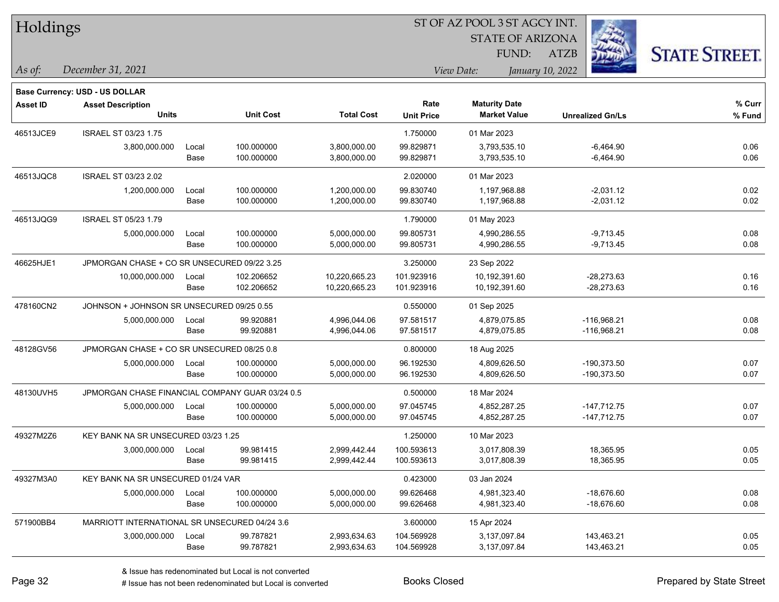| Holdings        |                                                 |       |                  |                   | ST OF AZ POOL 3 ST AGCY INT. |                      |                         |                         |                      |  |  |
|-----------------|-------------------------------------------------|-------|------------------|-------------------|------------------------------|----------------------|-------------------------|-------------------------|----------------------|--|--|
|                 |                                                 |       |                  |                   |                              |                      | <b>STATE OF ARIZONA</b> |                         |                      |  |  |
|                 |                                                 |       |                  |                   |                              |                      | FUND:<br><b>ATZB</b>    |                         | <b>STATE STREET.</b> |  |  |
| As of:          | December 31, 2021                               |       |                  |                   |                              | View Date:           | January 10, 2022        |                         |                      |  |  |
|                 | <b>Base Currency: USD - US DOLLAR</b>           |       |                  |                   |                              |                      |                         |                         |                      |  |  |
| <b>Asset ID</b> | <b>Asset Description</b>                        |       |                  |                   | Rate                         | <b>Maturity Date</b> |                         |                         | % Curr               |  |  |
|                 | <b>Units</b>                                    |       | <b>Unit Cost</b> | <b>Total Cost</b> | <b>Unit Price</b>            | <b>Market Value</b>  |                         | <b>Unrealized Gn/Ls</b> | % Fund               |  |  |
| 46513JCE9       | <b>ISRAEL ST 03/23 1.75</b>                     |       |                  |                   | 1.750000                     | 01 Mar 2023          |                         |                         |                      |  |  |
|                 | 3,800,000.000                                   | Local | 100.000000       | 3,800,000.00      | 99.829871                    | 3,793,535.10         |                         | $-6,464.90$             | 0.06                 |  |  |
|                 |                                                 | Base  | 100.000000       | 3,800,000.00      | 99.829871                    | 3,793,535.10         |                         | $-6,464.90$             | 0.06                 |  |  |
| 46513JQC8       | ISRAEL ST 03/23 2.02                            |       |                  |                   | 2.020000                     | 01 Mar 2023          |                         |                         |                      |  |  |
|                 | 1,200,000.000                                   | Local | 100.000000       | 1,200,000.00      | 99.830740                    | 1,197,968.88         |                         | $-2,031.12$             | 0.02                 |  |  |
|                 |                                                 | Base  | 100.000000       | 1,200,000.00      | 99.830740                    | 1,197,968.88         |                         | $-2,031.12$             | 0.02                 |  |  |
| 46513JQG9       | <b>ISRAEL ST 05/23 1.79</b>                     |       |                  |                   | 1.790000                     | 01 May 2023          |                         |                         |                      |  |  |
|                 | 5,000,000.000                                   | Local | 100.000000       | 5,000,000.00      | 99.805731                    | 4,990,286.55         |                         | $-9,713.45$             | 0.08                 |  |  |
|                 |                                                 | Base  | 100.000000       | 5,000,000.00      | 99.805731                    | 4,990,286.55         |                         | $-9,713.45$             | 0.08                 |  |  |
| 46625HJE1       | JPMORGAN CHASE + CO SR UNSECURED 09/22 3.25     |       |                  |                   | 3.250000                     | 23 Sep 2022          |                         |                         |                      |  |  |
|                 | 10,000,000.000                                  | Local | 102.206652       | 10,220,665.23     | 101.923916                   | 10,192,391.60        |                         | $-28,273.63$            | 0.16                 |  |  |
|                 |                                                 | Base  | 102.206652       | 10,220,665.23     | 101.923916                   | 10,192,391.60        |                         | $-28,273.63$            | 0.16                 |  |  |
| 478160CN2       | JOHNSON + JOHNSON SR UNSECURED 09/25 0.55       |       |                  |                   | 0.550000                     | 01 Sep 2025          |                         |                         |                      |  |  |
|                 | 5,000,000.000                                   | Local | 99.920881        | 4,996,044.06      | 97.581517                    | 4,879,075.85         |                         | $-116,968.21$           | 0.08                 |  |  |
|                 |                                                 | Base  | 99.920881        | 4,996,044.06      | 97.581517                    | 4,879,075.85         |                         | $-116,968.21$           | 0.08                 |  |  |
| 48128GV56       | JPMORGAN CHASE + CO SR UNSECURED 08/25 0.8      |       |                  |                   | 0.800000                     | 18 Aug 2025          |                         |                         |                      |  |  |
|                 | 5,000,000.000                                   | Local | 100.000000       | 5,000,000.00      | 96.192530                    | 4,809,626.50         |                         | -190,373.50             | 0.07                 |  |  |
|                 |                                                 | Base  | 100.000000       | 5,000,000.00      | 96.192530                    | 4,809,626.50         |                         | -190,373.50             | 0.07                 |  |  |
| 48130UVH5       | JPMORGAN CHASE FINANCIAL COMPANY GUAR 03/24 0.5 |       |                  |                   | 0.500000                     | 18 Mar 2024          |                         |                         |                      |  |  |
|                 | 5,000,000.000                                   | Local | 100.000000       | 5,000,000.00      | 97.045745                    | 4,852,287.25         |                         | $-147,712.75$           | 0.07                 |  |  |
|                 |                                                 | Base  | 100.000000       | 5,000,000.00      | 97.045745                    | 4,852,287.25         |                         | $-147,712.75$           | 0.07                 |  |  |
| 49327M2Z6       | KEY BANK NA SR UNSECURED 03/23 1.25             |       |                  |                   | 1.250000                     | 10 Mar 2023          |                         |                         |                      |  |  |
|                 | 3,000,000.000                                   | Local | 99.981415        | 2,999,442.44      | 100.593613                   | 3,017,808.39         |                         | 18,365.95               | 0.05                 |  |  |
|                 |                                                 | Base  | 99.981415        | 2,999,442.44      | 100.593613                   | 3,017,808.39         |                         | 18,365.95               | 0.05                 |  |  |
| 49327M3A0       | KEY BANK NA SR UNSECURED 01/24 VAR              |       |                  |                   | 0.423000                     | 03 Jan 2024          |                         |                         |                      |  |  |
|                 | 5,000,000.000                                   | Local | 100.000000       | 5,000,000.00      | 99.626468                    | 4,981,323.40         |                         | $-18,676.60$            | 0.08                 |  |  |
|                 |                                                 | Base  | 100.000000       | 5,000,000.00      | 99.626468                    | 4,981,323.40         |                         | $-18,676.60$            | 0.08                 |  |  |
| 571900BB4       | MARRIOTT INTERNATIONAL SR UNSECURED 04/24 3.6   |       |                  |                   | 3.600000                     | 15 Apr 2024          |                         |                         |                      |  |  |
|                 | 3,000,000.000                                   | Local | 99.787821        | 2,993,634.63      | 104.569928                   | 3,137,097.84         |                         | 143,463.21              | 0.05                 |  |  |
|                 |                                                 | Base  | 99.787821        | 2,993,634.63      | 104.569928                   | 3,137,097.84         |                         | 143,463.21              | 0.05                 |  |  |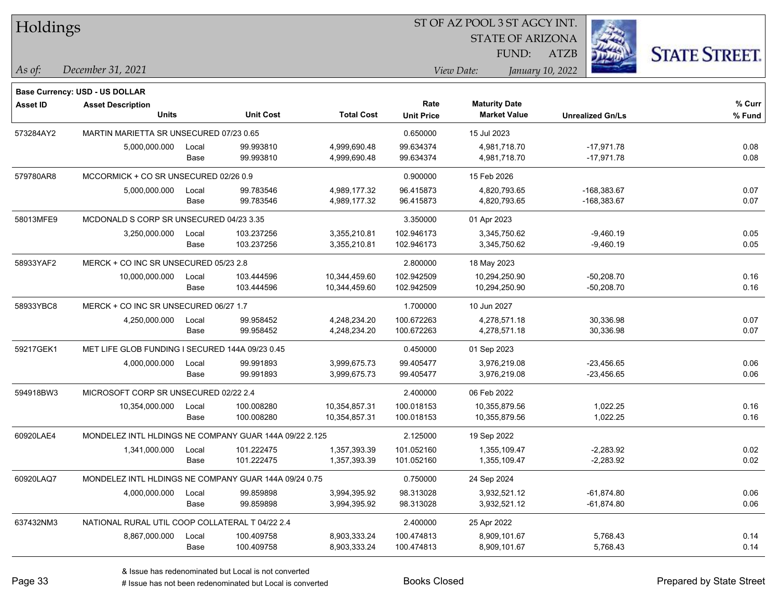| Holdings        |                                                        |       |                  |                   |                   | ST OF AZ POOL 3 ST AGCY INT. |                         |                      |
|-----------------|--------------------------------------------------------|-------|------------------|-------------------|-------------------|------------------------------|-------------------------|----------------------|
|                 |                                                        |       |                  |                   |                   | <b>STATE OF ARIZONA</b>      |                         |                      |
|                 |                                                        |       |                  |                   |                   | FUND:                        | ATZB                    | <b>STATE STREET.</b> |
| As of:          | December 31, 2021                                      |       |                  |                   |                   | View Date:                   | January 10, 2022        |                      |
|                 |                                                        |       |                  |                   |                   |                              |                         |                      |
|                 | Base Currency: USD - US DOLLAR                         |       |                  |                   | Rate              | <b>Maturity Date</b>         |                         | % Curr               |
| <b>Asset ID</b> | <b>Asset Description</b><br><b>Units</b>               |       | <b>Unit Cost</b> | <b>Total Cost</b> | <b>Unit Price</b> | <b>Market Value</b>          | <b>Unrealized Gn/Ls</b> | % Fund               |
| 573284AY2       | MARTIN MARIETTA SR UNSECURED 07/23 0.65                |       |                  |                   | 0.650000          | 15 Jul 2023                  |                         |                      |
|                 | 5,000,000.000                                          | Local | 99.993810        | 4,999,690.48      | 99.634374         | 4,981,718.70                 | $-17,971.78$            | 0.08                 |
|                 |                                                        | Base  | 99.993810        | 4,999,690.48      | 99.634374         | 4,981,718.70                 | $-17,971.78$            | 0.08                 |
| 579780AR8       | MCCORMICK + CO SR UNSECURED 02/26 0.9                  |       |                  |                   | 0.900000          | 15 Feb 2026                  |                         |                      |
|                 | 5,000,000.000                                          | Local | 99.783546        | 4,989,177.32      | 96.415873         | 4,820,793.65                 | $-168,383.67$           | 0.07                 |
|                 |                                                        | Base  | 99.783546        | 4,989,177.32      | 96.415873         | 4,820,793.65                 | $-168,383.67$           | 0.07                 |
| 58013MFE9       | MCDONALD S CORP SR UNSECURED 04/23 3.35                |       |                  |                   | 3.350000          | 01 Apr 2023                  |                         |                      |
|                 | 3,250,000.000                                          | Local | 103.237256       | 3,355,210.81      | 102.946173        | 3,345,750.62                 | $-9,460.19$             | 0.05                 |
|                 |                                                        | Base  | 103.237256       | 3,355,210.81      | 102.946173        | 3,345,750.62                 | $-9,460.19$             | 0.05                 |
| 58933YAF2       | MERCK + CO INC SR UNSECURED 05/23 2.8                  |       |                  |                   | 2.800000          | 18 May 2023                  |                         |                      |
|                 | 10,000,000.000                                         | Local | 103.444596       | 10,344,459.60     | 102.942509        | 10,294,250.90                | $-50,208.70$            | 0.16                 |
|                 |                                                        | Base  | 103.444596       | 10,344,459.60     | 102.942509        | 10,294,250.90                | $-50,208.70$            | 0.16                 |
| 58933YBC8       | MERCK + CO INC SR UNSECURED 06/27 1.7                  |       |                  |                   | 1.700000          | 10 Jun 2027                  |                         |                      |
|                 | 4,250,000.000                                          | Local | 99.958452        | 4,248,234.20      | 100.672263        | 4,278,571.18                 | 30,336.98               | 0.07                 |
|                 |                                                        | Base  | 99.958452        | 4,248,234.20      | 100.672263        | 4,278,571.18                 | 30,336.98               | 0.07                 |
| 59217GEK1       | MET LIFE GLOB FUNDING I SECURED 144A 09/23 0.45        |       |                  |                   | 0.450000          | 01 Sep 2023                  |                         |                      |
|                 | 4,000,000.000                                          | Local | 99.991893        | 3,999,675.73      | 99.405477         | 3,976,219.08                 | $-23,456.65$            | 0.06                 |
|                 |                                                        | Base  | 99.991893        | 3,999,675.73      | 99.405477         | 3,976,219.08                 | $-23,456.65$            | 0.06                 |
| 594918BW3       | MICROSOFT CORP SR UNSECURED 02/22 2.4                  |       |                  |                   | 2.400000          | 06 Feb 2022                  |                         |                      |
|                 | 10,354,000.000                                         | Local | 100.008280       | 10,354,857.31     | 100.018153        | 10,355,879.56                | 1,022.25                | 0.16                 |
|                 |                                                        | Base  | 100.008280       | 10,354,857.31     | 100.018153        | 10,355,879.56                | 1,022.25                | 0.16                 |
| 60920LAE4       | MONDELEZ INTL HLDINGS NE COMPANY GUAR 144A 09/22 2.125 |       |                  |                   | 2.125000          | 19 Sep 2022                  |                         |                      |
|                 | 1,341,000.000                                          | Local | 101.222475       | 1,357,393.39      | 101.052160        | 1,355,109.47                 | $-2,283.92$             | 0.02                 |
|                 |                                                        | Base  | 101.222475       | 1,357,393.39      | 101.052160        | 1,355,109.47                 | $-2,283.92$             | 0.02                 |
| 60920LAQ7       | MONDELEZ INTL HLDINGS NE COMPANY GUAR 144A 09/24 0.75  |       |                  |                   | 0.750000          | 24 Sep 2024                  |                         |                      |
|                 | 4,000,000.000                                          | Local | 99.859898        | 3,994,395.92      | 98.313028         | 3,932,521.12                 | $-61,874.80$            | 0.06                 |
|                 |                                                        | Base  | 99.859898        | 3,994,395.92      | 98.313028         | 3,932,521.12                 | $-61,874.80$            | 0.06                 |
| 637432NM3       | NATIONAL RURAL UTIL COOP COLLATERAL T 04/22 2.4        |       |                  |                   | 2.400000          | 25 Apr 2022                  |                         |                      |
|                 | 8,867,000.000                                          | Local | 100.409758       | 8,903,333.24      | 100.474813        | 8,909,101.67                 | 5,768.43                | 0.14                 |
|                 |                                                        | Base  | 100.409758       | 8,903,333.24      | 100.474813        | 8,909,101.67                 | 5,768.43                | 0.14                 |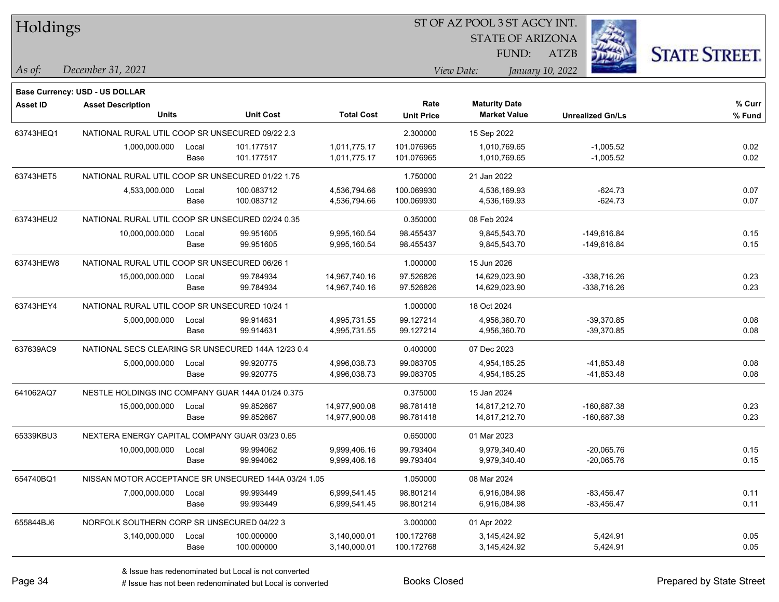| Holdings        |                                                      |       |                  |                   |                           | ST OF AZ POOL 3 ST AGCY INT.                |                         |                      |  |
|-----------------|------------------------------------------------------|-------|------------------|-------------------|---------------------------|---------------------------------------------|-------------------------|----------------------|--|
|                 |                                                      |       |                  |                   |                           | <b>STATE OF ARIZONA</b>                     |                         |                      |  |
|                 |                                                      |       |                  |                   |                           | FUND:                                       | <b>ATZB</b>             | <b>STATE STREET.</b> |  |
| As of:          | December 31, 2021                                    |       |                  |                   |                           | View Date:                                  | January 10, 2022        |                      |  |
|                 |                                                      |       |                  |                   |                           |                                             |                         |                      |  |
|                 | Base Currency: USD - US DOLLAR                       |       |                  |                   |                           |                                             |                         |                      |  |
| <b>Asset ID</b> | <b>Asset Description</b><br><b>Units</b>             |       | <b>Unit Cost</b> | <b>Total Cost</b> | Rate<br><b>Unit Price</b> | <b>Maturity Date</b><br><b>Market Value</b> | <b>Unrealized Gn/Ls</b> | % Curr<br>% Fund     |  |
|                 |                                                      |       |                  |                   |                           |                                             |                         |                      |  |
| 63743HEQ1       | NATIONAL RURAL UTIL COOP SR UNSECURED 09/22 2.3      |       |                  |                   | 2.300000                  | 15 Sep 2022                                 |                         |                      |  |
|                 | 1,000,000.000                                        | Local | 101.177517       | 1,011,775.17      | 101.076965                | 1,010,769.65                                | $-1,005.52$             | 0.02                 |  |
|                 |                                                      | Base  | 101.177517       | 1,011,775.17      | 101.076965                | 1,010,769.65                                | $-1,005.52$             | 0.02                 |  |
| 63743HET5       | NATIONAL RURAL UTIL COOP SR UNSECURED 01/22 1.75     |       |                  |                   | 1.750000                  | 21 Jan 2022                                 |                         |                      |  |
|                 | 4,533,000.000                                        | Local | 100.083712       | 4,536,794.66      | 100.069930                | 4,536,169.93                                | $-624.73$               | 0.07                 |  |
|                 |                                                      | Base  | 100.083712       | 4,536,794.66      | 100.069930                | 4,536,169.93                                | $-624.73$               | 0.07                 |  |
| 63743HEU2       | NATIONAL RURAL UTIL COOP SR UNSECURED 02/24 0.35     |       |                  |                   | 0.350000                  | 08 Feb 2024                                 |                         |                      |  |
|                 | 10,000,000.000                                       | Local | 99.951605        | 9,995,160.54      | 98.455437                 | 9,845,543.70                                | $-149,616.84$           | 0.15                 |  |
|                 |                                                      | Base  | 99.951605        | 9,995,160.54      | 98.455437                 | 9,845,543.70                                | -149,616.84             | 0.15                 |  |
| 63743HEW8       | NATIONAL RURAL UTIL COOP SR UNSECURED 06/26 1        |       |                  |                   | 1.000000                  | 15 Jun 2026                                 |                         |                      |  |
|                 | 15,000,000.000                                       | Local | 99.784934        | 14,967,740.16     | 97.526826                 | 14,629,023.90                               | -338,716.26             | 0.23                 |  |
|                 |                                                      | Base  | 99.784934        | 14,967,740.16     | 97.526826                 | 14,629,023.90                               | -338,716.26             | 0.23                 |  |
| 63743HEY4       | NATIONAL RURAL UTIL COOP SR UNSECURED 10/24 1        |       |                  |                   | 1.000000                  | 18 Oct 2024                                 |                         |                      |  |
|                 | 5,000,000.000                                        | Local | 99.914631        | 4,995,731.55      | 99.127214                 | 4,956,360.70                                | $-39,370.85$            | 0.08                 |  |
|                 |                                                      | Base  | 99.914631        | 4,995,731.55      | 99.127214                 | 4,956,360.70                                | $-39,370.85$            | 0.08                 |  |
| 637639AC9       | NATIONAL SECS CLEARING SR UNSECURED 144A 12/23 0.4   |       |                  |                   | 0.400000                  | 07 Dec 2023                                 |                         |                      |  |
|                 | 5,000,000.000                                        | Local | 99.920775        | 4,996,038.73      | 99.083705                 | 4,954,185.25                                | -41,853.48              | 0.08                 |  |
|                 |                                                      | Base  | 99.920775        | 4,996,038.73      | 99.083705                 | 4,954,185.25                                | $-41,853.48$            | 0.08                 |  |
| 641062AQ7       | NESTLE HOLDINGS INC COMPANY GUAR 144A 01/24 0.375    |       |                  |                   | 0.375000                  | 15 Jan 2024                                 |                         |                      |  |
|                 | 15,000,000.000                                       | Local | 99.852667        | 14,977,900.08     | 98.781418                 | 14,817,212.70                               | -160,687.38             | 0.23                 |  |
|                 |                                                      | Base  | 99.852667        | 14,977,900.08     | 98.781418                 | 14,817,212.70                               | -160,687.38             | 0.23                 |  |
| 65339KBU3       | NEXTERA ENERGY CAPITAL COMPANY GUAR 03/23 0.65       |       |                  |                   | 0.650000                  | 01 Mar 2023                                 |                         |                      |  |
|                 | 10,000,000.000                                       | Local | 99.994062        | 9,999,406.16      | 99.793404                 | 9,979,340.40                                | $-20,065.76$            | 0.15                 |  |
|                 |                                                      | Base  | 99.994062        | 9,999,406.16      | 99.793404                 | 9,979,340.40                                | $-20,065.76$            | 0.15                 |  |
| 654740BQ1       | NISSAN MOTOR ACCEPTANCE SR UNSECURED 144A 03/24 1.05 |       |                  |                   | 1.050000                  | 08 Mar 2024                                 |                         |                      |  |
|                 | 7,000,000.000                                        | Local | 99.993449        | 6,999,541.45      | 98.801214                 | 6,916,084.98                                | $-83,456.47$            | 0.11                 |  |
|                 |                                                      | Base  | 99.993449        | 6,999,541.45      | 98.801214                 | 6,916,084.98                                | $-83,456.47$            | 0.11                 |  |
| 655844BJ6       | NORFOLK SOUTHERN CORP SR UNSECURED 04/22 3           |       |                  |                   | 3.000000                  | 01 Apr 2022                                 |                         |                      |  |
|                 | 3,140,000.000                                        | Local | 100.000000       | 3,140,000.01      | 100.172768                | 3,145,424.92                                | 5,424.91                | 0.05                 |  |
|                 |                                                      | Base  | 100.000000       | 3,140,000.01      | 100.172768                | 3,145,424.92                                | 5,424.91                | 0.05                 |  |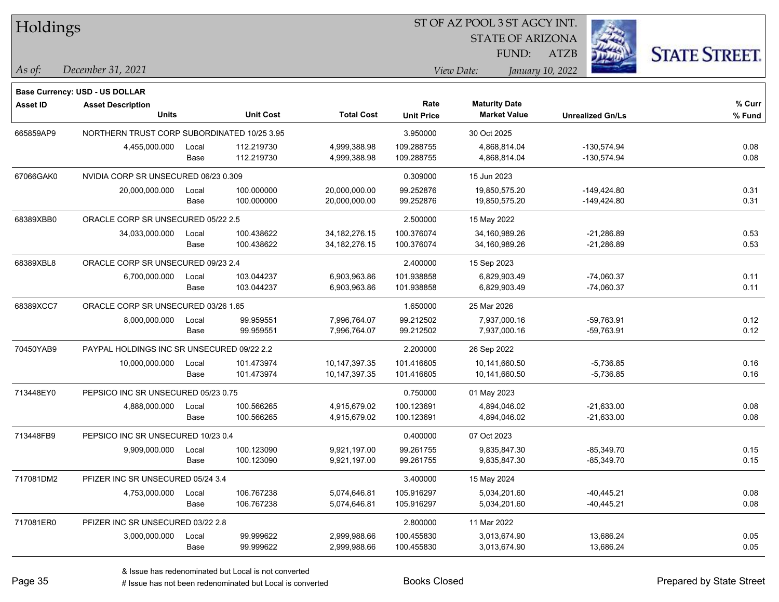| Holdings        |                                             |       |                  |                   |                   | ST OF AZ POOL 3 ST AGCY INT.   |                         |                      |
|-----------------|---------------------------------------------|-------|------------------|-------------------|-------------------|--------------------------------|-------------------------|----------------------|
|                 |                                             |       |                  |                   |                   | <b>STATE OF ARIZONA</b>        |                         |                      |
|                 |                                             |       |                  |                   |                   | FUND:                          | ATZB                    | <b>STATE STREET.</b> |
| As of:          | December 31, 2021                           |       |                  |                   |                   | View Date:<br>January 10, 2022 |                         |                      |
|                 | Base Currency: USD - US DOLLAR              |       |                  |                   |                   |                                |                         |                      |
| <b>Asset ID</b> | <b>Asset Description</b>                    |       |                  |                   | Rate              | <b>Maturity Date</b>           |                         | % Curr               |
|                 | <b>Units</b>                                |       | <b>Unit Cost</b> | <b>Total Cost</b> | <b>Unit Price</b> | <b>Market Value</b>            | <b>Unrealized Gn/Ls</b> | % Fund               |
| 665859AP9       | NORTHERN TRUST CORP SUBORDINATED 10/25 3.95 |       |                  |                   | 3.950000          | 30 Oct 2025                    |                         |                      |
|                 | 4,455,000.000                               | Local | 112.219730       | 4,999,388.98      | 109.288755        | 4,868,814.04                   | $-130,574.94$           | 0.08                 |
|                 |                                             | Base  | 112.219730       | 4,999,388.98      | 109.288755        | 4,868,814.04                   | $-130,574.94$           | 0.08                 |
| 67066GAK0       | NVIDIA CORP SR UNSECURED 06/23 0.309        |       |                  |                   | 0.309000          | 15 Jun 2023                    |                         |                      |
|                 | 20,000,000.000                              | Local | 100.000000       | 20,000,000.00     | 99.252876         | 19,850,575.20                  | $-149,424.80$           | 0.31                 |
|                 |                                             | Base  | 100.000000       | 20,000,000.00     | 99.252876         | 19,850,575.20                  | $-149,424.80$           | 0.31                 |
| 68389XBB0       | ORACLE CORP SR UNSECURED 05/22 2.5          |       |                  |                   | 2.500000          | 15 May 2022                    |                         |                      |
|                 | 34,033,000.000                              | Local | 100.438622       | 34, 182, 276. 15  | 100.376074        | 34,160,989.26                  | $-21,286.89$            | 0.53                 |
|                 |                                             | Base  | 100.438622       | 34, 182, 276. 15  | 100.376074        | 34,160,989.26                  | $-21,286.89$            | 0.53                 |
| 68389XBL8       | ORACLE CORP SR UNSECURED 09/23 2.4          |       |                  |                   | 2.400000          | 15 Sep 2023                    |                         |                      |
|                 | 6,700,000.000                               | Local | 103.044237       | 6,903,963.86      | 101.938858        | 6,829,903.49                   | $-74,060.37$            | 0.11                 |
|                 |                                             | Base  | 103.044237       | 6,903,963.86      | 101.938858        | 6,829,903.49                   | $-74,060.37$            | 0.11                 |
| 68389XCC7       | ORACLE CORP SR UNSECURED 03/26 1.65         |       |                  |                   | 1.650000          | 25 Mar 2026                    |                         |                      |
|                 | 8,000,000.000                               | Local | 99.959551        | 7,996,764.07      | 99.212502         | 7,937,000.16                   | $-59,763.91$            | 0.12                 |
|                 |                                             | Base  | 99.959551        | 7,996,764.07      | 99.212502         | 7,937,000.16                   | $-59,763.91$            | 0.12                 |
| 70450YAB9       | PAYPAL HOLDINGS INC SR UNSECURED 09/22 2.2  |       |                  |                   | 2.200000          | 26 Sep 2022                    |                         |                      |
|                 | 10,000,000.000                              | Local | 101.473974       | 10,147,397.35     | 101.416605        | 10,141,660.50                  | $-5,736.85$             | 0.16                 |
|                 |                                             | Base  | 101.473974       | 10,147,397.35     | 101.416605        | 10,141,660.50                  | $-5,736.85$             | 0.16                 |
| 713448EY0       | PEPSICO INC SR UNSECURED 05/23 0.75         |       |                  |                   | 0.750000          | 01 May 2023                    |                         |                      |
|                 | 4,888,000.000                               | Local | 100.566265       | 4,915,679.02      | 100.123691        | 4,894,046.02                   | $-21,633.00$            | 0.08                 |
|                 |                                             | Base  | 100.566265       | 4,915,679.02      | 100.123691        | 4,894,046.02                   | $-21,633.00$            | 0.08                 |
| 713448FB9       | PEPSICO INC SR UNSECURED 10/23 0.4          |       |                  |                   | 0.400000          | 07 Oct 2023                    |                         |                      |
|                 | 9,909,000.000                               | Local | 100.123090       | 9,921,197.00      | 99.261755         | 9,835,847.30                   | $-85,349.70$            | 0.15                 |
|                 |                                             | Base  | 100.123090       | 9,921,197.00      | 99.261755         | 9,835,847.30                   | $-85,349.70$            | 0.15                 |
| 717081DM2       | PFIZER INC SR UNSECURED 05/24 3.4           |       |                  |                   | 3.400000          | 15 May 2024                    |                         |                      |
|                 | 4,753,000.000                               | Local | 106.767238       | 5,074,646.81      | 105.916297        | 5,034,201.60                   | $-40,445.21$            | 0.08                 |
|                 |                                             | Base  | 106.767238       | 5,074,646.81      | 105.916297        | 5,034,201.60                   | $-40,445.21$            | 0.08                 |
| 717081ER0       | PFIZER INC SR UNSECURED 03/22 2.8           |       |                  |                   | 2.800000          | 11 Mar 2022                    |                         |                      |
|                 | 3,000,000.000                               | Local | 99.999622        | 2,999,988.66      | 100.455830        | 3,013,674.90                   | 13,686.24               | 0.05                 |
|                 |                                             | Base  | 99.999622        | 2,999,988.66      | 100.455830        | 3,013,674.90                   | 13,686.24               | 0.05                 |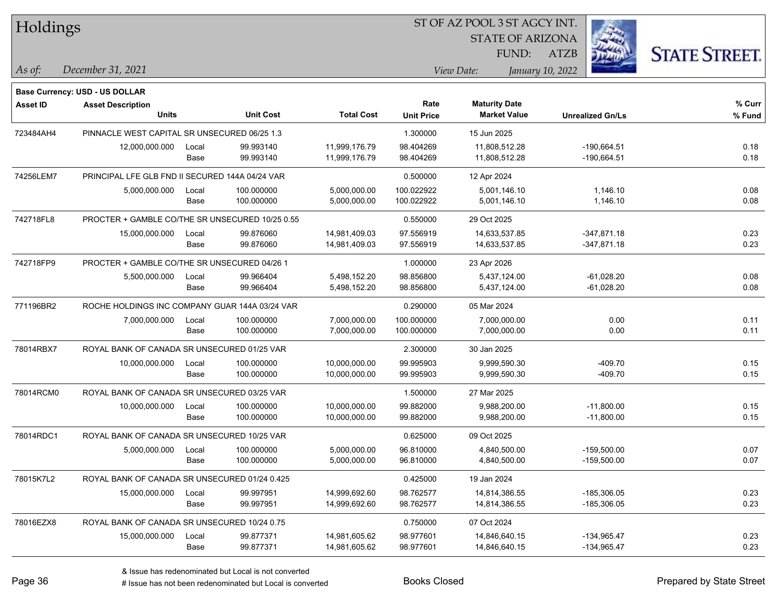| Holdings        |                                                 |               |                        |                                |                        | ST OF AZ POOL 3 ST AGCY INT.   |                                |                      |  |
|-----------------|-------------------------------------------------|---------------|------------------------|--------------------------------|------------------------|--------------------------------|--------------------------------|----------------------|--|
|                 |                                                 |               |                        |                                |                        | <b>STATE OF ARIZONA</b>        |                                |                      |  |
|                 |                                                 |               |                        |                                |                        | FUND:                          | <b>ATZB</b>                    | <b>STATE STREET.</b> |  |
| $\vert$ As of:  | December 31, 2021                               |               |                        |                                |                        | View Date:                     | January 10, 2022               |                      |  |
|                 |                                                 |               |                        |                                |                        |                                |                                |                      |  |
|                 | <b>Base Currency: USD - US DOLLAR</b>           |               |                        |                                | Rate                   | <b>Maturity Date</b>           |                                | $%$ Curr             |  |
| <b>Asset ID</b> | <b>Asset Description</b><br><b>Units</b>        |               | <b>Unit Cost</b>       | <b>Total Cost</b>              | <b>Unit Price</b>      | <b>Market Value</b>            | <b>Unrealized Gn/Ls</b>        | % Fund               |  |
|                 |                                                 |               |                        |                                |                        |                                |                                |                      |  |
| 723484AH4       | PINNACLE WEST CAPITAL SR UNSECURED 06/25 1.3    |               |                        |                                | 1.300000               | 15 Jun 2025                    |                                |                      |  |
|                 | 12,000,000.000                                  | Local<br>Base | 99.993140<br>99.993140 | 11,999,176.79<br>11,999,176.79 | 98.404269<br>98.404269 | 11,808,512.28<br>11,808,512.28 | $-190,664.51$<br>$-190,664.51$ | 0.18<br>0.18         |  |
|                 |                                                 |               |                        |                                |                        |                                |                                |                      |  |
| 74256LEM7       | PRINCIPAL LFE GLB FND II SECURED 144A 04/24 VAR |               |                        |                                | 0.500000               | 12 Apr 2024                    |                                |                      |  |
|                 | 5,000,000.000                                   | Local         | 100.000000             | 5,000,000.00                   | 100.022922             | 5,001,146.10                   | 1,146.10                       | 0.08                 |  |
|                 |                                                 | Base          | 100.000000             | 5,000,000.00                   | 100.022922             | 5,001,146.10                   | 1,146.10                       | 0.08                 |  |
| 742718FL8       | PROCTER + GAMBLE CO/THE SR UNSECURED 10/25 0.55 |               |                        |                                | 0.550000               | 29 Oct 2025                    |                                |                      |  |
|                 | 15,000,000.000                                  | Local         | 99.876060              | 14,981,409.03                  | 97.556919              | 14,633,537.85                  | $-347,871.18$                  | 0.23                 |  |
|                 |                                                 | Base          | 99.876060              | 14,981,409.03                  | 97.556919              | 14,633,537.85                  | $-347,871.18$                  | 0.23                 |  |
| 742718FP9       | PROCTER + GAMBLE CO/THE SR UNSECURED 04/26 1    |               |                        |                                | 1.000000               | 23 Apr 2026                    |                                |                      |  |
|                 | 5,500,000.000                                   | Local         | 99.966404              | 5,498,152.20                   | 98.856800              | 5.437.124.00                   | $-61,028.20$                   | 0.08                 |  |
|                 |                                                 | Base          | 99.966404              | 5,498,152.20                   | 98.856800              | 5,437,124.00                   | $-61,028.20$                   | 0.08                 |  |
| 771196BR2       | ROCHE HOLDINGS INC COMPANY GUAR 144A 03/24 VAR  |               |                        |                                | 0.290000               | 05 Mar 2024                    |                                |                      |  |
|                 | 7,000,000.000                                   | Local         | 100.000000             | 7,000,000.00                   | 100.000000             | 7,000,000.00                   | 0.00                           | 0.11                 |  |
|                 |                                                 | Base          | 100.000000             | 7,000,000.00                   | 100.000000             | 7,000,000.00                   | 0.00                           | 0.11                 |  |
| 78014RBX7       | ROYAL BANK OF CANADA SR UNSECURED 01/25 VAR     |               |                        |                                | 2.300000               | 30 Jan 2025                    |                                |                      |  |
|                 | 10,000,000.000                                  | Local         | 100.000000             | 10,000,000.00                  | 99.995903              | 9,999,590.30                   | $-409.70$                      | 0.15                 |  |
|                 |                                                 | Base          | 100.000000             | 10,000,000.00                  | 99.995903              | 9,999,590.30                   | $-409.70$                      | 0.15                 |  |
| 78014RCM0       | ROYAL BANK OF CANADA SR UNSECURED 03/25 VAR     |               |                        |                                | 1.500000               | 27 Mar 2025                    |                                |                      |  |
|                 | 10,000,000.000                                  | Local         | 100.000000             | 10,000,000.00                  | 99.882000              | 9,988,200.00                   | $-11,800.00$                   | 0.15                 |  |
|                 |                                                 | Base          | 100.000000             | 10,000,000.00                  | 99.882000              | 9,988,200.00                   | $-11,800.00$                   | 0.15                 |  |
| 78014RDC1       | ROYAL BANK OF CANADA SR UNSECURED 10/25 VAR     |               |                        |                                | 0.625000               | 09 Oct 2025                    |                                |                      |  |
|                 | 5,000,000.000                                   | Local         | 100.000000             | 5,000,000.00                   | 96.810000              | 4,840,500.00                   | $-159,500.00$                  | 0.07                 |  |
|                 |                                                 | Base          | 100.000000             | 5,000,000.00                   | 96.810000              | 4,840,500.00                   | -159,500.00                    | 0.07                 |  |
| 78015K7L2       | ROYAL BANK OF CANADA SR UNSECURED 01/24 0.425   |               |                        |                                | 0.425000               | 19 Jan 2024                    |                                |                      |  |
|                 | 15,000,000.000                                  | Local         | 99.997951              | 14,999,692.60                  | 98.762577              | 14,814,386.55                  | $-185,306.05$                  | 0.23                 |  |
|                 |                                                 | Base          | 99.997951              | 14,999,692.60                  | 98.762577              | 14,814,386.55                  | $-185,306.05$                  | 0.23                 |  |
| 78016EZX8       | ROYAL BANK OF CANADA SR UNSECURED 10/24 0.75    |               |                        |                                | 0.750000               | 07 Oct 2024                    |                                |                      |  |
|                 | 15,000,000.000                                  | Local         | 99.877371              | 14,981,605.62                  | 98.977601              | 14,846,640.15                  | -134,965.47                    | 0.23                 |  |
|                 |                                                 | Base          | 99.877371              | 14,981,605.62                  | 98.977601              | 14,846,640.15                  | $-134,965.47$                  | 0.23                 |  |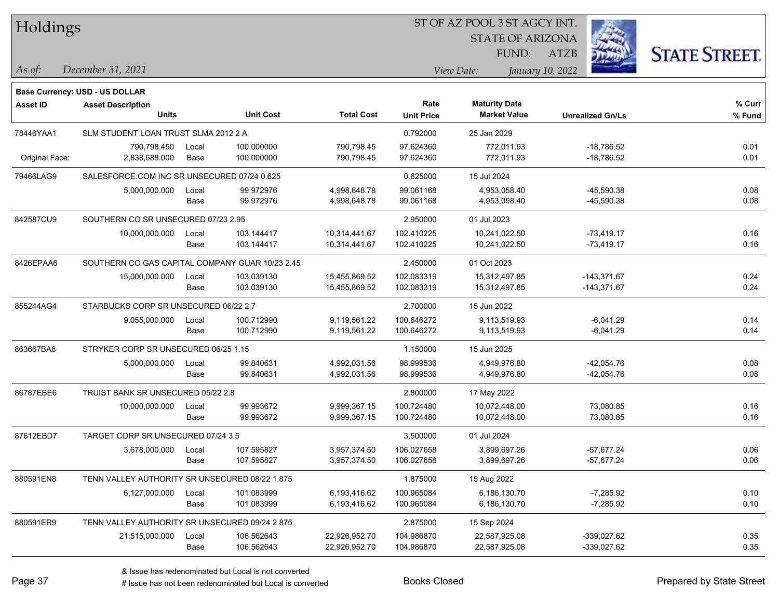| Holdings        |                                                 |       |                  |                   |                   | 51 OF AZ POOL 3 51 AGCY INT. |                         |                      |
|-----------------|-------------------------------------------------|-------|------------------|-------------------|-------------------|------------------------------|-------------------------|----------------------|
|                 |                                                 |       |                  |                   |                   | <b>STATE OF ARIZONA</b>      |                         |                      |
|                 |                                                 |       |                  |                   |                   | FUND:                        | <b>ATZB</b>             | <b>STATE STREET.</b> |
| As of:          | December 31, 2021                               |       |                  |                   |                   | View Date:                   | January 10, 2022        |                      |
|                 | <b>Base Currency: USD - US DOLLAR</b>           |       |                  |                   |                   |                              |                         |                      |
| <b>Asset ID</b> | <b>Asset Description</b>                        |       |                  |                   | Rate              | <b>Maturity Date</b>         |                         | $%$ Curr             |
|                 | <b>Units</b>                                    |       | <b>Unit Cost</b> | <b>Total Cost</b> | <b>Unit Price</b> | <b>Market Value</b>          | <b>Unrealized Gn/Ls</b> | % Fund               |
| 78446YAA1       | SLM STUDENT LOAN TRUST SLMA 2012 2 A            |       |                  |                   | 0.792000          | 25 Jan 2029                  |                         |                      |
|                 | 790,798.450                                     | Local | 100.000000       | 790,798.45        | 97.624360         | 772,011.93                   | $-18,786.52$            | 0.01                 |
| Original Face:  | 2,838,688.000                                   | Base  | 100.000000       | 790,798.45        | 97.624360         | 772,011.93                   | $-18,786.52$            | 0.01                 |
| 79466LAG9       | SALESFORCE.COM INC SR UNSECURED 07/24 0.625     |       |                  |                   | 0.625000          | 15 Jul 2024                  |                         |                      |
|                 | 5,000,000.000                                   | Local | 99.972976        | 4,998,648.78      | 99.061168         | 4,953,058.40                 | $-45,590.38$            | 0.08                 |
|                 |                                                 | Base  | 99.972976        | 4,998,648.78      | 99.061168         | 4,953,058.40                 | $-45,590.38$            | 0.08                 |
| 842587CU9       | SOUTHERN CO SR UNSECURED 07/23 2.95             |       |                  |                   | 2.950000          | 01 Jul 2023                  |                         |                      |
|                 | 10,000,000.000                                  | Local | 103.144417       | 10,314,441.67     | 102.410225        | 10,241,022.50                | $-73,419.17$            | 0.16                 |
|                 |                                                 | Base  | 103.144417       | 10,314,441.67     | 102.410225        | 10,241,022.50                | $-73,419.17$            | 0.16                 |
| 8426EPAA6       | SOUTHERN CO GAS CAPITAL COMPANY GUAR 10/23 2.45 |       |                  |                   | 2.450000          | 01 Oct 2023                  |                         |                      |
|                 | 15,000,000.000                                  | Local | 103.039130       | 15,455,869.52     | 102.083319        | 15,312,497.85                | $-143,371.67$           | 0.24                 |
|                 |                                                 | Base  | 103.039130       | 15,455,869.52     | 102.083319        | 15,312,497.85                | $-143,371.67$           | 0.24                 |
| 855244AG4       | STARBUCKS CORP SR UNSECURED 06/22 2.7           |       |                  |                   | 2.700000          | 15 Jun 2022                  |                         |                      |
|                 | 9,055,000.000                                   | Local | 100.712990       | 9,119,561.22      | 100.646272        | 9,113,519.93                 | $-6,041.29$             | 0.14                 |
|                 |                                                 | Base  | 100.712990       | 9,119,561.22      | 100.646272        | 9,113,519.93                 | $-6,041.29$             | 0.14                 |
| 863667BA8       | STRYKER CORP SR UNSECURED 06/25 1.15            |       |                  |                   | 1.150000          | 15 Jun 2025                  |                         |                      |
|                 | 5,000,000.000                                   | Local | 99.840631        | 4,992,031.56      | 98.999536         | 4,949,976.80                 | $-42,054.76$            | 0.08                 |
|                 |                                                 | Base  | 99.840631        | 4,992,031.56      | 98.999536         | 4,949,976.80                 | $-42,054.76$            | 0.08                 |
| 86787EBE6       | TRUIST BANK SR UNSECURED 05/22 2.8              |       |                  |                   | 2.800000          | 17 May 2022                  |                         |                      |
|                 | 10,000,000.000                                  | Local | 99.993672        | 9,999,367.15      | 100.724480        | 10,072,448.00                | 73,080.85               | 0.16                 |
|                 |                                                 | Base  | 99.993672        | 9,999,367.15      | 100.724480        | 10,072,448.00                | 73,080.85               | 0.16                 |
| 87612EBD7       | TARGET CORP SR UNSECURED 07/24 3.5              |       |                  |                   | 3.500000          | 01 Jul 2024                  |                         |                      |
|                 | 3,678,000.000                                   | Local | 107.595827       | 3,957,374.50      | 106.027658        | 3,899,697.26                 | $-57,677.24$            | 0.06                 |
|                 |                                                 | Base  | 107.595827       | 3,957,374.50      | 106.027658        | 3,899,697.26                 | $-57,677.24$            | 0.06                 |
| 880591EN8       | TENN VALLEY AUTHORITY SR UNSECURED 08/22 1.875  |       |                  |                   | 1.875000          | 15 Aug 2022                  |                         |                      |
|                 | 6,127,000.000                                   | Local | 101.083999       | 6,193,416.62      | 100.965084        | 6,186,130.70                 | $-7,285.92$             | 0.10                 |
|                 |                                                 | Base  | 101.083999       | 6,193,416.62      | 100.965084        | 6,186,130.70                 | $-7,285.92$             | 0.10                 |
| 880591ER9       | TENN VALLEY AUTHORITY SR UNSECURED 09/24 2.875  |       |                  |                   | 2.875000          | 15 Sep 2024                  |                         |                      |
|                 | 21,515,000.000                                  | Local | 106.562643       | 22,926,952.70     | 104.986870        | 22,587,925.08                | $-339,027.62$           | 0.35                 |
|                 |                                                 | Base  | 106.562643       | 22,926,952.70     | 104.986870        | 22,587,925.08                | -339,027.62             | 0.35                 |

 $\overline{\text{SUSP}}$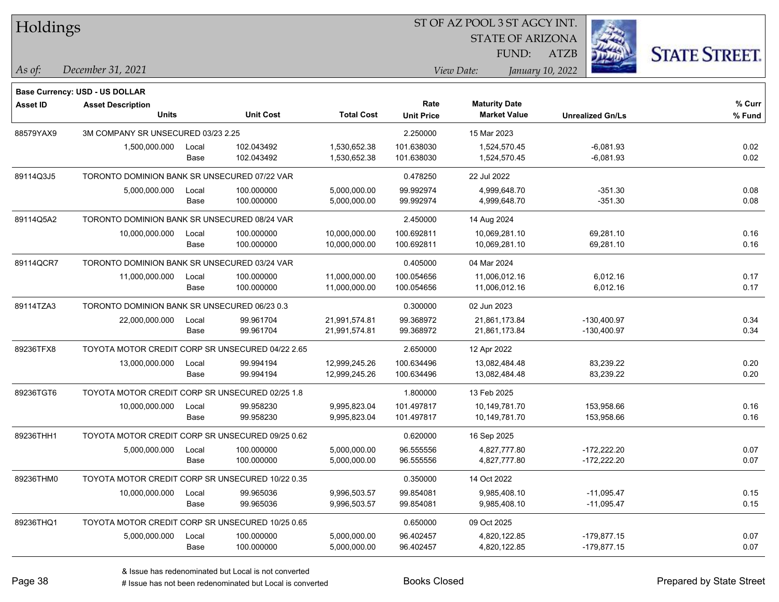| Holdings        |                                                  |       |                  |                   |                   | ST OF AZ POOL 3 ST AGCY INT. |                         |                      |
|-----------------|--------------------------------------------------|-------|------------------|-------------------|-------------------|------------------------------|-------------------------|----------------------|
|                 |                                                  |       |                  |                   |                   | <b>STATE OF ARIZONA</b>      |                         |                      |
|                 |                                                  |       |                  |                   |                   | FUND:                        | ATZB                    | <b>STATE STREET.</b> |
| As of:          | December 31, 2021                                |       |                  |                   |                   | View Date:                   | January 10, 2022        |                      |
|                 | <b>Base Currency: USD - US DOLLAR</b>            |       |                  |                   |                   |                              |                         |                      |
| <b>Asset ID</b> | <b>Asset Description</b>                         |       |                  |                   | Rate              | <b>Maturity Date</b>         |                         | % Curr               |
|                 | <b>Units</b>                                     |       | <b>Unit Cost</b> | <b>Total Cost</b> | <b>Unit Price</b> | <b>Market Value</b>          | <b>Unrealized Gn/Ls</b> | % Fund               |
| 88579YAX9       | 3M COMPANY SR UNSECURED 03/23 2.25               |       |                  |                   | 2.250000          | 15 Mar 2023                  |                         |                      |
|                 | 1,500,000.000                                    | Local | 102.043492       | 1,530,652.38      | 101.638030        | 1,524,570.45                 | $-6,081.93$             | 0.02                 |
|                 |                                                  | Base  | 102.043492       | 1,530,652.38      | 101.638030        | 1,524,570.45                 | $-6,081.93$             | 0.02                 |
| 89114Q3J5       | TORONTO DOMINION BANK SR UNSECURED 07/22 VAR     |       |                  |                   | 0.478250          | 22 Jul 2022                  |                         |                      |
|                 | 5,000,000.000                                    | Local | 100.000000       | 5,000,000.00      | 99.992974         | 4,999,648.70                 | $-351.30$               | 0.08                 |
|                 |                                                  | Base  | 100.000000       | 5,000,000.00      | 99.992974         | 4,999,648.70                 | $-351.30$               | 0.08                 |
| 89114Q5A2       | TORONTO DOMINION BANK SR UNSECURED 08/24 VAR     |       |                  |                   | 2.450000          | 14 Aug 2024                  |                         |                      |
|                 | 10,000,000.000                                   | Local | 100.000000       | 10,000,000.00     | 100.692811        | 10,069,281.10                | 69,281.10               | 0.16                 |
|                 |                                                  | Base  | 100.000000       | 10,000,000.00     | 100.692811        | 10,069,281.10                | 69,281.10               | 0.16                 |
| 89114QCR7       | TORONTO DOMINION BANK SR UNSECURED 03/24 VAR     |       |                  |                   | 0.405000          | 04 Mar 2024                  |                         |                      |
|                 | 11,000,000.000                                   | Local | 100.000000       | 11,000,000.00     | 100.054656        | 11,006,012.16                | 6,012.16                | 0.17                 |
|                 |                                                  | Base  | 100.000000       | 11,000,000.00     | 100.054656        | 11,006,012.16                | 6,012.16                | 0.17                 |
| 89114TZA3       | TORONTO DOMINION BANK SR UNSECURED 06/23 0.3     |       |                  |                   | 0.300000          | 02 Jun 2023                  |                         |                      |
|                 | 22,000,000.000                                   | Local | 99.961704        | 21,991,574.81     | 99.368972         | 21,861,173.84                | $-130,400.97$           | 0.34                 |
|                 |                                                  | Base  | 99.961704        | 21,991,574.81     | 99.368972         | 21,861,173.84                | $-130,400.97$           | 0.34                 |
| 89236TFX8       | TOYOTA MOTOR CREDIT CORP SR UNSECURED 04/22 2.65 |       |                  |                   | 2.650000          | 12 Apr 2022                  |                         |                      |
|                 | 13,000,000.000                                   | Local | 99.994194        | 12,999,245.26     | 100.634496        | 13,082,484.48                | 83,239.22               | 0.20                 |
|                 |                                                  | Base  | 99.994194        | 12,999,245.26     | 100.634496        | 13,082,484.48                | 83,239.22               | 0.20                 |
| 89236TGT6       | TOYOTA MOTOR CREDIT CORP SR UNSECURED 02/25 1.8  |       |                  |                   | 1.800000          | 13 Feb 2025                  |                         |                      |
|                 | 10,000,000.000                                   | Local | 99.958230        | 9,995,823.04      | 101.497817        | 10,149,781.70                | 153,958.66              | 0.16                 |
|                 |                                                  | Base  | 99.958230        | 9,995,823.04      | 101.497817        | 10,149,781.70                | 153,958.66              | 0.16                 |
| 89236THH1       | TOYOTA MOTOR CREDIT CORP SR UNSECURED 09/25 0.62 |       |                  |                   | 0.620000          | 16 Sep 2025                  |                         |                      |
|                 | 5,000,000.000                                    | Local | 100.000000       | 5,000,000.00      | 96.555556         | 4,827,777.80                 | $-172,222.20$           | 0.07                 |
|                 |                                                  | Base  | 100.000000       | 5,000,000.00      | 96.555556         | 4,827,777.80                 | $-172,222.20$           | 0.07                 |
| 89236THM0       | TOYOTA MOTOR CREDIT CORP SR UNSECURED 10/22 0.35 |       |                  |                   | 0.350000          | 14 Oct 2022                  |                         |                      |
|                 | 10,000,000.000                                   | Local | 99.965036        | 9,996,503.57      | 99.854081         | 9,985,408.10                 | $-11,095.47$            | 0.15                 |
|                 |                                                  | Base  | 99.965036        | 9,996,503.57      | 99.854081         | 9,985,408.10                 | $-11,095.47$            | 0.15                 |
| 89236THQ1       | TOYOTA MOTOR CREDIT CORP SR UNSECURED 10/25 0.65 |       |                  |                   | 0.650000          | 09 Oct 2025                  |                         |                      |
|                 | 5,000,000.000                                    | Local | 100.000000       | 5,000,000.00      | 96.402457         | 4,820,122.85                 | $-179,877.15$           | 0.07                 |
|                 |                                                  | Base  | 100.000000       | 5,000,000.00      | 96.402457         | 4,820,122.85                 | $-179,877.15$           | 0.07                 |
|                 |                                                  |       |                  |                   |                   |                              |                         |                      |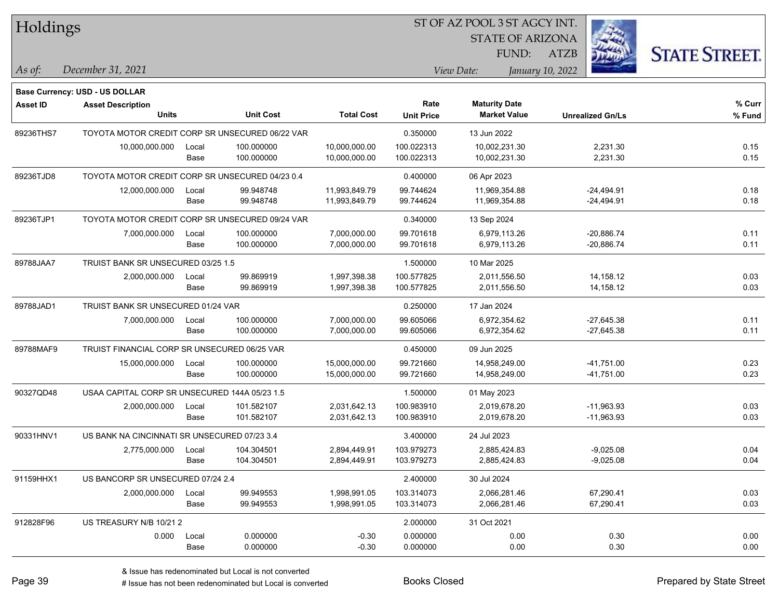| Holdings        |                                                 |       |                  |                   |                   | ST OF AZ POOL 3 ST AGCY INT. |                         |                      |
|-----------------|-------------------------------------------------|-------|------------------|-------------------|-------------------|------------------------------|-------------------------|----------------------|
|                 |                                                 |       |                  |                   |                   | <b>STATE OF ARIZONA</b>      |                         |                      |
|                 |                                                 |       |                  |                   |                   | FUND:                        | ATZB                    | <b>STATE STREET.</b> |
| As of:          | December 31, 2021                               |       |                  |                   |                   | View Date:                   | January 10, 2022        |                      |
|                 | Base Currency: USD - US DOLLAR                  |       |                  |                   |                   |                              |                         |                      |
| <b>Asset ID</b> | <b>Asset Description</b>                        |       |                  |                   | Rate              | <b>Maturity Date</b>         |                         | % Curr               |
|                 | <b>Units</b>                                    |       | <b>Unit Cost</b> | <b>Total Cost</b> | <b>Unit Price</b> | <b>Market Value</b>          | <b>Unrealized Gn/Ls</b> | % Fund               |
| 89236THS7       | TOYOTA MOTOR CREDIT CORP SR UNSECURED 06/22 VAR |       |                  |                   | 0.350000          | 13 Jun 2022                  |                         |                      |
|                 | 10,000,000.000                                  | Local | 100.000000       | 10,000,000.00     | 100.022313        | 10,002,231.30                | 2,231.30                | 0.15                 |
|                 |                                                 | Base  | 100.000000       | 10,000,000.00     | 100.022313        | 10,002,231.30                | 2,231.30                | 0.15                 |
| 89236TJD8       | TOYOTA MOTOR CREDIT CORP SR UNSECURED 04/23 0.4 |       |                  |                   | 0.400000          | 06 Apr 2023                  |                         |                      |
|                 | 12,000,000.000                                  | Local | 99.948748        | 11,993,849.79     | 99.744624         | 11,969,354.88                | -24,494.91              | 0.18                 |
|                 |                                                 | Base  | 99.948748        | 11,993,849.79     | 99.744624         | 11,969,354.88                | -24,494.91              | 0.18                 |
| 89236TJP1       | TOYOTA MOTOR CREDIT CORP SR UNSECURED 09/24 VAR |       |                  |                   | 0.340000          | 13 Sep 2024                  |                         |                      |
|                 | 7,000,000.000                                   | Local | 100.000000       | 7,000,000.00      | 99.701618         | 6,979,113.26                 | $-20,886.74$            | 0.11                 |
|                 |                                                 | Base  | 100.000000       | 7,000,000.00      | 99.701618         | 6,979,113.26                 | $-20,886.74$            | 0.11                 |
| 89788JAA7       | TRUIST BANK SR UNSECURED 03/25 1.5              |       |                  |                   | 1.500000          | 10 Mar 2025                  |                         |                      |
|                 | 2,000,000.000                                   | Local | 99.869919        | 1,997,398.38      | 100.577825        | 2,011,556.50                 | 14,158.12               | 0.03                 |
|                 |                                                 | Base  | 99.869919        | 1,997,398.38      | 100.577825        | 2,011,556.50                 | 14,158.12               | 0.03                 |
| 89788JAD1       | TRUIST BANK SR UNSECURED 01/24 VAR              |       |                  |                   | 0.250000          | 17 Jan 2024                  |                         |                      |
|                 | 7,000,000.000                                   | Local | 100.000000       | 7,000,000.00      | 99.605066         | 6,972,354.62                 | $-27,645.38$            | 0.11                 |
|                 |                                                 | Base  | 100.000000       | 7,000,000.00      | 99.605066         | 6,972,354.62                 | $-27,645.38$            | 0.11                 |
| 89788MAF9       | TRUIST FINANCIAL CORP SR UNSECURED 06/25 VAR    |       |                  |                   | 0.450000          | 09 Jun 2025                  |                         |                      |
|                 | 15,000,000.000                                  | Local | 100.000000       | 15,000,000.00     | 99.721660         | 14,958,249.00                | $-41,751.00$            | 0.23                 |
|                 |                                                 | Base  | 100.000000       | 15,000,000.00     | 99.721660         | 14,958,249.00                | $-41,751.00$            | 0.23                 |
| 90327QD48       | USAA CAPITAL CORP SR UNSECURED 144A 05/23 1.5   |       |                  |                   | 1.500000          | 01 May 2023                  |                         |                      |
|                 | 2,000,000.000                                   | Local | 101.582107       | 2,031,642.13      | 100.983910        | 2,019,678.20                 | $-11,963.93$            | 0.03                 |
|                 |                                                 | Base  | 101.582107       | 2,031,642.13      | 100.983910        | 2,019,678.20                 | $-11,963.93$            | 0.03                 |
| 90331HNV1       | US BANK NA CINCINNATI SR UNSECURED 07/23 3.4    |       |                  |                   | 3.400000          | 24 Jul 2023                  |                         |                      |
|                 | 2,775,000.000                                   | Local | 104.304501       | 2,894,449.91      | 103.979273        | 2,885,424.83                 | $-9,025.08$             | 0.04                 |
|                 |                                                 | Base  | 104.304501       | 2,894,449.91      | 103.979273        | 2,885,424.83                 | $-9,025.08$             | 0.04                 |
| 91159HHX1       | US BANCORP SR UNSECURED 07/24 2.4               |       |                  |                   | 2.400000          | 30 Jul 2024                  |                         |                      |
|                 | 2,000,000.000                                   | Local | 99.949553        | 1,998,991.05      | 103.314073        | 2,066,281.46                 | 67,290.41               | 0.03                 |
|                 |                                                 | Base  | 99.949553        | 1,998,991.05      | 103.314073        | 2,066,281.46                 | 67,290.41               | 0.03                 |
| 912828F96       | US TREASURY N/B 10/21 2                         |       |                  |                   | 2.000000          | 31 Oct 2021                  |                         |                      |
|                 | 0.000                                           | Local | 0.000000         | $-0.30$           | 0.000000          | 0.00                         | 0.30                    | 0.00                 |
|                 |                                                 | Base  | 0.000000         | $-0.30$           | 0.000000          | 0.00                         | 0.30                    | 0.00                 |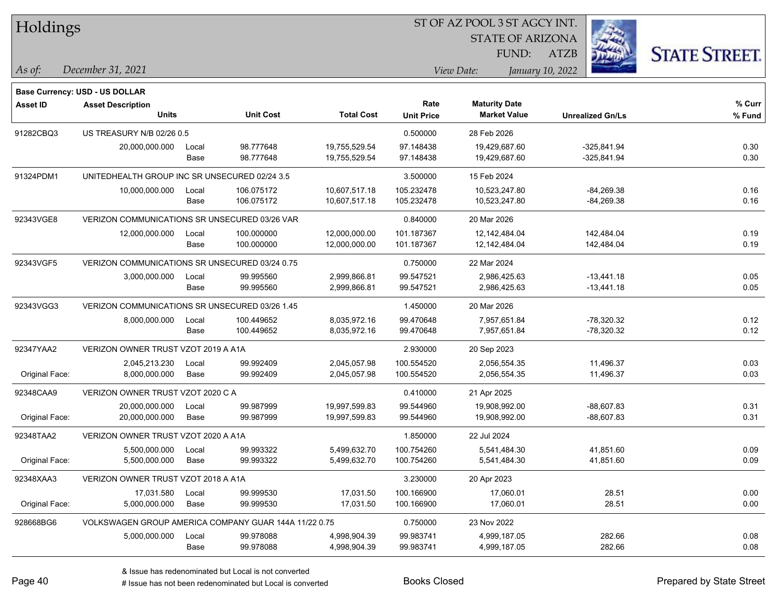| Holdings        |                                                      |       |                                                       |                   | ST OF AZ POOL 3 ST AGCY INT. |                         |                         |                      |  |  |
|-----------------|------------------------------------------------------|-------|-------------------------------------------------------|-------------------|------------------------------|-------------------------|-------------------------|----------------------|--|--|
|                 |                                                      |       |                                                       |                   |                              | <b>STATE OF ARIZONA</b> |                         |                      |  |  |
|                 |                                                      |       |                                                       |                   |                              | FUND:                   | ATZB                    | <b>STATE STREET.</b> |  |  |
| As of:          | December 31, 2021                                    |       |                                                       |                   |                              | View Date:              | January 10, 2022        |                      |  |  |
|                 | Base Currency: USD - US DOLLAR                       |       |                                                       |                   |                              |                         |                         |                      |  |  |
| <b>Asset ID</b> | <b>Asset Description</b>                             |       |                                                       |                   | Rate                         | <b>Maturity Date</b>    |                         | % Curr               |  |  |
|                 | <b>Units</b>                                         |       | <b>Unit Cost</b>                                      | <b>Total Cost</b> | <b>Unit Price</b>            | <b>Market Value</b>     | <b>Unrealized Gn/Ls</b> | % Fund               |  |  |
| 91282CBQ3       | US TREASURY N/B 02/26 0.5                            |       |                                                       |                   | 0.500000                     | 28 Feb 2026             |                         |                      |  |  |
|                 | 20,000,000.000                                       | Local | 98.777648                                             | 19,755,529.54     | 97.148438                    | 19,429,687.60           | $-325,841.94$           | 0.30                 |  |  |
|                 |                                                      | Base  | 98.777648                                             | 19,755,529.54     | 97.148438                    | 19,429,687.60           | $-325,841.94$           | 0.30                 |  |  |
| 91324PDM1       | UNITEDHEALTH GROUP INC SR UNSECURED 02/24 3.5        |       |                                                       |                   | 3.500000                     | 15 Feb 2024             |                         |                      |  |  |
|                 | 10,000,000.000                                       | Local | 106.075172                                            | 10,607,517.18     | 105.232478                   | 10,523,247.80           | $-84,269.38$            | 0.16                 |  |  |
|                 |                                                      | Base  | 106.075172                                            | 10,607,517.18     | 105.232478                   | 10,523,247.80           | $-84,269.38$            | 0.16                 |  |  |
| 92343VGE8       | <b>VERIZON COMMUNICATIONS SR UNSECURED 03/26 VAR</b> |       |                                                       |                   | 0.840000                     | 20 Mar 2026             |                         |                      |  |  |
|                 | 12,000,000.000                                       | Local | 100.000000                                            | 12,000,000.00     | 101.187367                   | 12,142,484.04           | 142,484.04              | 0.19                 |  |  |
|                 |                                                      | Base  | 100.000000                                            | 12,000,000.00     | 101.187367                   | 12, 142, 484. 04        | 142,484.04              | 0.19                 |  |  |
| 92343VGF5       | VERIZON COMMUNICATIONS SR UNSECURED 03/24 0.75       |       |                                                       |                   | 0.750000                     | 22 Mar 2024             |                         |                      |  |  |
|                 | 3,000,000.000                                        | Local | 99.995560                                             | 2,999,866.81      | 99.547521                    | 2,986,425.63            | $-13,441.18$            | 0.05                 |  |  |
|                 |                                                      | Base  | 99.995560                                             | 2,999,866.81      | 99.547521                    | 2,986,425.63            | $-13,441.18$            | 0.05                 |  |  |
| 92343VGG3       | VERIZON COMMUNICATIONS SR UNSECURED 03/26 1.45       |       |                                                       |                   | 1.450000                     | 20 Mar 2026             |                         |                      |  |  |
|                 | 8,000,000.000                                        | Local | 100.449652                                            | 8,035,972.16      | 99.470648                    | 7,957,651.84            | $-78,320.32$            | 0.12                 |  |  |
|                 |                                                      | Base  | 100.449652                                            | 8,035,972.16      | 99.470648                    | 7,957,651.84            | $-78,320.32$            | 0.12                 |  |  |
| 92347YAA2       | VERIZON OWNER TRUST VZOT 2019 A A1A                  |       |                                                       |                   | 2.930000                     | 20 Sep 2023             |                         |                      |  |  |
|                 | 2,045,213.230                                        | Local | 99.992409                                             | 2,045,057.98      | 100.554520                   | 2,056,554.35            | 11,496.37               | 0.03                 |  |  |
| Original Face:  | 8,000,000.000                                        | Base  | 99.992409                                             | 2,045,057.98      | 100.554520                   | 2,056,554.35            | 11,496.37               | 0.03                 |  |  |
| 92348CAA9       | VERIZON OWNER TRUST VZOT 2020 C A                    |       |                                                       |                   | 0.410000                     | 21 Apr 2025             |                         |                      |  |  |
|                 | 20,000,000.000                                       | Local | 99.987999                                             | 19,997,599.83     | 99.544960                    | 19,908,992.00           | $-88,607.83$            | 0.31                 |  |  |
| Original Face:  | 20,000,000.000                                       | Base  | 99.987999                                             | 19,997,599.83     | 99.544960                    | 19,908,992.00           | $-88,607.83$            | 0.31                 |  |  |
| 92348TAA2       | VERIZON OWNER TRUST VZOT 2020 A A1A                  |       |                                                       |                   | 1.850000                     | 22 Jul 2024             |                         |                      |  |  |
|                 | 5,500,000.000                                        | Local | 99.993322                                             | 5,499,632.70      | 100.754260                   | 5,541,484.30            | 41,851.60               | 0.09                 |  |  |
| Original Face:  | 5,500,000.000                                        | Base  | 99.993322                                             | 5,499,632.70      | 100.754260                   | 5,541,484.30            | 41,851.60               | 0.09                 |  |  |
| 92348XAA3       | VERIZON OWNER TRUST VZOT 2018 A A1A                  |       |                                                       |                   | 3.230000                     | 20 Apr 2023             |                         |                      |  |  |
|                 | 17,031.580                                           | Local | 99.999530                                             | 17,031.50         | 100.166900                   | 17,060.01               | 28.51                   | 0.00                 |  |  |
| Original Face:  | 5,000,000.000                                        | Base  | 99.999530                                             | 17,031.50         | 100.166900                   | 17,060.01               | 28.51                   | 0.00                 |  |  |
| 928668BG6       |                                                      |       | VOLKSWAGEN GROUP AMERICA COMPANY GUAR 144A 11/22 0.75 |                   | 0.750000                     | 23 Nov 2022             |                         |                      |  |  |
|                 | 5,000,000.000                                        | Local | 99.978088                                             | 4,998,904.39      | 99.983741                    | 4,999,187.05            | 282.66                  | 0.08                 |  |  |
|                 |                                                      | Base  | 99.978088                                             | 4,998,904.39      | 99.983741                    | 4,999,187.05            | 282.66                  | 0.08                 |  |  |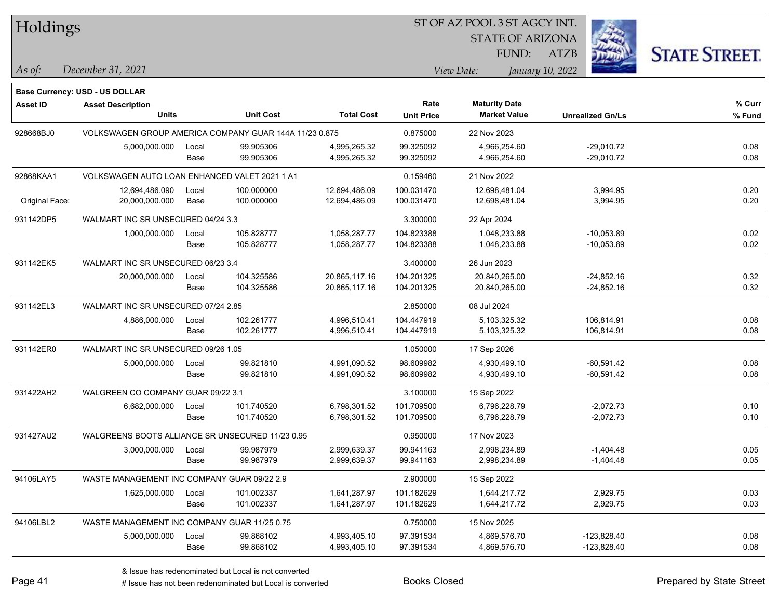| Holdings |  |
|----------|--|
|----------|--|

STATE OF ARIZONA FUND:

ATZB



*December 31, 2021 As of: View Date: January 10, 2022*

**Base Currency: USD - US DOLLAR**

| <b>Asset ID</b> | <b>Asset Description</b>                               |       |                  |                   | Rate              | <b>Maturity Date</b> |                         | % Curr |
|-----------------|--------------------------------------------------------|-------|------------------|-------------------|-------------------|----------------------|-------------------------|--------|
|                 | <b>Units</b>                                           |       | <b>Unit Cost</b> | <b>Total Cost</b> | <b>Unit Price</b> | <b>Market Value</b>  | <b>Unrealized Gn/Ls</b> | % Fund |
| 928668BJ0       | VOLKSWAGEN GROUP AMERICA COMPANY GUAR 144A 11/23 0.875 |       |                  |                   | 0.875000          | 22 Nov 2023          |                         |        |
|                 | 5,000,000.000                                          | Local | 99.905306        | 4,995,265.32      | 99.325092         | 4,966,254.60         | $-29,010.72$            | 0.08   |
|                 |                                                        | Base  | 99.905306        | 4,995,265.32      | 99.325092         | 4,966,254.60         | $-29,010.72$            | 0.08   |
| 92868KAA1       | VOLKSWAGEN AUTO LOAN ENHANCED VALET 2021 1 A1          |       |                  |                   | 0.159460          | 21 Nov 2022          |                         |        |
|                 | 12,694,486.090                                         | Local | 100.000000       | 12,694,486.09     | 100.031470        | 12,698,481.04        | 3,994.95                | 0.20   |
| Original Face:  | 20,000,000.000                                         | Base  | 100.000000       | 12,694,486.09     | 100.031470        | 12,698,481.04        | 3,994.95                | 0.20   |
| 931142DP5       | WALMART INC SR UNSECURED 04/24 3.3                     |       |                  |                   | 3.300000          | 22 Apr 2024          |                         |        |
|                 | 1,000,000.000                                          | Local | 105.828777       | 1,058,287.77      | 104.823388        | 1,048,233.88         | $-10,053.89$            | 0.02   |
|                 |                                                        | Base  | 105.828777       | 1,058,287.77      | 104.823388        | 1,048,233.88         | $-10,053.89$            | 0.02   |
| 931142EK5       | WALMART INC SR UNSECURED 06/23 3.4                     |       |                  |                   | 3.400000          | 26 Jun 2023          |                         |        |
|                 | 20,000,000.000                                         | Local | 104.325586       | 20,865,117.16     | 104.201325        | 20,840,265.00        | $-24,852.16$            | 0.32   |
|                 |                                                        | Base  | 104.325586       | 20,865,117.16     | 104.201325        | 20,840,265.00        | $-24,852.16$            | 0.32   |
| 931142EL3       | WALMART INC SR UNSECURED 07/24 2.85                    |       |                  |                   | 2.850000          | 08 Jul 2024          |                         |        |
|                 | 4,886,000.000                                          | Local | 102.261777       | 4,996,510.41      | 104.447919        | 5,103,325.32         | 106,814.91              | 0.08   |
|                 |                                                        | Base  | 102.261777       | 4,996,510.41      | 104.447919        | 5,103,325.32         | 106,814.91              | 0.08   |
| 931142ER0       | WALMART INC SR UNSECURED 09/26 1.05                    |       |                  |                   | 1.050000          | 17 Sep 2026          |                         |        |
|                 | 5,000,000.000                                          | Local | 99.821810        | 4,991,090.52      | 98.609982         | 4,930,499.10         | $-60,591.42$            | 0.08   |
|                 |                                                        | Base  | 99.821810        | 4,991,090.52      | 98.609982         | 4,930,499.10         | $-60,591.42$            | 0.08   |
| 931422AH2       | WALGREEN CO COMPANY GUAR 09/22 3.1                     |       |                  |                   | 3.100000          | 15 Sep 2022          |                         |        |
|                 | 6,682,000.000                                          | Local | 101.740520       | 6,798,301.52      | 101.709500        | 6,796,228.79         | $-2,072.73$             | 0.10   |
|                 |                                                        | Base  | 101.740520       | 6,798,301.52      | 101.709500        | 6,796,228.79         | $-2,072.73$             | 0.10   |
| 931427AU2       | WALGREENS BOOTS ALLIANCE SR UNSECURED 11/23 0.95       |       |                  |                   | 0.950000          | 17 Nov 2023          |                         |        |
|                 | 3,000,000.000                                          | Local | 99.987979        | 2,999,639.37      | 99.941163         | 2,998,234.89         | $-1,404.48$             | 0.05   |
|                 |                                                        | Base  | 99.987979        | 2,999,639.37      | 99.941163         | 2,998,234.89         | $-1,404.48$             | 0.05   |
| 94106LAY5       | WASTE MANAGEMENT INC COMPANY GUAR 09/22 2.9            |       |                  |                   | 2.900000          | 15 Sep 2022          |                         |        |
|                 | 1,625,000.000                                          | Local | 101.002337       | 1,641,287.97      | 101.182629        | 1,644,217.72         | 2,929.75                | 0.03   |
|                 |                                                        | Base  | 101.002337       | 1,641,287.97      | 101.182629        | 1,644,217.72         | 2,929.75                | 0.03   |
| 94106LBL2       | WASTE MANAGEMENT INC COMPANY GUAR 11/25 0.75           |       |                  |                   | 0.750000          | 15 Nov 2025          |                         |        |
|                 | 5,000,000.000                                          | Local | 99.868102        | 4,993,405.10      | 97.391534         | 4,869,576.70         | $-123,828.40$           | 0.08   |
|                 |                                                        | Base  | 99.868102        | 4,993,405.10      | 97.391534         | 4,869,576.70         | $-123,828.40$           | 0.08   |

# Issue has not been redenominated but Local is converted Books Closed Prepared by State Street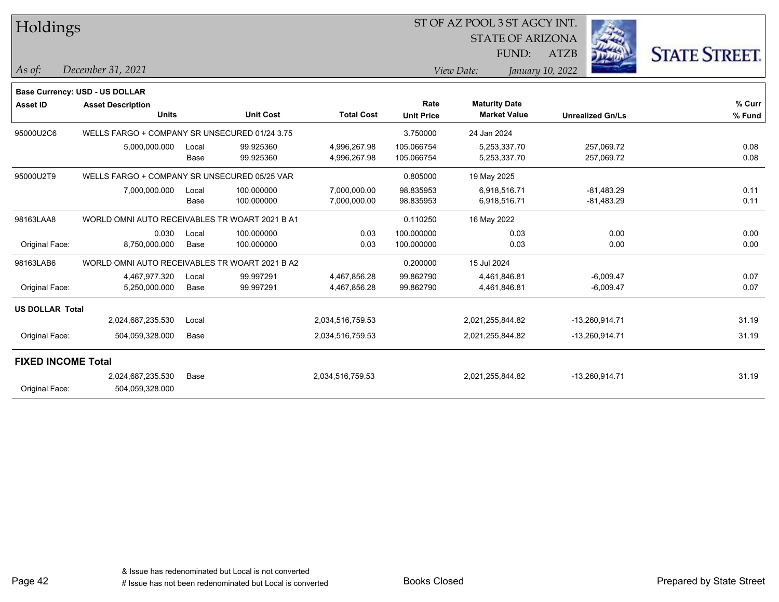| Holdings                  |                                                |               |                          |                              |                           | ST OF AZ POOL 3 ST AGCY INT.<br><b>STATE OF ARIZONA</b> |                              |                      |
|---------------------------|------------------------------------------------|---------------|--------------------------|------------------------------|---------------------------|---------------------------------------------------------|------------------------------|----------------------|
|                           |                                                |               |                          |                              |                           | FUND:                                                   | ATZB                         | <b>STATE STREET.</b> |
| As of:                    | December 31, 2021                              |               |                          |                              |                           | View Date:                                              | January 10, 2022             |                      |
|                           | Base Currency: USD - US DOLLAR                 |               |                          |                              |                           |                                                         |                              |                      |
| <b>Asset ID</b>           | <b>Asset Description</b><br><b>Units</b>       |               | <b>Unit Cost</b>         | <b>Total Cost</b>            | Rate<br><b>Unit Price</b> | <b>Maturity Date</b><br><b>Market Value</b>             | <b>Unrealized Gn/Ls</b>      | % Curr<br>% Fund     |
| 95000U2C6                 | WELLS FARGO + COMPANY SR UNSECURED 01/24 3.75  |               |                          |                              | 3.750000                  | 24 Jan 2024                                             |                              |                      |
|                           | 5,000,000.000                                  | Local<br>Base | 99.925360<br>99.925360   | 4,996,267.98<br>4,996,267.98 | 105.066754<br>105.066754  | 5,253,337.70<br>5,253,337.70                            | 257,069.72<br>257,069.72     | 0.08<br>0.08         |
| 95000U2T9                 | WELLS FARGO + COMPANY SR UNSECURED 05/25 VAR   |               |                          |                              | 0.805000                  | 19 May 2025                                             |                              |                      |
|                           | 7,000,000.000                                  | Local<br>Base | 100.000000<br>100.000000 | 7,000,000.00<br>7,000,000.00 | 98.835953<br>98.835953    | 6,918,516.71<br>6,918,516.71                            | $-81,483.29$<br>$-81,483.29$ | 0.11<br>0.11         |
| 98163LAA8                 | WORLD OMNI AUTO RECEIVABLES TR WOART 2021 B A1 |               |                          |                              | 0.110250                  | 16 May 2022                                             |                              |                      |
| Original Face:            | 0.030<br>8,750,000.000                         | Local<br>Base | 100.000000<br>100.000000 | 0.03<br>0.03                 | 100.000000<br>100.000000  | 0.03<br>0.03                                            | 0.00<br>0.00                 | 0.00<br>0.00         |
| 98163LAB6                 | WORLD OMNI AUTO RECEIVABLES TR WOART 2021 B A2 |               |                          |                              | 0.200000                  | 15 Jul 2024                                             |                              |                      |
| Original Face:            | 4,467,977.320<br>5,250,000.000                 | Local<br>Base | 99.997291<br>99.997291   | 4,467,856.28<br>4,467,856.28 | 99.862790<br>99.862790    | 4,461,846.81<br>4,461,846.81                            | $-6,009.47$<br>$-6,009.47$   | 0.07<br>0.07         |
| <b>US DOLLAR Total</b>    |                                                |               |                          |                              |                           |                                                         |                              |                      |
|                           | 2,024,687,235.530                              | Local         |                          | 2,034,516,759.53             |                           | 2,021,255,844.82                                        | -13,260,914.71               | 31.19                |
| Original Face:            | 504,059,328.000                                | Base          |                          | 2,034,516,759.53             |                           | 2,021,255,844.82                                        | -13,260,914.71               | 31.19                |
| <b>FIXED INCOME Total</b> |                                                |               |                          |                              |                           |                                                         |                              |                      |
|                           | 2,024,687,235.530                              | Base          |                          | 2,034,516,759.53             |                           | 2,021,255,844.82                                        | -13,260,914.71               | 31.19                |
| Original Face:            | 504,059,328.000                                |               |                          |                              |                           |                                                         |                              |                      |

Page 42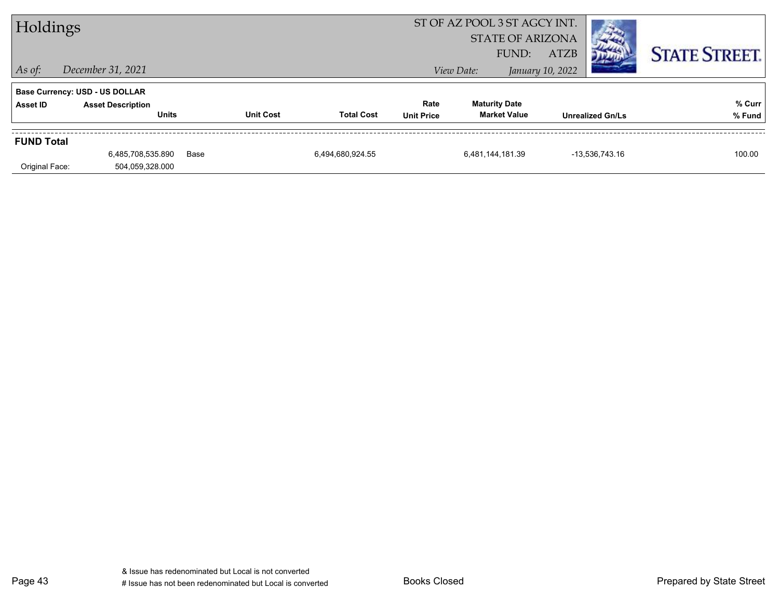| Holdings          |                                          |      |                  |                   |                           | ST OF AZ POOL 3 ST AGCY INT.<br><b>STATE OF ARIZONA</b> |                                 |                |                      |  |
|-------------------|------------------------------------------|------|------------------|-------------------|---------------------------|---------------------------------------------------------|---------------------------------|----------------|----------------------|--|
| $\vert$ As of:    | December 31, 2021                        |      |                  |                   |                           | FUND:<br>View Date:                                     | <b>ATZB</b><br>January 10, 2022 |                | <b>STATE STREET.</b> |  |
|                   | Base Currency: USD - US DOLLAR           |      |                  |                   |                           |                                                         |                                 |                |                      |  |
| Asset ID          | <b>Asset Description</b><br><b>Units</b> |      | <b>Unit Cost</b> | <b>Total Cost</b> | Rate<br><b>Unit Price</b> | <b>Maturity Date</b><br><b>Market Value</b>             | <b>Unrealized Gn/Ls</b>         |                | % Curr<br>% Fund     |  |
| <b>FUND Total</b> |                                          |      |                  |                   |                           |                                                         |                                 |                |                      |  |
|                   | 6,485,708,535.890                        | Base |                  | 6,494,680,924.55  |                           | 6,481,144,181.39                                        |                                 | -13,536,743.16 | 100.00               |  |
| Original Face:    | 504,059,328.000                          |      |                  |                   |                           |                                                         |                                 |                |                      |  |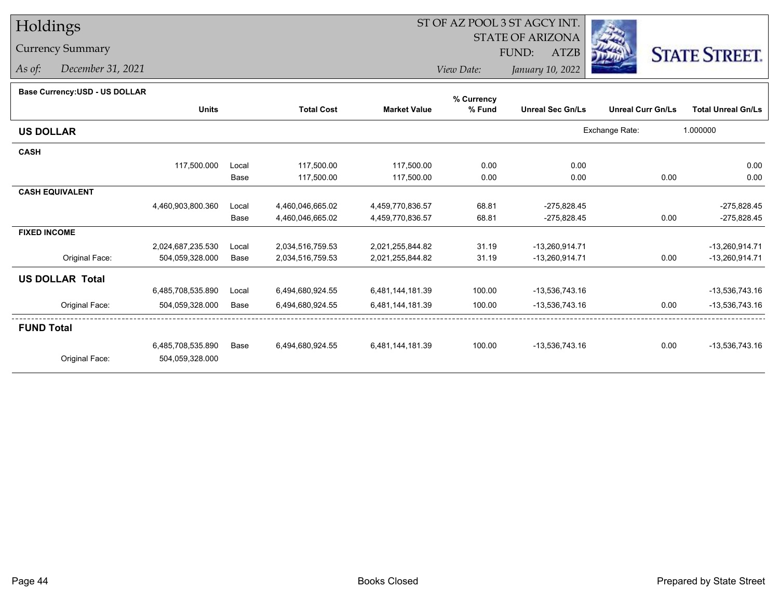# Holdings

### Currency Summary

*As of: December 31, 2021*

## ST OF AZ POOL 3 ST AGCY INT.

 STATE OF ARIZONAFUND:

ATZB



*View Date:January 10, 2022*

| Base Currency: USD - US DOLLAR |  |  |
|--------------------------------|--|--|
|--------------------------------|--|--|

| Dase Ourlelicy.OOD - OO DOLLAR |                   |       |                   |                     | % Currency |                         |                          |                           |
|--------------------------------|-------------------|-------|-------------------|---------------------|------------|-------------------------|--------------------------|---------------------------|
|                                | <b>Units</b>      |       | <b>Total Cost</b> | <b>Market Value</b> | % Fund     | <b>Unreal Sec Gn/Ls</b> | <b>Unreal Curr Gn/Ls</b> | <b>Total Unreal Gn/Ls</b> |
| <b>US DOLLAR</b>               |                   |       |                   |                     |            |                         | Exchange Rate:           | 1.000000                  |
| <b>CASH</b>                    |                   |       |                   |                     |            |                         |                          |                           |
|                                | 117,500.000       | Local | 117,500.00        | 117,500.00          | 0.00       | 0.00                    |                          | 0.00                      |
|                                |                   | Base  | 117,500.00        | 117,500.00          | 0.00       | 0.00                    | 0.00                     | 0.00                      |
| <b>CASH EQUIVALENT</b>         |                   |       |                   |                     |            |                         |                          |                           |
|                                | 4,460,903,800.360 | Local | 4,460,046,665.02  | 4,459,770,836.57    | 68.81      | $-275,828.45$           |                          | $-275,828.45$             |
|                                |                   | Base  | 4,460,046,665.02  | 4,459,770,836.57    | 68.81      | $-275,828.45$           | 0.00                     | $-275,828.45$             |
| <b>FIXED INCOME</b>            |                   |       |                   |                     |            |                         |                          |                           |
|                                | 2,024,687,235.530 | Local | 2,034,516,759.53  | 2,021,255,844.82    | 31.19      | -13,260,914.71          |                          | -13,260,914.71            |
| Original Face:                 | 504,059,328.000   | Base  | 2,034,516,759.53  | 2,021,255,844.82    | 31.19      | -13,260,914.71          | 0.00                     | -13,260,914.71            |
| <b>US DOLLAR Total</b>         |                   |       |                   |                     |            |                         |                          |                           |
|                                | 6,485,708,535.890 | Local | 6,494,680,924.55  | 6,481,144,181.39    | 100.00     | -13,536,743.16          |                          | -13,536,743.16            |
| Original Face:                 | 504,059,328.000   | Base  | 6,494,680,924.55  | 6,481,144,181.39    | 100.00     | -13,536,743.16          | 0.00                     | $-13,536,743.16$          |
| <b>FUND Total</b>              |                   |       |                   |                     |            |                         |                          |                           |
|                                | 6,485,708,535.890 | Base  | 6,494,680,924.55  | 6,481,144,181.39    | 100.00     | -13,536,743.16          | 0.00                     | -13,536,743.16            |
| Original Face:                 | 504,059,328.000   |       |                   |                     |            |                         |                          |                           |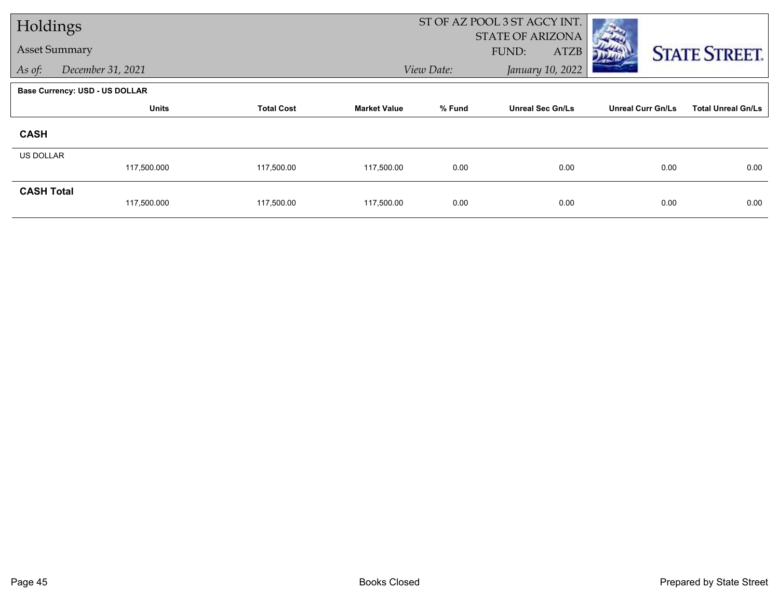| Holdings             |                                |                   |                     |            | ST OF AZ POOL 3 ST AGCY INT. |                          |                           |  |
|----------------------|--------------------------------|-------------------|---------------------|------------|------------------------------|--------------------------|---------------------------|--|
| <b>Asset Summary</b> |                                |                   |                     |            | <b>STATE OF ARIZONA</b>      |                          |                           |  |
|                      |                                |                   |                     |            | <b>ATZB</b><br>FUND:         |                          | <b>STATE STREET.</b>      |  |
| As of:               | December 31, 2021              |                   |                     | View Date: | January 10, 2022             |                          |                           |  |
|                      | Base Currency: USD - US DOLLAR |                   |                     |            |                              |                          |                           |  |
|                      | <b>Units</b>                   | <b>Total Cost</b> | <b>Market Value</b> | % Fund     | <b>Unreal Sec Gn/Ls</b>      | <b>Unreal Curr Gn/Ls</b> | <b>Total Unreal Gn/Ls</b> |  |
| <b>CASH</b>          |                                |                   |                     |            |                              |                          |                           |  |
| <b>US DOLLAR</b>     |                                |                   |                     |            |                              |                          |                           |  |
|                      | 117,500.000                    | 117,500.00        | 117,500.00          | 0.00       | 0.00                         | 0.00                     | 0.00                      |  |
| <b>CASH Total</b>    |                                |                   |                     |            |                              |                          |                           |  |
|                      | 117,500.000                    | 117,500.00        | 117,500.00          | 0.00       | 0.00                         | 0.00                     | 0.00                      |  |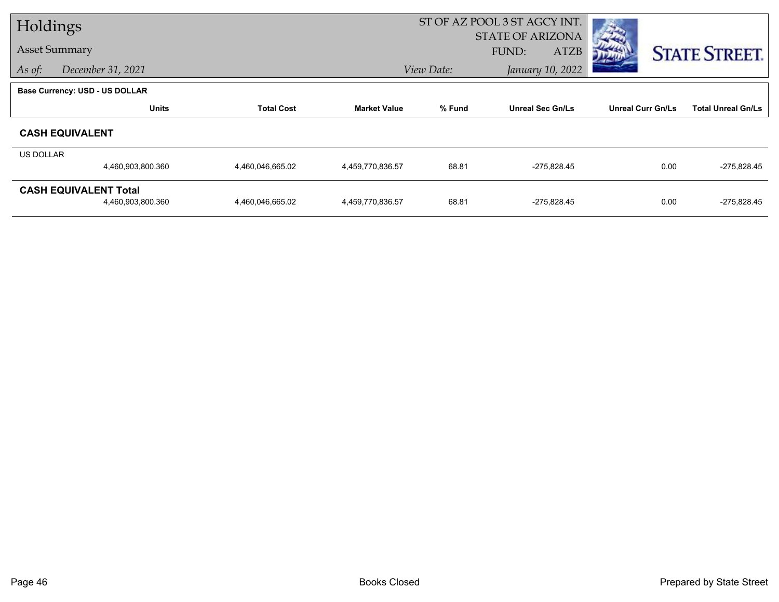| Holdings             |                                       |                   |                     |            | ST OF AZ POOL 3 ST AGCY INT.            |                          |                           |
|----------------------|---------------------------------------|-------------------|---------------------|------------|-----------------------------------------|--------------------------|---------------------------|
| <b>Asset Summary</b> |                                       |                   |                     |            | <b>STATE OF ARIZONA</b><br><b>FUND:</b> |                          |                           |
|                      |                                       |                   |                     |            | <b>ATZB</b>                             |                          | <b>STATE STREET.</b>      |
| As of:               | December 31, 2021                     |                   |                     | View Date: | January 10, 2022                        |                          |                           |
|                      | <b>Base Currency: USD - US DOLLAR</b> |                   |                     |            |                                         |                          |                           |
|                      | <b>Units</b>                          | <b>Total Cost</b> | <b>Market Value</b> | % Fund     | <b>Unreal Sec Gn/Ls</b>                 | <b>Unreal Curr Gn/Ls</b> | <b>Total Unreal Gn/Ls</b> |
|                      | <b>CASH EQUIVALENT</b>                |                   |                     |            |                                         |                          |                           |
| <b>US DOLLAR</b>     |                                       |                   |                     |            |                                         |                          |                           |
|                      | 4,460,903,800.360                     | 4,460,046,665.02  | 4,459,770,836.57    | 68.81      | $-275,828.45$                           | 0.00                     | $-275,828.45$             |
|                      | <b>CASH EQUIVALENT Total</b>          |                   |                     |            |                                         |                          |                           |
|                      | 4,460,903,800.360                     | 4,460,046,665.02  | 4,459,770,836.57    | 68.81      | $-275,828.45$                           | 0.00                     | $-275,828.45$             |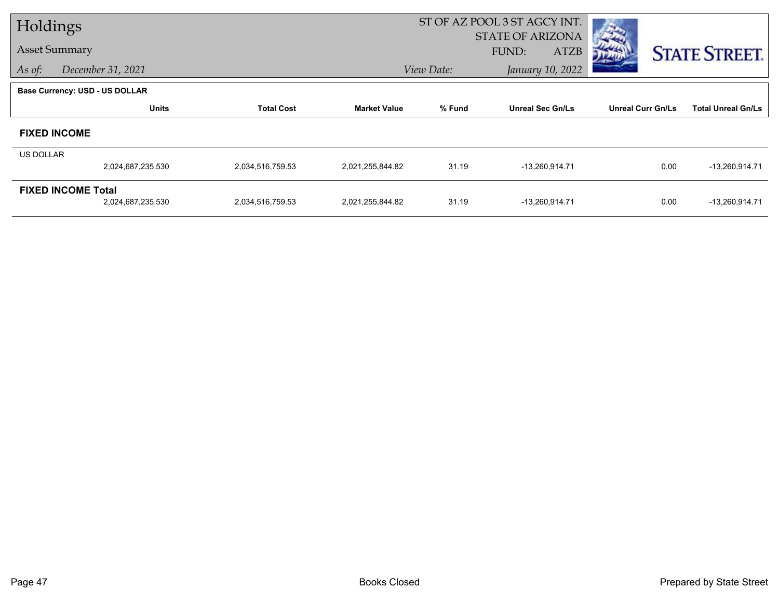| Holdings         |                                       |                   |                     |            | ST OF AZ POOL 3 ST AGCY INT.                    |                          |                           |
|------------------|---------------------------------------|-------------------|---------------------|------------|-------------------------------------------------|--------------------------|---------------------------|
|                  | <b>Asset Summary</b>                  |                   |                     |            | <b>STATE OF ARIZONA</b><br><b>ATZB</b><br>FUND: |                          |                           |
| As of:           | December 31, 2021                     |                   |                     | View Date: | January 10, 2022                                |                          | <b>STATE STREET.</b>      |
|                  |                                       |                   |                     |            |                                                 |                          |                           |
|                  | <b>Base Currency: USD - US DOLLAR</b> |                   |                     |            |                                                 |                          |                           |
|                  | <b>Units</b>                          | <b>Total Cost</b> | <b>Market Value</b> | % Fund     | <b>Unreal Sec Gn/Ls</b>                         | <b>Unreal Curr Gn/Ls</b> | <b>Total Unreal Gn/Ls</b> |
|                  | <b>FIXED INCOME</b>                   |                   |                     |            |                                                 |                          |                           |
| <b>US DOLLAR</b> |                                       |                   |                     |            |                                                 |                          |                           |
|                  | 2,024,687,235.530                     | 2,034,516,759.53  | 2,021,255,844.82    | 31.19      | -13,260,914.71                                  | 0.00                     | -13,260,914.71            |
|                  | <b>FIXED INCOME Total</b>             |                   |                     |            |                                                 |                          |                           |
|                  | 2,024,687,235.530                     | 2,034,516,759.53  | 2,021,255,844.82    | 31.19      | -13,260,914.71                                  | 0.00                     | -13,260,914.71            |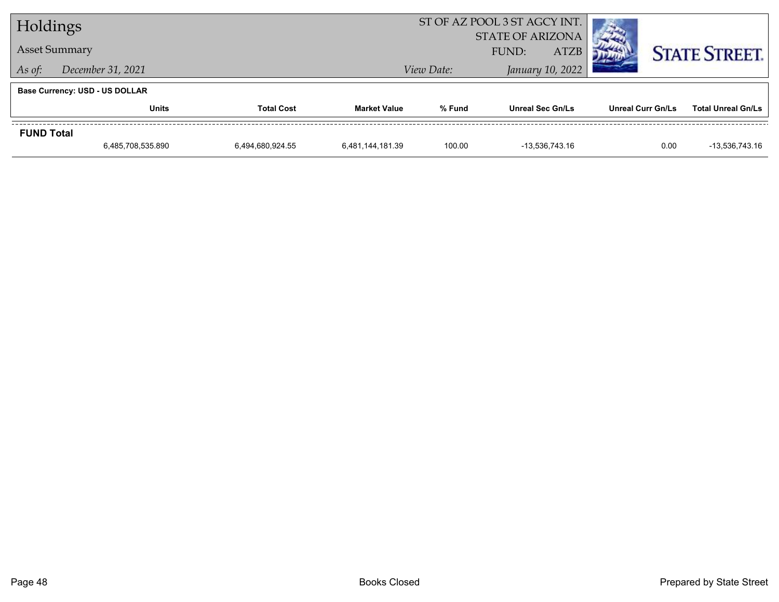| Holdings          |                                       |                   |                     |                                | ST OF AZ POOL 3 ST AGCY INT. |                   |                           |
|-------------------|---------------------------------------|-------------------|---------------------|--------------------------------|------------------------------|-------------------|---------------------------|
|                   |                                       |                   |                     | <b>STATE OF ARIZONA</b>        |                              |                   |                           |
|                   | <b>Asset Summary</b>                  |                   |                     |                                | <b>ATZB</b><br>FUND:         |                   | <b>STATE STREET.</b>      |
| As of:            | December 31, 2021                     |                   |                     | January 10, 2022<br>View Date: |                              |                   |                           |
|                   | <b>Base Currency: USD - US DOLLAR</b> |                   |                     |                                |                              |                   |                           |
|                   | <b>Units</b>                          | <b>Total Cost</b> | <b>Market Value</b> | % Fund                         | <b>Unreal Sec Gn/Ls</b>      | Unreal Curr Gn/Ls | <b>Total Unreal Gn/Ls</b> |
| <b>FUND Total</b> |                                       |                   |                     |                                |                              |                   |                           |
|                   | 6,485,708,535.890                     | 6.494.680.924.55  | 6,481,144,181.39    | 100.00                         | -13.536.743.16               | 0.00              | -13,536,743.16            |